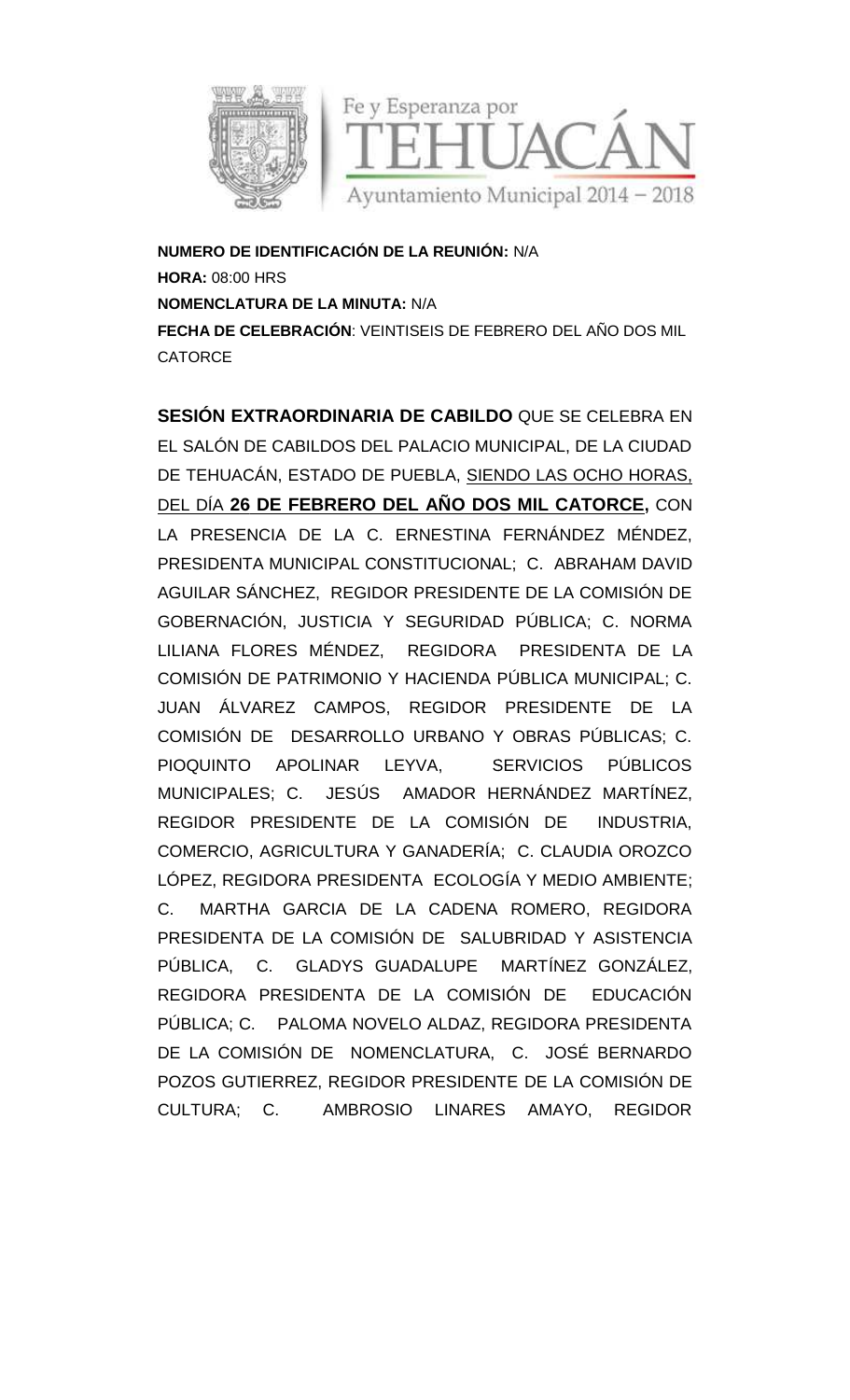

**NUMERO DE IDENTIFICACIÓN DE LA REUNIÓN:** N/A **HORA:** 08:00 HRS **NOMENCLATURA DE LA MINUTA:** N/A **FECHA DE CELEBRACION**: VEINTISEIS DE FEBRERO DEL ANO DOS MIL **CATORCE** 

**SESIÓN EXTRAORDINARIA DE CABILDO** QUE SE CELEBRA EN EL SALÓN DE CABILDOS DEL PALACIO MUNICIPAL, DE LA CIUDAD EL DE TEHUACÁN, ESTADO DE PUEBLA, SIENDO LAS OCHO HORAS, DEL DIA **26 DE FEBRERO DEL ANO DOS MIL CATORCE,** CON LA PRESENCIA DE LA C. ERNESTINA FERNÁNDEZ MÉNDEZ, PRESIDENTA MUNICIPAL CONSTITUCIONAL; C. ABRAHAM DAVID AGUILAR SÁNCHEZ, REGIDOR PRESIDENTE DE LA COMISIÓN DE GOBERNACIÓN, JUSTICIA Y SEGURIDAD PÚBLICA; C. NORMA LILIANA FLORES MÉNDEZ, REGIDORA PRESIDENTA DE LA COMISIÓN DE PATRIMONIO Y HACIENDA PÚBLICA MUNICIPAL; C. JUAN ÁLVAREZ CAMPOS, REGIDOR PRESIDENTE DE LA COMISIÓN DE DESARROLLO URBANO Y OBRAS PÚBLICAS; C. PIOQUINTO APOLINAR LEYVA, SERVICIOS PÚBLICOS MUNICIPALES; C. JESÚS AMADOR HERNÁNDEZ MARTÍNEZ, REGIDOR PRESIDENTE DE LA COMISIÓN DE INDUSTRIA, COMERCIO, AGRICULTURA Y GANADERÍA; C. CLAUDIA OROZCO LÓPEZ, REGIDORA PRESIDENTA ECOLOGÍA Y MEDIO AMBIENTE; C. MARTHA GARCIA DE LA CADENA ROMERO, REGIDORA PRESIDENTA DE LA COMISIÓN DE SALUBRIDAD Y ASISTENCIA PÚBLICA, C. GLADYS GUADALUPE MARTÍNEZ GONZÁLEZ, REGIDORA PRESIDENTA DE LA COMISIÓN DE EDUCACIÓN PÚBLICA; C. PALOMA NOVELO ALDAZ, REGIDORA PRESIDENTA DE LA COMISIÓN DE NOMENCLATURA, C. JOSÉ BERNARDO POZOS GUTIERREZ, REGIDOR PRESIDENTE DE LA COMISIÓN DE CULTURA; C. AMBROSIO LINARES AMAYO, REGIDOR DE IDENTIFICACION DE LA REUNION:<br>
00 HRS<br>
ATURA DE LA MINUTA: N/A<br>
E CELEBRACIÓN: VEINTISEIS DE FEBR<br>
E<br>
EXTRAORDINARIA DE CABILDO<br>
N DE CABILDOS DEL PALACIO MUN<br>
ACÁN, ESTADO DE PUEBLA, <u>SIENIZ</u><br>
26 DE FEBRERO DEL PAÑO DO LA PRESENCIA DE LA C. ERNESTINA FERNANDEZ MENDEZ,<br>PRESIDENTA MUNICIPAL CONSTITUCIONAL; C. ABRAHAM DAVID<br>AGUILAR SÁNCHEZ, REGIDOR PRESIDENTE DE LA COMISIÓN DE<br>COBERNACIÓN, JUSTICIA Y SEGURIDAD PÚBLICA; C. NORMA<br>LILIANA FLOR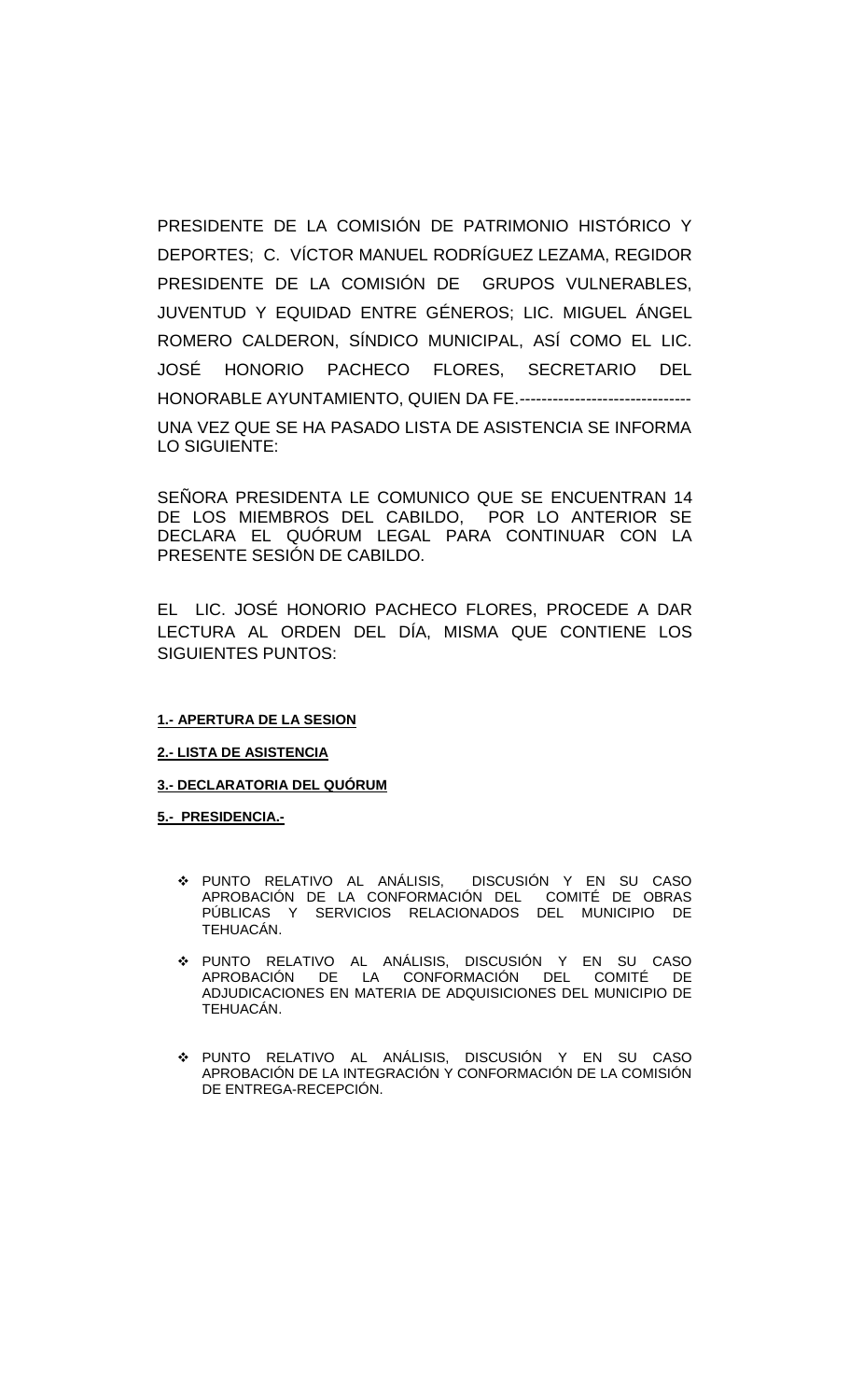PRESIDENTE DE LA COMISIÓN DE PATRIMONIO HISTÓRICO Y DEPORTES; C. VÍCTOR MANUEL RODRÍGUEZ LEZAMA, REGIDOR PRESIDENTE DE LA COMISIÓN DE GRUPOS VULNERABLES, JUVENTUD Y EQUIDAD ENTRE GÉNEROS; LIC. MIGUEL ÁNGEL ROMERO CALDERON, SÍNDICO MUNICIPAL, ASÍ COMO EL LIC. JOSÉ HONORIO PACHECO FLORES, SECRETARIO DEL HONORABLE AYUNTAMIENTO, QUIEN DA FE.------------------------------- UNA VEZ QUE SE HA PASADO LISTA DE ASISTENCIA SE INFORMA LO SIGUIENTE:

SEÑORA PRESIDENTA LE COMUNICO QUE SE ENCUENTRAN 14 DE LOS MIEMBROS DEL CABILDO, POR LO ANTERIOR SE DECLARA EL QUÓRUM LEGAL PARA CONTINUAR CON LA PRESENTE SESIÓN DE CABILDO.

EL LIC. JOSÉ HONORIO PACHECO FLORES, PROCEDE A DAR LECTURA AL ORDEN DEL DÍA, MISMA QUE CONTIENE LOS SIGUIENTES PUNTOS:

### **1.- APERTURA DE LA SESION**

### **2.- LISTA DE ASISTENCIA**

#### **3.- DECLARATORIA DEL QUÓRUM**

#### **5.- PRESIDENCIA.-**

- PUNTO RELATIVO AL ANÁLISIS, DISCUSIÓN Y EN SU CASO APROBACIÓN DE LA CONFORMACIÓN DEL COMITÉ DE OBRAS PÚBLICAS Y SERVICIOS RELACIONADOS DEL MUNICIPIO DE TEHUACÁN.
- PUNTO RELATIVO AL ANÁLISIS, DISCUSIÓN Y EN SU CASO APROBACIÓN DE LA CONFORMACIÓN DEL COMITÉ DE ADJUDICACIONES EN MATERIA DE ADQUISICIONES DEL MUNICIPIO DE TEHUACÁN.
- PUNTO RELATIVO AL ANÁLISIS, DISCUSIÓN Y EN SU CASO APROBACIÓN DE LA INTEGRACIÓN Y CONFORMACIÓN DE LA COMISIÓN DE ENTREGA-RECEPCIÓN.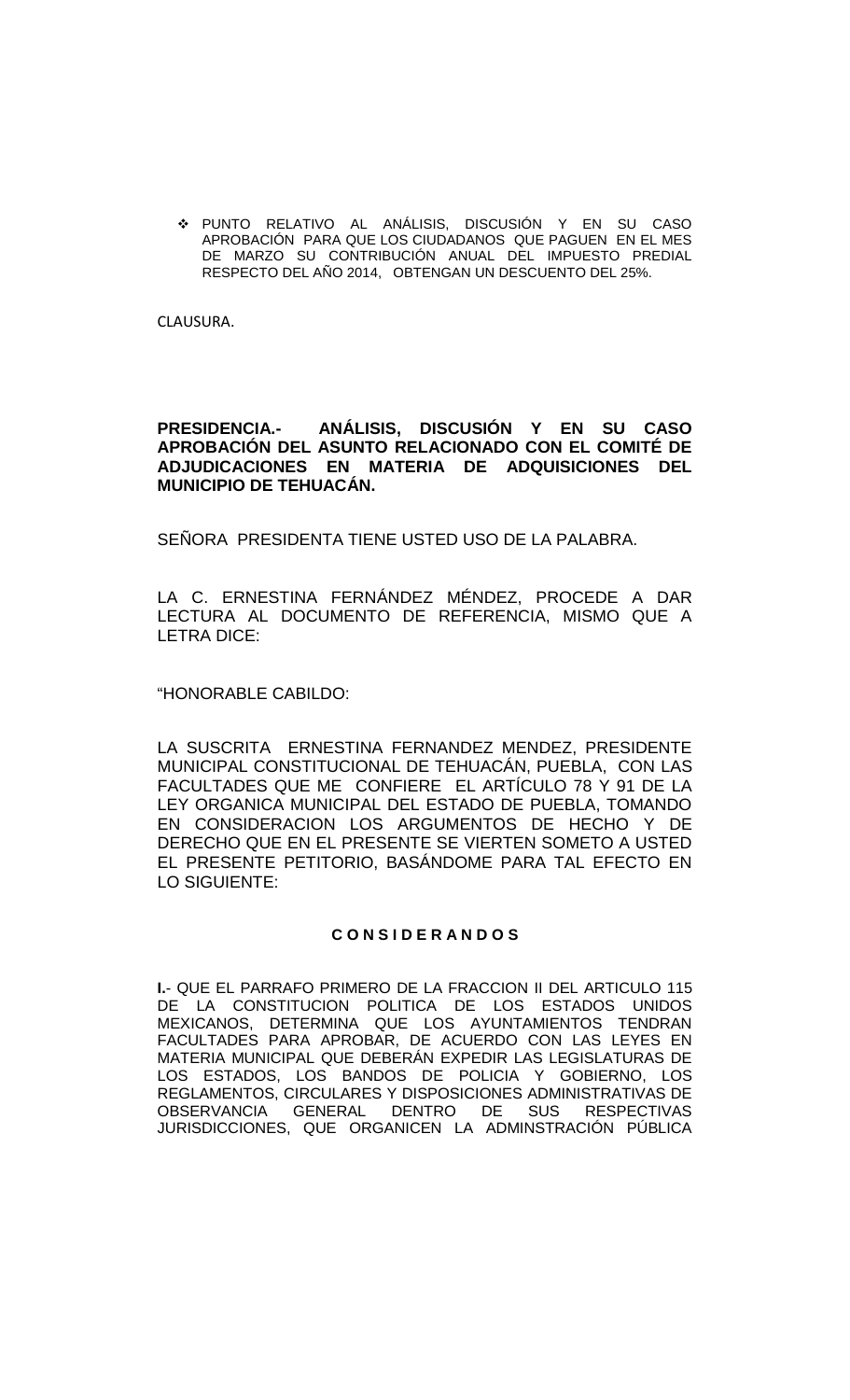PUNTO RELATIVO AL ANÁLISIS, DISCUSIÓN Y EN SU CASO APROBACIÓN PARA QUE LOS CIUDADANOS QUE PAGUEN EN EL MES DE MARZO SU CONTRIBUCIÓN ANUAL DEL IMPUESTO PREDIAL RESPECTO DEL AÑO 2014, OBTENGAN UN DESCUENTO DEL 25%.

CLAUSURA.

## **PRESIDENCIA.- ANÁLISIS, DISCUSIÓN Y EN SU CASO APROBACIÓN DEL ASUNTO RELACIONADO CON EL COMITÉ DE ADJUDICACIONES EN MATERIA DE ADQUISICIONES DEL MUNICIPIO DE TEHUACÁN.**

SEÑORA PRESIDENTA TIENE USTED USO DE LA PALABRA.

LA C. ERNESTINA FERNÁNDEZ MÉNDEZ, PROCEDE A DAR LECTURA AL DOCUMENTO DE REFERENCIA, MISMO QUE A LETRA DICE:

"HONORABLE CABILDO:

LA SUSCRITA ERNESTINA FERNANDEZ MENDEZ, PRESIDENTE MUNICIPAL CONSTITUCIONAL DE TEHUACÁN, PUEBLA, CON LAS FACULTADES QUE ME CONFIERE EL ARTÍCULO 78 Y 91 DE LA LEY ORGANICA MUNICIPAL DEL ESTADO DE PUEBLA, TOMANDO EN CONSIDERACION LOS ARGUMENTOS DE HECHO Y DE DERECHO QUE EN EL PRESENTE SE VIERTEN SOMETO A USTED EL PRESENTE PETITORIO, BASÁNDOME PARA TAL EFECTO EN LO SIGUIENTE:

### **C O N S I D E R A N D O S**

**I.**- QUE EL PARRAFO PRIMERO DE LA FRACCION II DEL ARTICULO 115 DE LA CONSTITUCION POLITICA DE LOS ESTADOS UNIDOS MEXICANOS, DETERMINA QUE LOS AYUNTAMIENTOS TENDRAN FACULTADES PARA APROBAR, DE ACUERDO CON LAS LEYES EN MATERIA MUNICIPAL QUE DEBERÁN EXPEDIR LAS LEGISLATURAS DE LOS ESTADOS, LOS BANDOS DE POLICIA Y GOBIERNO, LOS REGLAMENTOS, CIRCULARES Y DISPOSICIONES ADMINISTRATIVAS DE OBSERVANCIA GENERAL DENTRO DE SUS RESPECTIVAS JURISDICCIONES, QUE ORGANICEN LA ADMINSTRACIÓN PÚBLICA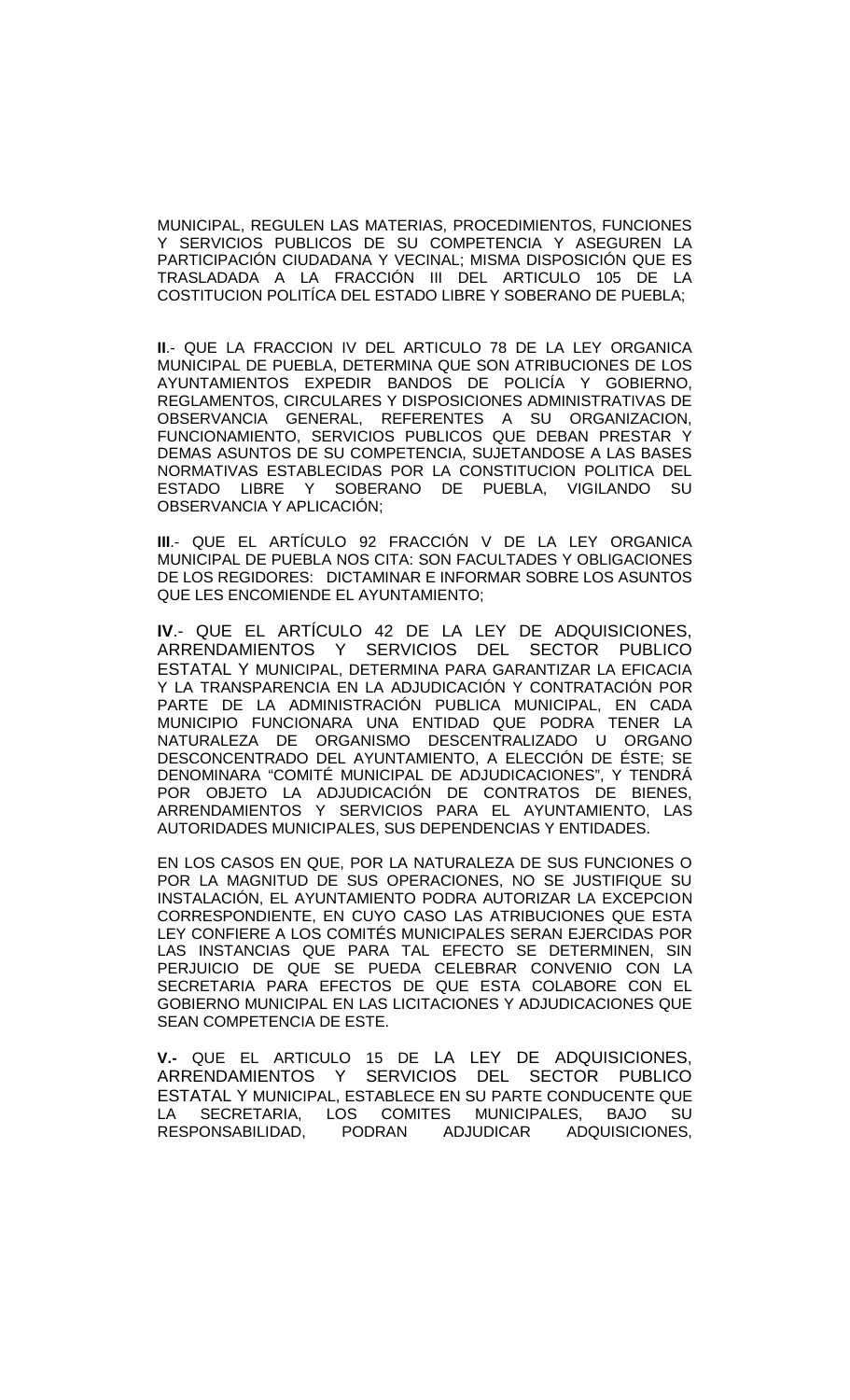MUNICIPAL, REGULEN LAS MATERIAS, PROCEDIMIENTOS, FUNCIONES Y SERVICIOS PUBLICOS DE SU COMPETENCIA Y ASEGUREN LA PARTICIPACIÓN CIUDADANA Y VECINAL; MISMA DISPOSICIÓN QUE ES TRASLADADA A LA FRACCIÓN III DEL ARTICULO 105 DE LA COSTITUCION POLITÍCA DEL ESTADO LIBRE Y SOBERANO DE PUEBLA;

**II**.- QUE LA FRACCION IV DEL ARTICULO 78 DE LA LEY ORGANICA MUNICIPAL DE PUEBLA, DETERMINA QUE SON ATRIBUCIONES DE LOS AYUNTAMIENTOS EXPEDIR BANDOS DE POLICÍA Y GOBIERNO, REGLAMENTOS, CIRCULARES Y DISPOSICIONES ADMINISTRATIVAS DE OBSERVANCIA GENERAL, REFERENTES A SU ORGANIZACION, FUNCIONAMIENTO, SERVICIOS PUBLICOS QUE DEBAN PRESTAR Y DEMAS ASUNTOS DE SU COMPETENCIA, SUJETANDOSE A LAS BASES NORMATIVAS ESTABLECIDAS POR LA CONSTITUCION POLITICA DEL ESTADO LIBRE Y SOBERANO DE PUEBLA, VIGILANDO SU OBSERVANCIA Y APLICACIÓN;

**III**.- QUE EL ARTÍCULO 92 FRACCIÓN V DE LA LEY ORGANICA MUNICIPAL DE PUEBLA NOS CITA: SON FACULTADES Y OBLIGACIONES DE LOS REGIDORES: DICTAMINAR E INFORMAR SOBRE LOS ASUNTOS QUE LES ENCOMIENDE EL AYUNTAMIENTO;

**IV**.- QUE EL ARTÍCULO 42 DE LA LEY DE ADQUISICIONES, ARRENDAMIENTOS Y SERVICIOS DEL SECTOR PUBLICO ESTATAL Y MUNICIPAL, DETERMINA PARA GARANTIZAR LA EFICACIA Y LA TRANSPARENCIA EN LA ADJUDICACIÓN Y CONTRATACIÓN POR PARTE DE LA ADMINISTRACIÓN PUBLICA MUNICIPAL, EN CADA MUNICIPIO FUNCIONARA UNA ENTIDAD QUE PODRA TENER LA NATURALEZA DE ORGANISMO DESCENTRALIZADO U ORGANO DESCONCENTRADO DEL AYUNTAMIENTO, A ELECCIÓN DE ÉSTE; SE DENOMINARA "COMITÉ MUNICIPAL DE ADJUDICACIONES", Y TENDRÁ POR OBJETO LA ADJUDICACIÓN DE CONTRATOS DE BIENES, ARRENDAMIENTOS Y SERVICIOS PARA EL AYUNTAMIENTO, LAS AUTORIDADES MUNICIPALES, SUS DEPENDENCIAS Y ENTIDADES.

EN LOS CASOS EN QUE, POR LA NATURALEZA DE SUS FUNCIONES O POR LA MAGNITUD DE SUS OPERACIONES, NO SE JUSTIFIQUE SU INSTALACIÓN, EL AYUNTAMIENTO PODRA AUTORIZAR LA EXCEPCION CORRESPONDIENTE, EN CUYO CASO LAS ATRIBUCIONES QUE ESTA LEY CONFIERE A LOS COMITÉS MUNICIPALES SERAN EJERCIDAS POR LAS INSTANCIAS QUE PARA TAL EFECTO SE DETERMINEN, SIN PERJUICIO DE QUE SE PUEDA CELEBRAR CONVENIO CON LA SECRETARIA PARA EFECTOS DE QUE ESTA COLABORE CON EL GOBIERNO MUNICIPAL EN LAS LICITACIONES Y ADJUDICACIONES QUE SEAN COMPETENCIA DE ESTE.

**V.-** QUE EL ARTICULO 15 DE LA LEY DE ADQUISICIONES, ARRENDAMIENTOS Y SERVICIOS DEL SECTOR PUBLICO ESTATAL Y MUNICIPAL, ESTABLECE EN SU PARTE CONDUCENTE QUE LA SECRETARIA, LOS COMITES MUNICIPALES, BAJO SU RESPONSABILIDAD, PODRAN ADJUDICAR ADQUISICIONES,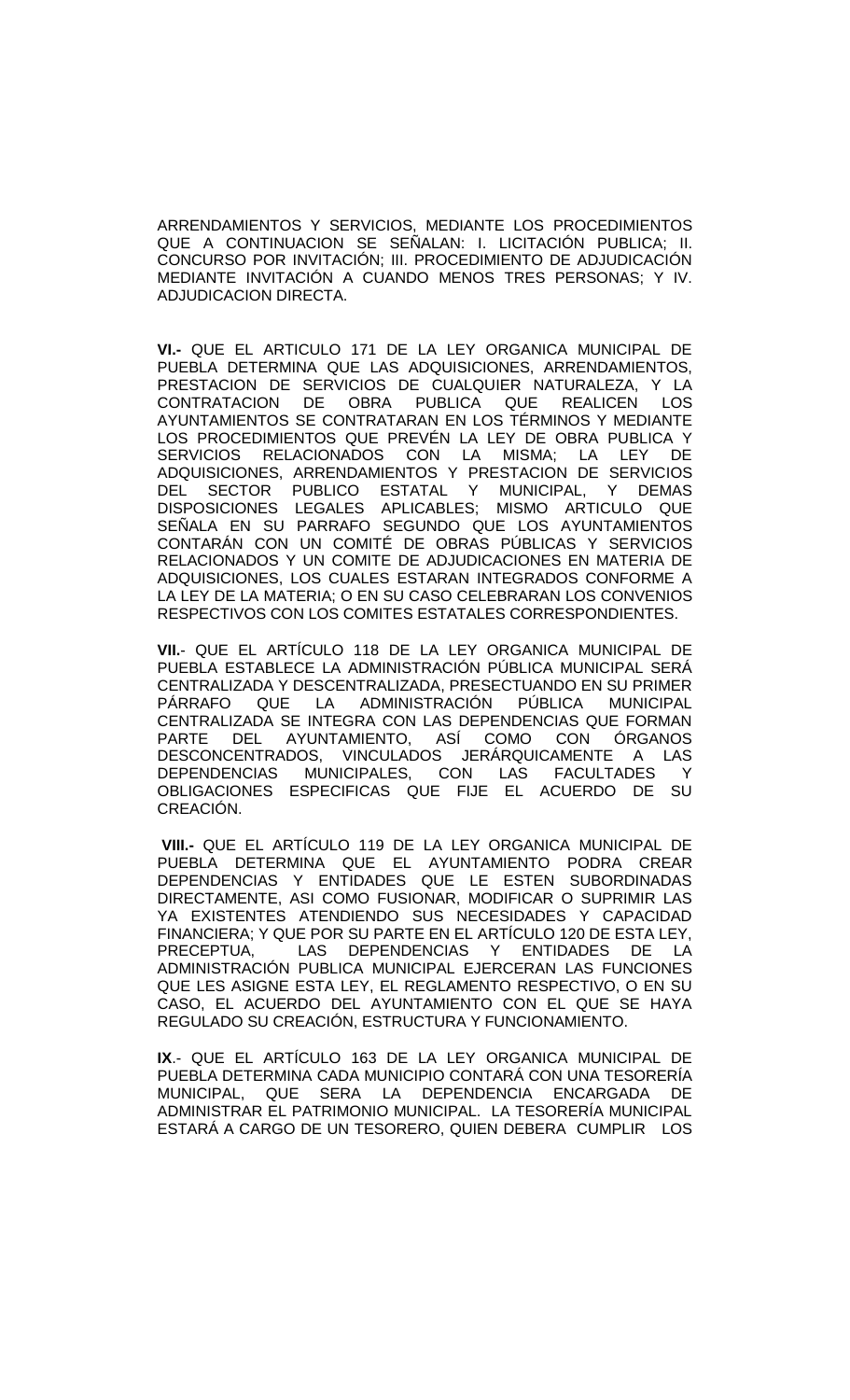ARRENDAMIENTOS Y SERVICIOS, MEDIANTE LOS PROCEDIMIENTOS QUE A CONTINUACION SE SEÑALAN: I. LICITACIÓN PUBLICA; II. CONCURSO POR INVITACIÓN; III. PROCEDIMIENTO DE ADJUDICACIÓN MEDIANTE INVITACIÓN A CUANDO MENOS TRES PERSONAS; Y IV. ADJUDICACION DIRECTA.

**VI.-** QUE EL ARTICULO 171 DE LA LEY ORGANICA MUNICIPAL DE PUEBLA DETERMINA QUE LAS ADQUISICIONES, ARRENDAMIENTOS, PRESTACION DE SERVICIOS DE CUALQUIER NATURALEZA, Y LA CONTRATACION DE OBRA PUBLICA QUE REALICEN LOS AYUNTAMIENTOS SE CONTRATARAN EN LOS TÉRMINOS Y MEDIANTE LOS PROCEDIMIENTOS QUE PREVÉN LA LEY DE OBRA PUBLICA Y SERVICIOS RELACIONADOS CON LA MISMA; LA LEY DE ADQUISICIONES, ARRENDAMIENTOS Y PRESTACION DE SERVICIOS<br>DEL SECTOR PUBLICO ESTATAL Y MUNICIPAL Y DEMAS SECTOR PUBLICO ESTATAL Y MUNICIPAL, Y DEMAS DISPOSICIONES LEGALES APLICABLES; MISMO ARTICULO QUE SEÑALA EN SU PARRAFO SEGUNDO QUE LOS AYUNTAMIENTOS CONTARÁN CON UN COMITÉ DE OBRAS PÚBLICAS Y SERVICIOS RELACIONADOS Y UN COMITE DE ADJUDICACIONES EN MATERIA DE ADQUISICIONES, LOS CUALES ESTARAN INTEGRADOS CONFORME A LA LEY DE LA MATERIA; O EN SU CASO CELEBRARAN LOS CONVENIOS RESPECTIVOS CON LOS COMITES ESTATALES CORRESPONDIENTES.

**VII.**- QUE EL ARTÍCULO 118 DE LA LEY ORGANICA MUNICIPAL DE PUEBLA ESTABLECE LA ADMINISTRACIÓN PÚBLICA MUNICIPAL SERÁ CENTRALIZADA Y DESCENTRALIZADA, PRESECTUANDO EN SU PRIMER PÁRRAFO QUE LA ADMINISTRACIÓN PÚBLICA MUNICIPAL CENTRALIZADA SE INTEGRA CON LAS DEPENDENCIAS QUE FORMAN PARTE DEL AYUNTAMIENTO, ASÍ COMO CON ÓRGANOS DESCONCENTRADOS, VINCULADOS JERÁRQUICAMENTE A LAS DEPENDENCIAS MUNICIPALES, CON LAS FACULTADES Y OBLIGACIONES ESPECIFICAS QUE FIJE EL ACUERDO DE SU CREACIÓN.

**VIII.-** QUE EL ARTÍCULO 119 DE LA LEY ORGANICA MUNICIPAL DE PUEBLA DETERMINA QUE EL AYUNTAMIENTO PODRA CREAR DEPENDENCIAS Y ENTIDADES QUE LE ESTEN SUBORDINADAS DIRECTAMENTE, ASI COMO FUSIONAR, MODIFICAR O SUPRIMIR LAS YA EXISTENTES ATENDIENDO SUS NECESIDADES Y CAPACIDAD FINANCIERA; Y QUE POR SU PARTE EN EL ARTÍCULO 120 DE ESTA LEY, PRECEPTUA, LAS DEPENDENCIAS Y ENTIDADES DE LA ADMINISTRACIÓN PUBLICA MUNICIPAL EJERCERAN LAS FUNCIONES QUE LES ASIGNE ESTA LEY, EL REGLAMENTO RESPECTIVO, O EN SU CASO, EL ACUERDO DEL AYUNTAMIENTO CON EL QUE SE HAYA REGULADO SU CREACIÓN, ESTRUCTURA Y FUNCIONAMIENTO.

**IX**.- QUE EL ARTÍCULO 163 DE LA LEY ORGANICA MUNICIPAL DE PUEBLA DETERMINA CADA MUNICIPIO CONTARÁ CON UNA TESORERÍA MUNICIPAL, QUE SERA LA DEPENDENCIA ENCARGADA DE ADMINISTRAR EL PATRIMONIO MUNICIPAL. LA TESORERÍA MUNICIPAL ESTARÁ A CARGO DE UN TESORERO, QUIEN DEBERA CUMPLIR LOS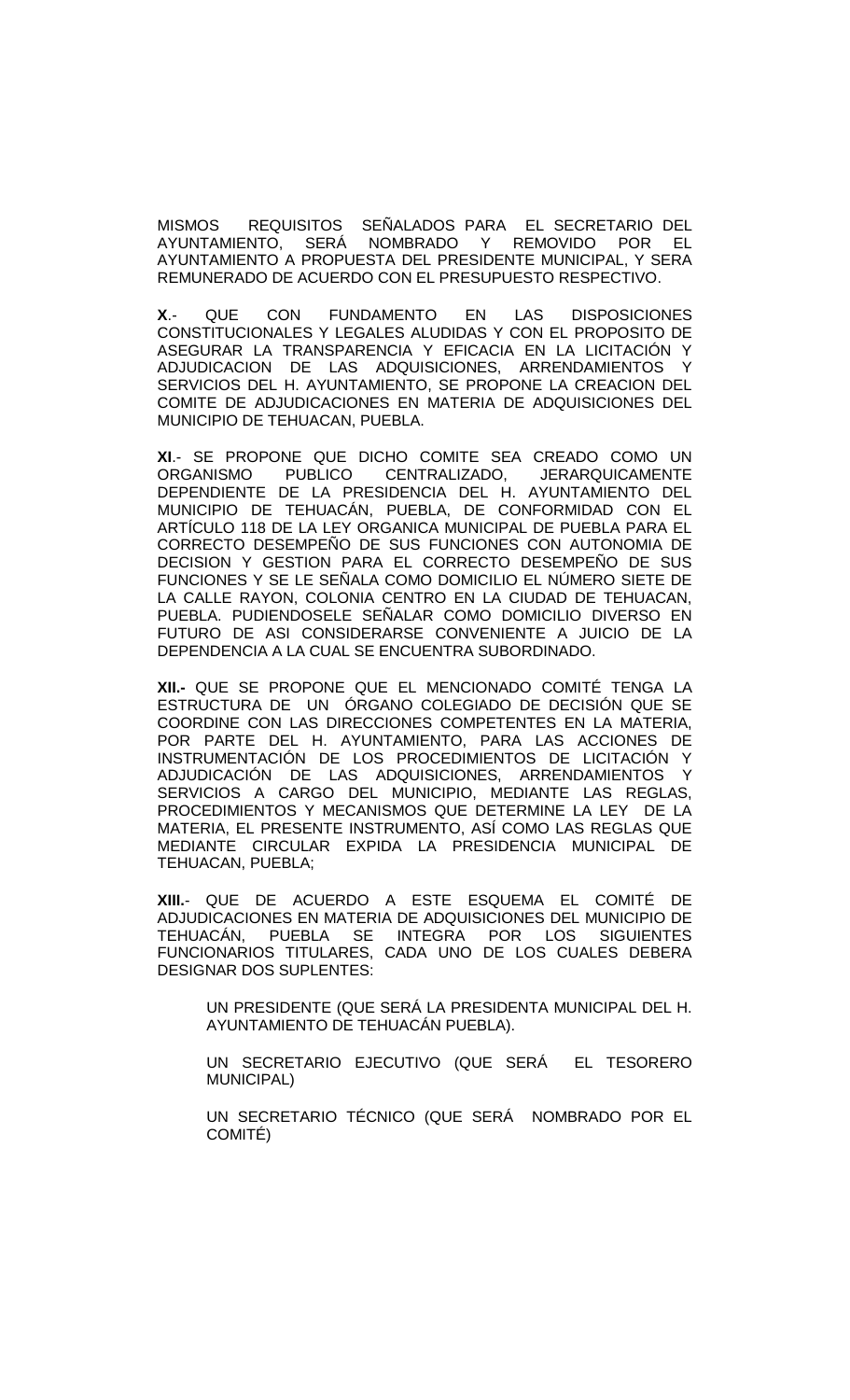MISMOS REQUISITOS SEÑALADOS PARA EL SECRETARIO DEL<br>AYUNTAMIENTO, SERÁ NOMBRADO Y REMOVIDO POR EL NOMBRADO Y REMOVIDO POR EL AYUNTAMIENTO A PROPUESTA DEL PRESIDENTE MUNICIPAL, Y SERA REMUNERADO DE ACUERDO CON EL PRESUPUESTO RESPECTIVO.

**X**.- QUE CON FUNDAMENTO EN LAS DISPOSICIONES CONSTITUCIONALES Y LEGALES ALUDIDAS Y CON EL PROPOSITO DE ASEGURAR LA TRANSPARENCIA Y EFICACIA EN LA LICITACIÓN Y ADJUDICACION DE LAS ADQUISICIONES, ARRENDAMIENTOS Y SERVICIOS DEL H. AYUNTAMIENTO, SE PROPONE LA CREACION DEL COMITE DE ADJUDICACIONES EN MATERIA DE ADQUISICIONES DEL MUNICIPIO DE TEHUACAN, PUEBLA.

**XI**.- SE PROPONE QUE DICHO COMITE SEA CREADO COMO UN ORGANISMO PUBLICO CENTRALIZADO, JERARQUICAMENTE DEPENDIENTE DE LA PRESIDENCIA DEL H. AYUNTAMIENTO DEL MUNICIPIO DE TEHUACÁN, PUEBLA, DE CONFORMIDAD CON EL ARTÍCULO 118 DE LA LEY ORGANICA MUNICIPAL DE PUEBLA PARA EL CORRECTO DESEMPEÑO DE SUS FUNCIONES CON AUTONOMIA DE DECISION Y GESTION PARA EL CORRECTO DESEMPEÑO DE SUS FUNCIONES Y SE LE SEÑALA COMO DOMICILIO EL NÚMERO SIETE DE LA CALLE RAYON, COLONIA CENTRO EN LA CIUDAD DE TEHUACAN, PUEBLA. PUDIENDOSELE SEÑALAR COMO DOMICILIO DIVERSO EN FUTURO DE ASI CONSIDERARSE CONVENIENTE A JUICIO DE LA DEPENDENCIA A LA CUAL SE ENCUENTRA SUBORDINADO.

**XII.-** QUE SE PROPONE QUE EL MENCIONADO COMITÉ TENGA LA ESTRUCTURA DE UN ÓRGANO COLEGIADO DE DECISIÓN QUE SE COORDINE CON LAS DIRECCIONES COMPETENTES EN LA MATERIA, POR PARTE DEL H. AYUNTAMIENTO, PARA LAS ACCIONES DE INSTRUMENTACIÓN DE LOS PROCEDIMIENTOS DE LICITACIÓN Y ADJUDICACIÓN DE LAS ADQUISICIONES, ARRENDAMIENTOS Y SERVICIOS A CARGO DEL MUNICIPIO, MEDIANTE LAS REGLAS, PROCEDIMIENTOS Y MECANISMOS QUE DETERMINE LA LEY DE LA MATERIA, EL PRESENTE INSTRUMENTO, ASÍ COMO LAS REGLAS QUE MEDIANTE CIRCULAR EXPIDA LA PRESIDENCIA MUNICIPAL DE TEHUACAN, PUEBLA;

**XIII.**- QUE DE ACUERDO A ESTE ESQUEMA EL COMITÉ DE ADJUDICACIONES EN MATERIA DE ADQUISICIONES DEL MUNICIPIO DE<br>TEHUACÁN. PUEBLA SE INTEGRA POR LOS SIGUIENTES PUEBLA SE FUNCIONARIOS TITULARES, CADA UNO DE LOS CUALES DEBERA DESIGNAR DOS SUPLENTES:

UN PRESIDENTE (QUE SERÁ LA PRESIDENTA MUNICIPAL DEL H. AYUNTAMIENTO DE TEHUACÁN PUEBLA).

UN SECRETARIO EJECUTIVO (QUE SERÁ EL TESORERO MUNICIPAL)

UN SECRETARIO TÉCNICO (QUE SERÁ NOMBRADO POR EL COMITÉ)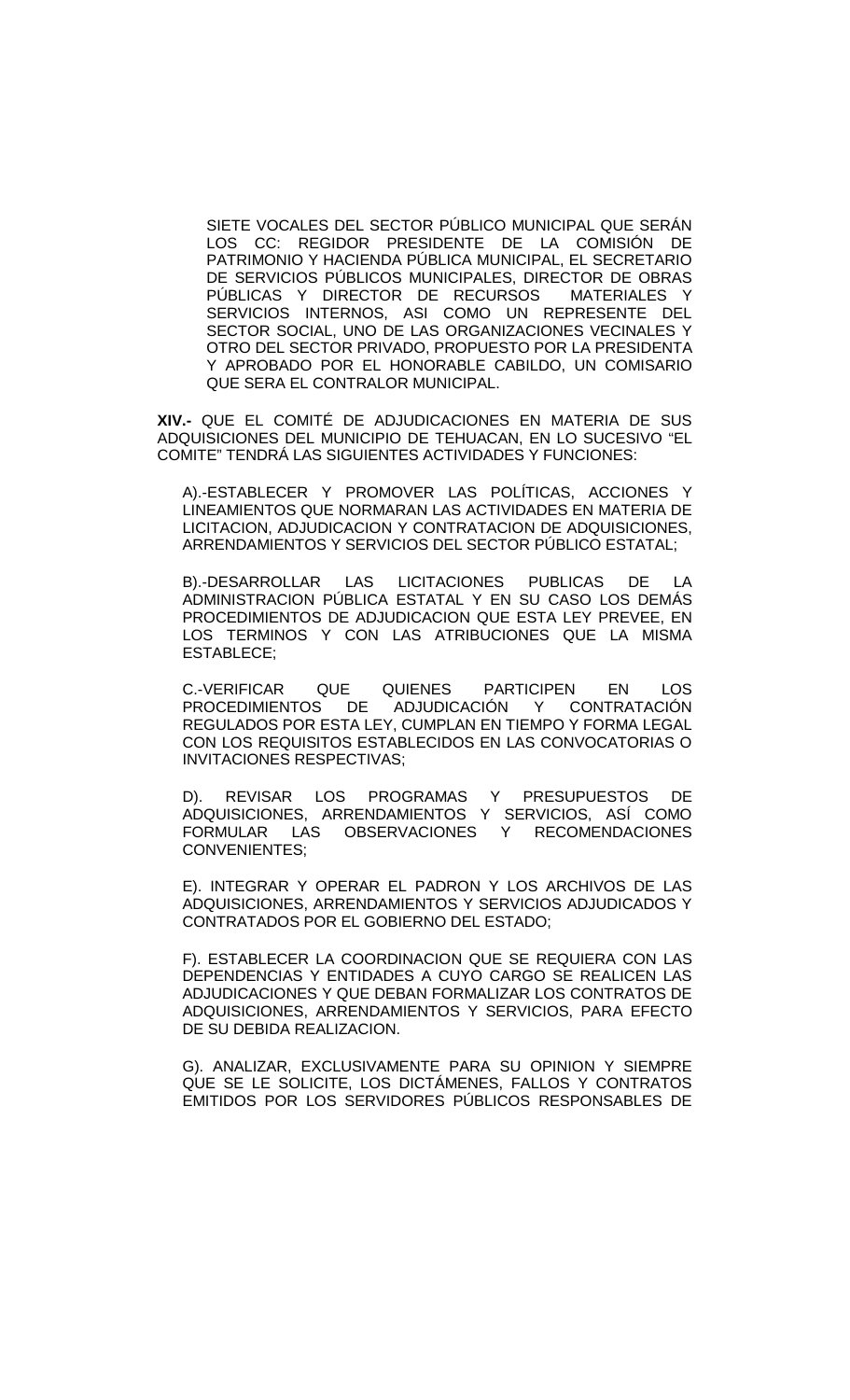SIETE VOCALES DEL SECTOR PÚBLICO MUNICIPAL QUE SERÁN LOS CC: REGIDOR PRESIDENTE DE LA COMISIÓN DE PATRIMONIO Y HACIENDA PÚBLICA MUNICIPAL, EL SECRETARIO DE SERVICIOS PÚBLICOS MUNICIPALES, DIRECTOR DE OBRAS PÚBLICAS Y DIRECTOR DE RECURSOS MATERIALES Y SERVICIOS INTERNOS, ASI COMO UN REPRESENTE DEL SECTOR SOCIAL, UNO DE LAS ORGANIZACIONES VECINALES Y OTRO DEL SECTOR PRIVADO, PROPUESTO POR LA PRESIDENTA Y APROBADO POR EL HONORABLE CABILDO, UN COMISARIO QUE SERA EL CONTRALOR MUNICIPAL.

**XIV.-** QUE EL COMITÉ DE ADJUDICACIONES EN MATERIA DE SUS ADQUISICIONES DEL MUNICIPIO DE TEHUACAN, EN LO SUCESIVO "EL COMITE" TENDRÁ LAS SIGUIENTES ACTIVIDADES Y FUNCIONES:

A).-ESTABLECER Y PROMOVER LAS POLÍTICAS, ACCIONES Y LINEAMIENTOS QUE NORMARAN LAS ACTIVIDADES EN MATERIA DE LICITACION, ADJUDICACION Y CONTRATACION DE ADQUISICIONES, ARRENDAMIENTOS Y SERVICIOS DEL SECTOR PÚBLICO ESTATAL;

B).-DESARROLLAR LAS LICITACIONES PUBLICAS DE LA ADMINISTRACION PÚBLICA ESTATAL Y EN SU CASO LOS DEMÁS PROCEDIMIENTOS DE ADJUDICACION QUE ESTA LEY PREVEE, EN LOS TERMINOS Y CON LAS ATRIBUCIONES QUE LA MISMA ESTABLECE;

C.-VERIFICAR QUE QUIENES PARTICIPEN EN LOS PROCEDIMIENTOS DE ADJUDICACIÓN Y CONTRATACIÓN REGULADOS POR ESTA LEY, CUMPLAN EN TIEMPO Y FORMA LEGAL CON LOS REQUISITOS ESTABLECIDOS EN LAS CONVOCATORIAS O INVITACIONES RESPECTIVAS;

D). REVISAR LOS PROGRAMAS Y PRESUPUESTOS DE ADQUISICIONES, ARRENDAMIENTOS Y SERVICIOS, ASÍ COMO FORMULAR LAS OBSERVACIONES Y RECOMENDACIONES CONVENIENTES;

E). INTEGRAR Y OPERAR EL PADRON Y LOS ARCHIVOS DE LAS ADQUISICIONES, ARRENDAMIENTOS Y SERVICIOS ADJUDICADOS Y CONTRATADOS POR EL GOBIERNO DEL ESTADO;

F). ESTABLECER LA COORDINACION QUE SE REQUIERA CON LAS DEPENDENCIAS Y ENTIDADES A CUYO CARGO SE REALICEN LAS ADJUDICACIONES Y QUE DEBAN FORMALIZAR LOS CONTRATOS DE ADQUISICIONES, ARRENDAMIENTOS Y SERVICIOS, PARA EFECTO DE SU DEBIDA REALIZACION.

G). ANALIZAR, EXCLUSIVAMENTE PARA SU OPINION Y SIEMPRE QUE SE LE SOLICITE, LOS DICTÁMENES, FALLOS Y CONTRATOS EMITIDOS POR LOS SERVIDORES PÚBLICOS RESPONSABLES DE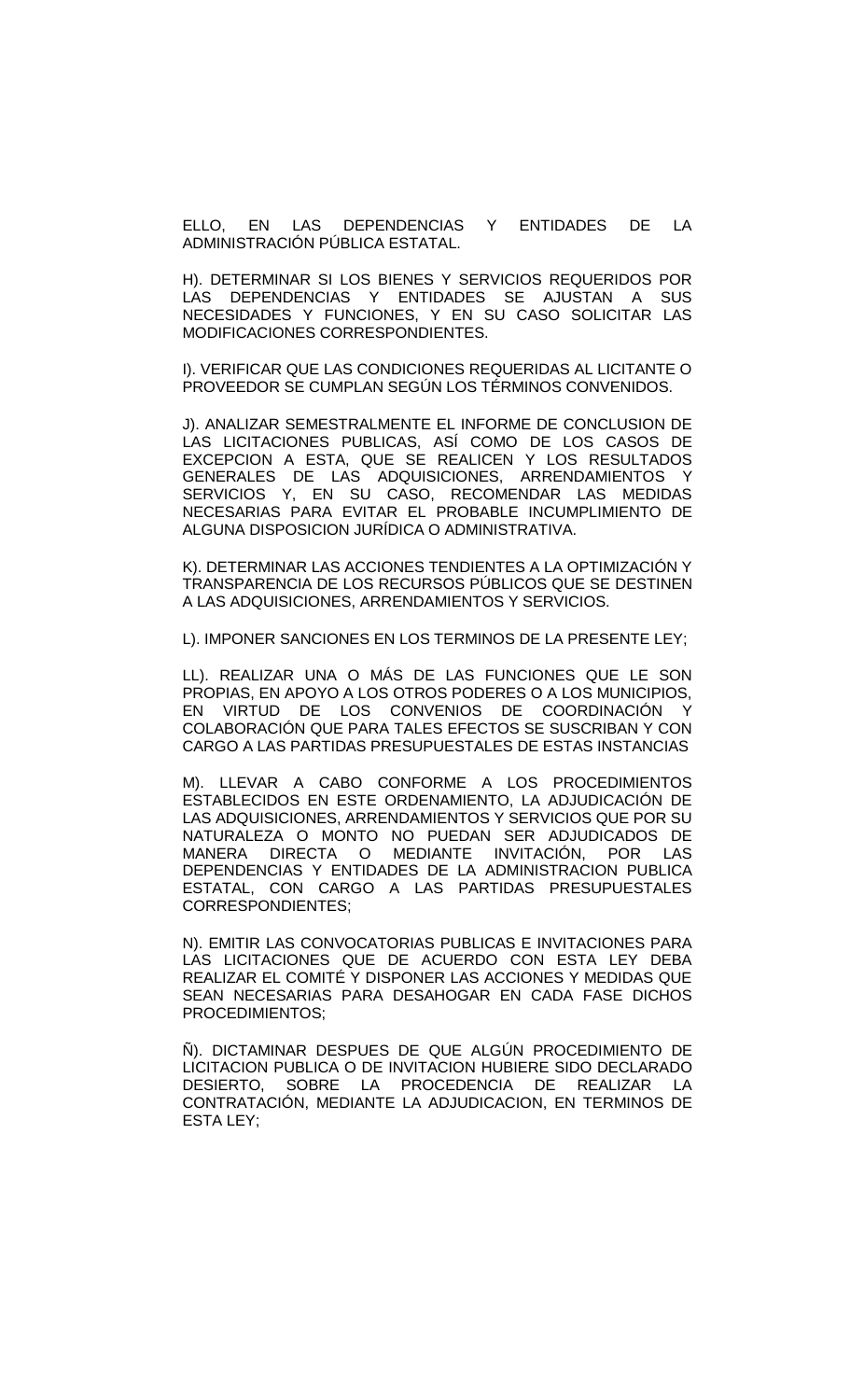ELLO, EN LAS DEPENDENCIAS Y ENTIDADES DE LA ADMINISTRACIÓN PÚBLICA ESTATAL.

H). DETERMINAR SI LOS BIENES Y SERVICIOS REQUERIDOS POR LAS DEPENDENCIAS Y ENTIDADES SE AJUSTAN A SUS NECESIDADES Y FUNCIONES, Y EN SU CASO SOLICITAR LAS MODIFICACIONES CORRESPONDIENTES.

I). VERIFICAR QUE LAS CONDICIONES REQUERIDAS AL LICITANTE O PROVEEDOR SE CUMPLAN SEGÚN LOS TÉRMINOS CONVENIDOS.

J). ANALIZAR SEMESTRALMENTE EL INFORME DE CONCLUSION DE LAS LICITACIONES PUBLICAS, ASÍ COMO DE LOS CASOS DE EXCEPCION A ESTA, QUE SE REALICEN Y LOS RESULTADOS GENERALES DE LAS ADQUISICIONES, ARRENDAMIENTOS Y SERVICIOS Y, EN SU CASO, RECOMENDAR LAS MEDIDAS NECESARIAS PARA EVITAR EL PROBABLE INCUMPLIMIENTO DE ALGUNA DISPOSICION JURÍDICA O ADMINISTRATIVA.

K). DETERMINAR LAS ACCIONES TENDIENTES A LA OPTIMIZACIÓN Y TRANSPARENCIA DE LOS RECURSOS PÚBLICOS QUE SE DESTINEN A LAS ADQUISICIONES, ARRENDAMIENTOS Y SERVICIOS.

L). IMPONER SANCIONES EN LOS TERMINOS DE LA PRESENTE LEY;

LL). REALIZAR UNA O MÁS DE LAS FUNCIONES QUE LE SON PROPIAS, EN APOYO A LOS OTROS PODERES O A LOS MUNICIPIOS, EN VIRTUD DE LOS CONVENIOS DE COORDINACIÓN Y COLABORACIÓN QUE PARA TALES EFECTOS SE SUSCRIBAN Y CON CARGO A LAS PARTIDAS PRESUPUESTALES DE ESTAS INSTANCIAS

M). LLEVAR A CABO CONFORME A LOS PROCEDIMIENTOS ESTABLECIDOS EN ESTE ORDENAMIENTO, LA ADJUDICACIÓN DE LAS ADQUISICIONES, ARRENDAMIENTOS Y SERVICIOS QUE POR SU NATURALEZA O MONTO NO PUEDAN SER ADJUDICADOS DE MANERA DIRECTA O MEDIANTE INVITACIÓN, POR LAS DEPENDENCIAS Y ENTIDADES DE LA ADMINISTRACION PUBLICA ESTATAL, CON CARGO A LAS PARTIDAS PRESUPUESTALES CORRESPONDIENTES;

N). EMITIR LAS CONVOCATORIAS PUBLICAS E INVITACIONES PARA LAS LICITACIONES QUE DE ACUERDO CON ESTA LEY DEBA REALIZAR EL COMITÉ Y DISPONER LAS ACCIONES Y MEDIDAS QUE SEAN NECESARIAS PARA DESAHOGAR EN CADA FASE DICHOS PROCEDIMIENTOS;

Ñ). DICTAMINAR DESPUES DE QUE ALGÚN PROCEDIMIENTO DE LICITACION PUBLICA O DE INVITACION HUBIERE SIDO DECLARADO DESIERTO, SOBRE LA PROCEDENCIA DE REALIZAR LA CONTRATACIÓN, MEDIANTE LA ADJUDICACION, EN TERMINOS DE ESTA LEY;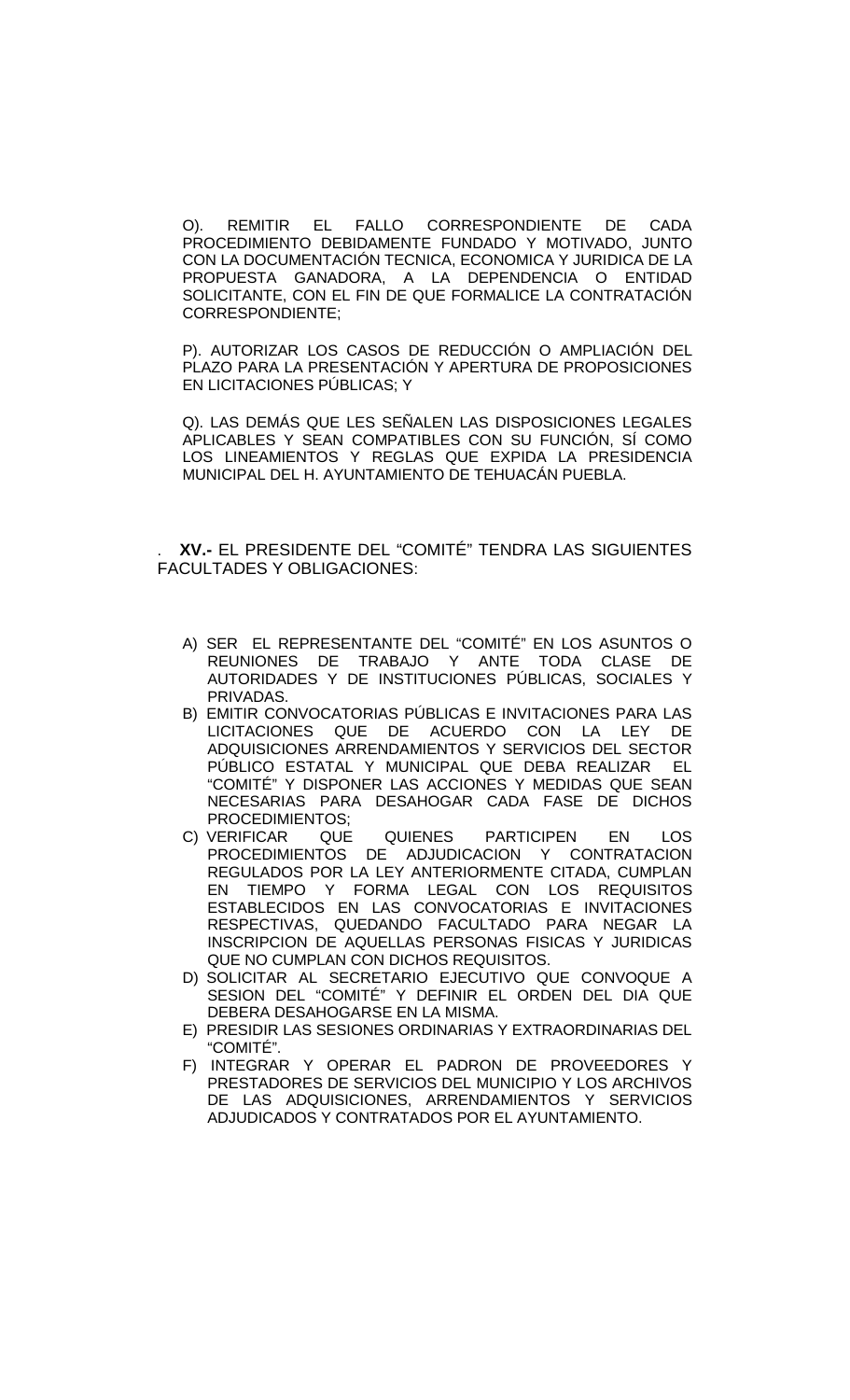O). REMITIR EL FALLO CORRESPONDIENTE DE CADA PROCEDIMIENTO DEBIDAMENTE FUNDADO Y MOTIVADO, JUNTO CON LA DOCUMENTACIÓN TECNICA, ECONOMICA Y JURIDICA DE LA PROPUESTA GANADORA, A LA DEPENDENCIA O ENTIDAD SOLICITANTE, CON EL FIN DE QUE FORMALICE LA CONTRATACIÓN CORRESPONDIENTE;

P). AUTORIZAR LOS CASOS DE REDUCCIÓN O AMPLIACIÓN DEL PLAZO PARA LA PRESENTACIÓN Y APERTURA DE PROPOSICIONES EN LICITACIONES PÚBLICAS; Y

Q). LAS DEMÁS QUE LES SEÑALEN LAS DISPOSICIONES LEGALES APLICABLES Y SEAN COMPATIBLES CON SU FUNCIÓN, SÍ COMO LOS LINEAMIENTOS Y REGLAS QUE EXPIDA LA PRESIDENCIA MUNICIPAL DEL H. AYUNTAMIENTO DE TEHUACÁN PUEBLA.

. **XV.-** EL PRESIDENTE DEL "COMITÉ" TENDRA LAS SIGUIENTES FACULTADES Y OBLIGACIONES:

- A) SER EL REPRESENTANTE DEL "COMITÉ" EN LOS ASUNTOS O REUNIONES DE TRABAJO Y ANTE TODA CLASE DE AUTORIDADES Y DE INSTITUCIONES PÚBLICAS, SOCIALES Y PRIVADAS.
- B) EMITIR CONVOCATORIAS PÚBLICAS E INVITACIONES PARA LAS LICITACIONES QUE DE ACUERDO CON LA LEY DE ADQUISICIONES ARRENDAMIENTOS Y SERVICIOS DEL SECTOR PÚBLICO ESTATAL Y MUNICIPAL QUE DEBA REALIZAR EL "COMITÉ" Y DISPONER LAS ACCIONES Y MEDIDAS QUE SEAN NECESARIAS PARA DESAHOGAR CADA FASE DE DICHOS
- PROCEDIMIENTOS;<br>VERIFICAR QUE QUIENES C) VERIFICAR QUE QUIENES PARTICIPEN EN LOS PROCEDIMIENTOS DE ADJUDICACION Y CONTRATACION REGULADOS POR LA LEY ANTERIORMENTE CITADA, CUMPLAN EN TIEMPO Y FORMA LEGAL CON LOS REQUISITOS ESTABLECIDOS EN LAS CONVOCATORIAS E INVITACIONES RESPECTIVAS, QUEDANDO FACULTADO PARA NEGAR LA INSCRIPCION DE AQUELLAS PERSONAS FISICAS Y JURIDICAS QUE NO CUMPLAN CON DICHOS REQUISITOS.
- D) SOLICITAR AL SECRETARIO EJECUTIVO QUE CONVOQUE A SESION DEL "COMITÉ" Y DEFINIR EL ORDEN DEL DIA QUE DEBERA DESAHOGARSE EN LA MISMA.
- E) PRESIDIR LAS SESIONES ORDINARIAS Y EXTRAORDINARIAS DEL "COMITÉ".
- F) INTEGRAR Y OPERAR EL PADRON DE PROVEEDORES Y PRESTADORES DE SERVICIOS DEL MUNICIPIO Y LOS ARCHIVOS DE LAS ADQUISICIONES, ARRENDAMIENTOS Y SERVICIOS ADJUDICADOS Y CONTRATADOS POR EL AYUNTAMIENTO.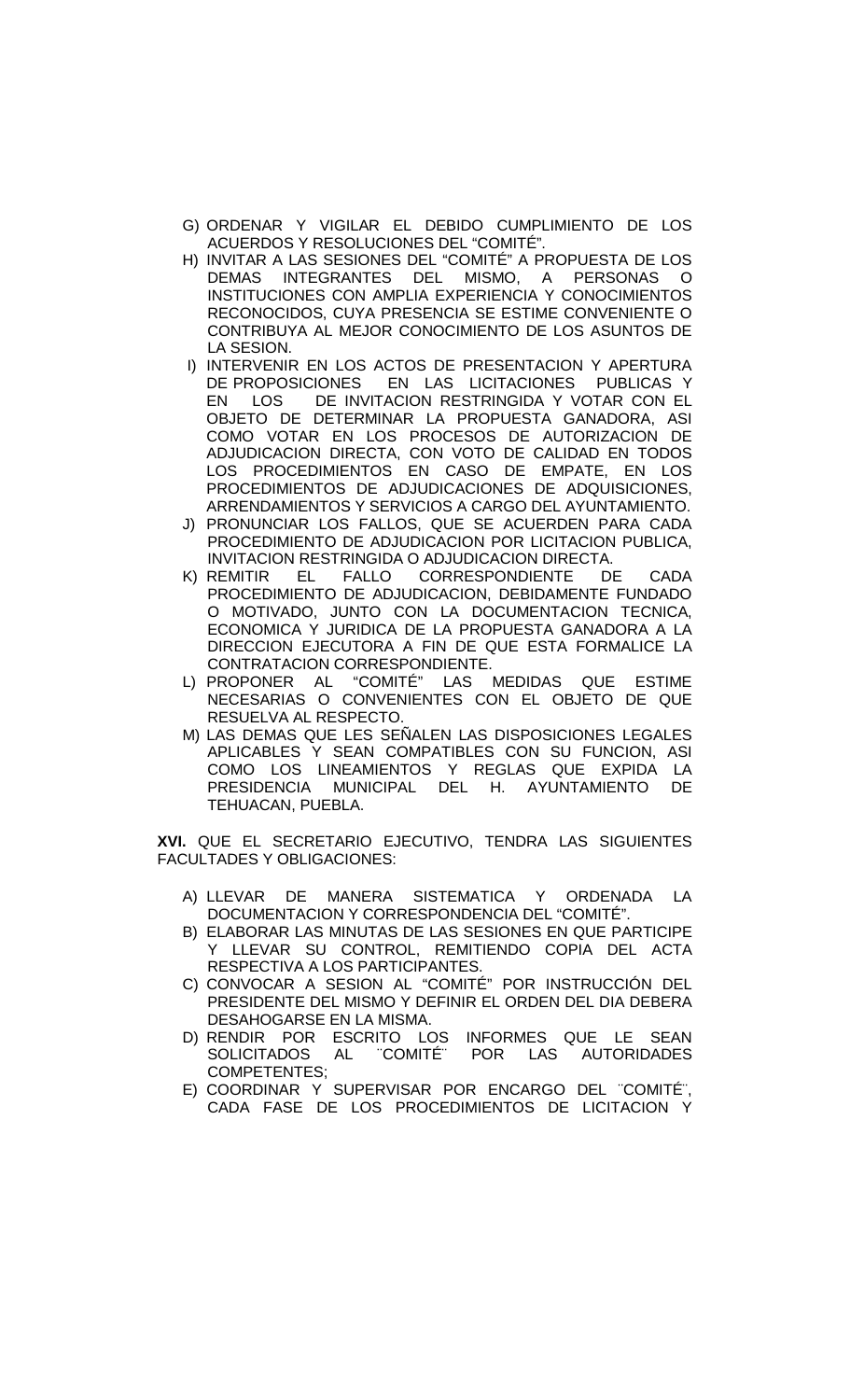- G) ORDENAR Y VIGILAR EL DEBIDO CUMPLIMIENTO DE LOS ACUERDOS Y RESOLUCIONES DEL "COMITÉ".
- H) INVITAR A LAS SESIONES DEL "COMITÉ" A PROPUESTA DE LOS DEMAS INTEGRANTES DEL MISMO, A PERSONAS O INSTITUCIONES CON AMPLIA EXPERIENCIA Y CONOCIMIENTOS RECONOCIDOS, CUYA PRESENCIA SE ESTIME CONVENIENTE O CONTRIBUYA AL MEJOR CONOCIMIENTO DE LOS ASUNTOS DE LA SESION.
- I) INTERVENIR EN LOS ACTOS DE PRESENTACION Y APERTURA DE PROPOSICIONES EN LAS LICITACIONES PUBLICAS Y EN LOS DE INVITACION RESTRINGIDA Y VOTAR CON EL OBJETO DE DETERMINAR LA PROPUESTA GANADORA, ASI COMO VOTAR EN LOS PROCESOS DE AUTORIZACION DE ADJUDICACION DIRECTA, CON VOTO DE CALIDAD EN TODOS LOS PROCEDIMIENTOS EN CASO DE EMPATE, EN LOS PROCEDIMIENTOS DE ADJUDICACIONES DE ADQUISICIONES, ARRENDAMIENTOS Y SERVICIOS A CARGO DEL AYUNTAMIENTO.
- J) PRONUNCIAR LOS FALLOS, QUE SE ACUERDEN PARA CADA PROCEDIMIENTO DE ADJUDICACION POR LICITACION PUBLICA, INVITACION RESTRINGIDA O ADJUDICACION DIRECTA.
- K) REMITIR EL FALLO CORRESPONDIENTE DE CADA PROCEDIMIENTO DE ADJUDICACION, DEBIDAMENTE FUNDADO O MOTIVADO, JUNTO CON LA DOCUMENTACION TECNICA, ECONOMICA Y JURIDICA DE LA PROPUESTA GANADORA A LA DIRECCION EJECUTORA A FIN DE QUE ESTA FORMALICE LA CONTRATACION CORRESPONDIENTE.
- L) PROPONER AL "COMITÉ" LAS MEDIDAS QUE ESTIME NECESARIAS O CONVENIENTES CON EL OBJETO DE QUE RESUELVA AL RESPECTO.
- M) LAS DEMAS QUE LES SEÑALEN LAS DISPOSICIONES LEGALES APLICABLES Y SEAN COMPATIBLES CON SU FUNCION, ASI COMO LOS LINEAMIENTOS Y REGLAS QUE EXPIDA LA PRESIDENCIA MUNICIPAL DEL H. AYUNTAMIENTO DE TEHUACAN, PUEBLA.

**XVI.** QUE EL SECRETARIO EJECUTIVO, TENDRA LAS SIGUIENTES FACULTADES Y OBLIGACIONES:

- A) LLEVAR DE MANERA SISTEMATICA Y ORDENADA LA DOCUMENTACION Y CORRESPONDENCIA DEL "COMITÉ".
- B) ELABORAR LAS MINUTAS DE LAS SESIONES EN QUE PARTICIPE Y LLEVAR SU CONTROL, REMITIENDO COPIA DEL ACTA RESPECTIVA A LOS PARTICIPANTES.
- C) CONVOCAR A SESION AL "COMITÉ" POR INSTRUCCIÓN DEL PRESIDENTE DEL MISMO Y DEFINIR EL ORDEN DEL DIA DEBERA DESAHOGARSE EN LA MISMA.
- D) RENDIR POR ESCRITO LOS INFORMES QUE LE SEAN<br>SOLICITADOS AL "COMITÉ" POR LAS AUTORIDADES SOLICITADOS AL "COMITÉ" POR LAS AUTORIDADES COMPETENTES;
- E) COORDINAR Y SUPERVISAR POR ENCARGO DEL ¨COMITE¨, CADA FASE DE LOS PROCEDIMIENTOS DE LICITACION Y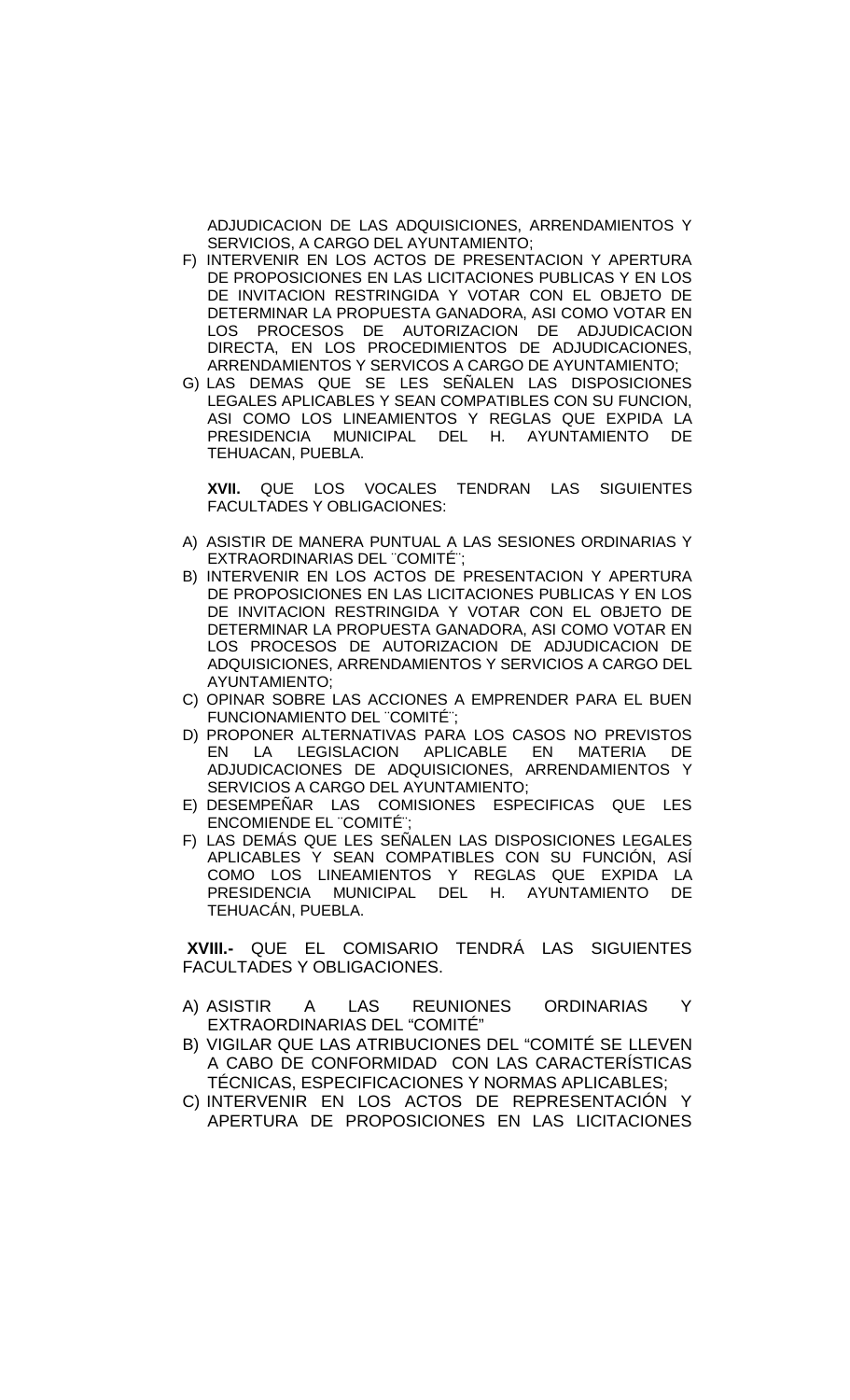ADJUDICACION DE LAS ADQUISICIONES, ARRENDAMIENTOS Y SERVICIOS, A CARGO DEL AYUNTAMIENTO;

- F) INTERVENIR EN LOS ACTOS DE PRESENTACION Y APERTURA DE PROPOSICIONES EN LAS LICITACIONES PUBLICAS Y EN LOS DE INVITACION RESTRINGIDA Y VOTAR CON EL OBJETO DE DETERMINAR LA PROPUESTA GANADORA, ASI COMO VOTAR EN LOS PROCESOS DE AUTORIZACION DE ADJUDICACION DIRECTA, EN LOS PROCEDIMIENTOS DE ADJUDICACIONES, ARRENDAMIENTOS Y SERVICOS A CARGO DE AYUNTAMIENTO;
- G) LAS DEMAS QUE SE LES SENALEN LAS DISPOSICIONES LEGALES APLICABLES Y SEAN COMPATIBLES CON SU FUNCION, ASI COMO LOS LINEAMIENTOS Y REGLAS QUE EXPIDA LA PRESIDENCIA MUNICIPAL DEL H. AYUNTAMIENTO DE TEHUACAN, PUEBLA.

**XVII.** QUE LOS VOCALES TENDRAN LAS SIGUIENTES FACULTADES Y OBLIGACIONES:

- A) ASISTIR DE MANERA PUNTUAL A LAS SESIONES ORDINARIAS Y EXTRAORDINARIAS DEL "COMITÉ";
- B) INTERVENIR EN LOS ACTOS DE PRESENTACION Y APERTURA DE PROPOSICIONES EN LAS LICITACIONES PUBLICAS Y EN LOS DE INVITACION RESTRINGIDA Y VOTAR CON EL OBJETO DE DETERMINAR LA PROPUESTA GANADORA, ASI COMO VOTAR EN LOS PROCESOS DE AUTORIZACION DE ADJUDICACION DE ADQUISICIONES, ARRENDAMIENTOS Y SERVICIOS A CARGO DEL AYUNTAMIENTO;
- C) OPINAR SOBRE LAS ACCIONES A EMPRENDER PARA EL BUEN FUNCIONAMIENTO DEL "COMITÉ";
- D) PROPONER ALTERNATIVAS PARA LOS CASOS NO PREVISTOS<br>EN LA LEGISLACION APLICABLE EN MATERIA DE EN LA LEGISLACION APLICABLE EN MATERIA DE ADJUDICACIONES DE ADQUISICIONES, ARRENDAMIENTOS Y SERVICIOS A CARGO DEL AYUNTAMIENTO;
- E) DESEMPEÑAR LAS COMISIONES ESPECIFICAS QUE LES ENCOMIENDE EL "COMITÉ"
- F) LAS DEMÁS QUE LES SEÑALEN LAS DISPOSICIONES LEGALES APLICABLES Y SEAN COMPATIBLES CON SU FUNCIÓN, ASÍ COMO LOS LINEAMIENTOS Y REGLAS QUE EXPIDA LA PRESIDENCIA MUNICIPAL DEL H. AYUNTAMIENTO DE TEHUACÁN, PUEBLA.

**XVIII.-** QUE EL COMISARIO TENDRÁ LAS SIGUIENTES FACULTADES Y OBLIGACIONES.

- A) ASISTIR A LAS REUNIONES ORDINARIAS Y EXTRAORDINARIAS DEL "COMITÉ"
- B) VIGILAR QUE LAS ATRIBUCIONES DEL "COMITÉ SE LLEVEN A CABO DE CONFORMIDAD CON LAS CARACTERÍSTICAS TÉCNICAS, ESPECIFICACIONES Y NORMAS APLICABLES;
- C) INTERVENIR EN LOS ACTOS DE REPRESENTACIÓN APERTURA DE PROPOSICIONES EN LAS LICITACIONES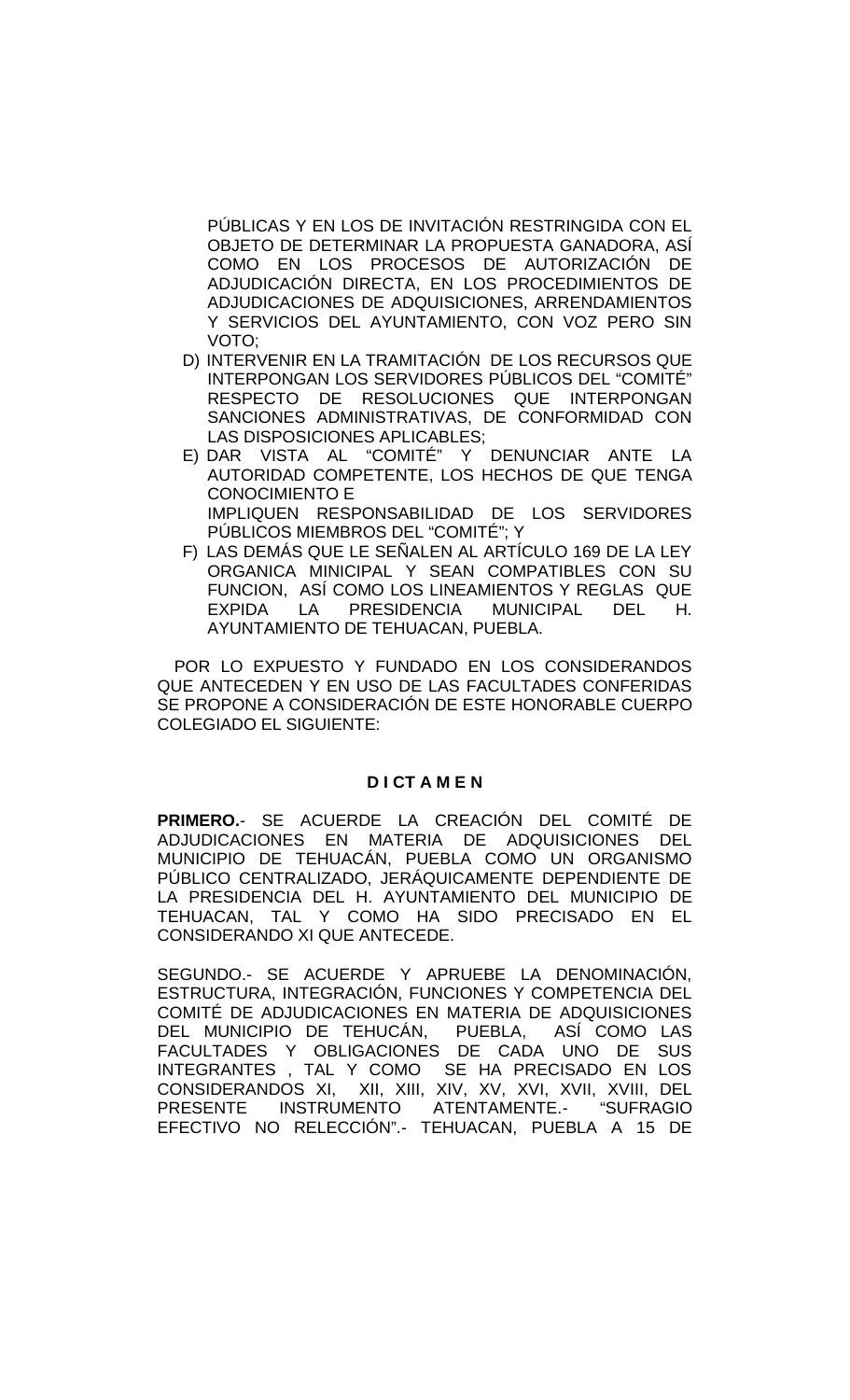PÚBLICAS Y EN LOS DE INVITACIÓN RESTRINGIDA CON EL OBJETO DE DETERMINAR LA PROPUESTA GANADORA, ASÍ COMO EN LOS PROCESOS DE AUTORIZACIÓN DE ADJUDICACIÓN DIRECTA, EN LOS PROCEDIMIENTOS DE ADJUDICACIONES DE ADQUISICIONES, ARRENDAMIENTOS Y SERVICIOS DEL AYUNTAMIENTO, CON VOZ PERO SIN VOTO;

- D) INTERVENIR EN LA TRAMITACIÓN DE LOS RECURSOS QUE INTERPONGAN LOS SERVIDORES PÚBLICOS DEL "COMITÉ" RESPECTO DE RESOLUCIONES QUE INTERPONGAN SANCIONES ADMINISTRATIVAS, DE CONFORMIDAD CON LAS DISPOSICIONES APLICABLES;
- E) DAR VISTA AL "COMITÉ" Y DENUNCIAR ANTE LA AUTORIDAD COMPETENTE, LOS HECHOS DE QUE TENGA CONOCIMIENTO E IMPLIQUEN RESPONSABILIDAD DE LOS SERVIDORES PÚBLICOS MIEMBROS DEL "COMITÉ"; Y
- F) LAS DEMÁS QUE LE SEÑALEN AL ARTÍCULO 169 DE LA LEY ORGANICA MINICIPAL Y SEAN COMPATIBLES CON SU FUNCION, ASÍ COMO LOS LINEAMIENTOS Y REGLAS QUE EXPIDA LA PRESIDENCIA MUNICIPAL DEL H. AYUNTAMIENTO DE TEHUACAN, PUEBLA.

POR LO EXPUESTO Y FUNDADO EN LOS CONSIDERANDOS QUE ANTECEDEN Y EN USO DE LAS FACULTADES CONFERIDAS SE PROPONE A CONSIDERACIÓN DE ESTE HONORABLE CUERPO COLEGIADO EL SIGUIENTE:

# **D I CT A M E N**

**PRIMERO.**- SE ACUERDE LA CREACIÓN DEL COMITÉ DE ADJUDICACIONES EN MATERIA DE ADQUISICIONES DEL MUNICIPIO DE TEHUACÁN, PUEBLA COMO UN ORGANISMO PÚBLICO CENTRALIZADO, JERÁQUICAMENTE DEPENDIENTE DE LA PRESIDENCIA DEL H. AYUNTAMIENTO DEL MUNICIPIO DE TEHUACAN, TAL Y COMO HA SIDO PRECISADO EN EL CONSIDERANDO XI QUE ANTECEDE.

SEGUNDO.- SE ACUERDE Y APRUEBE LA DENOMINACIÓN, ESTRUCTURA, INTEGRACIÓN, FUNCIONES Y COMPETENCIA DEL COMITÉ DE ADJUDICACIONES EN MATERIA DE ADQUISICIONES<br>DEL MUNICIPIO DE TEHUCÁN, PUEBLA, ASÍ COMO LAS DEL MUNICIPIO DE TEHUCÁN, PUEBLA, ASÍ COMO LAS FACULTADES Y OBLIGACIONES DE CADA UNO DE SUS INTEGRANTES , TAL Y COMO SE HA PRECISADO EN LOS CONSIDERANDOS XI, XII, XIII, XIV, XV, XVI, XVII, XVIII, DEL PRESENTE INSTRUMENTO ATENTAMENTE.- "SUFRAGIO EFECTIVO NO RELECCIÓN".- TEHUACAN, PUEBLA A 15 DE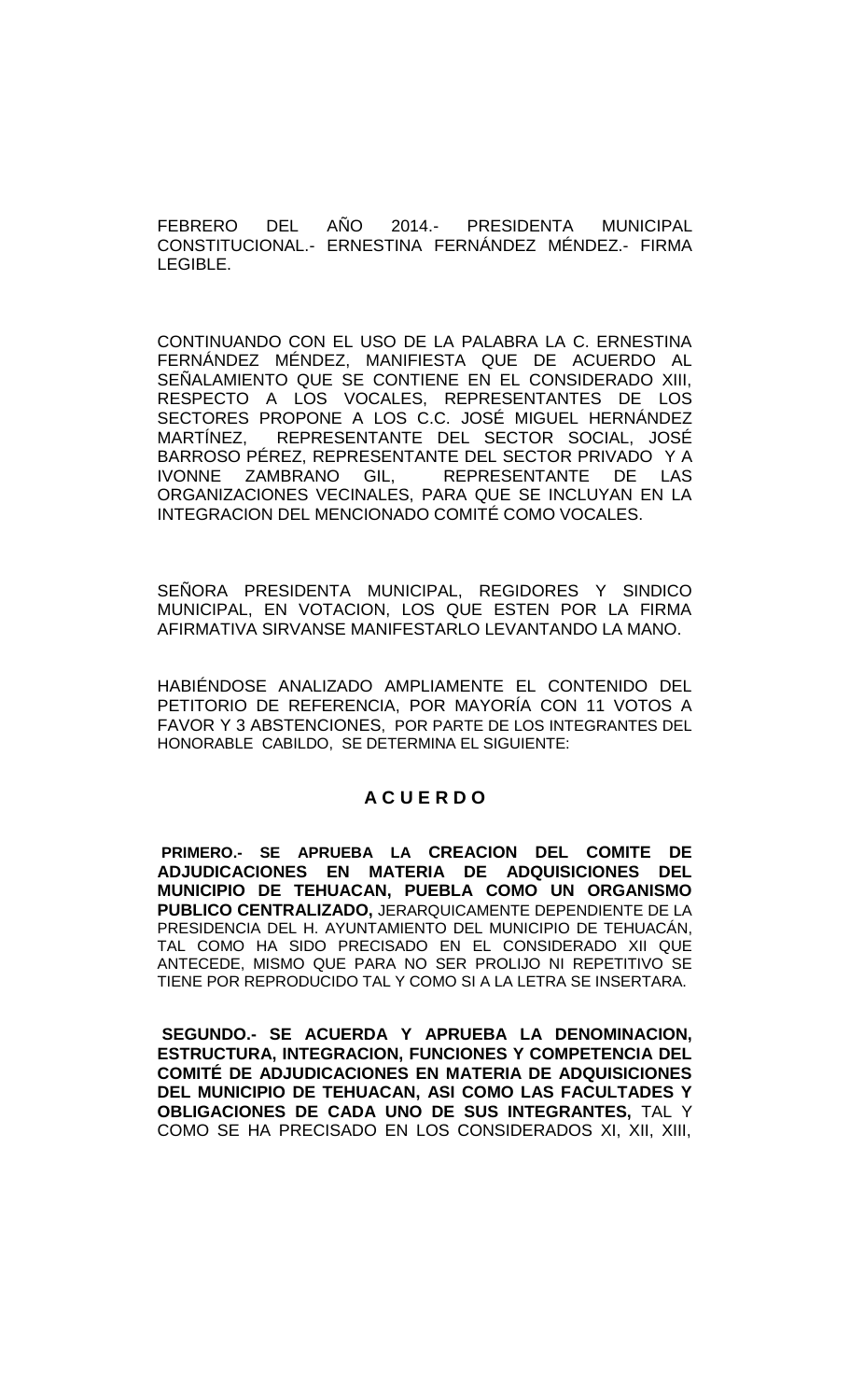FEBRERO DEL AÑO 2014.- PRESIDENTA MUNICIPAL CONSTITUCIONAL.- ERNESTINA FERNÁNDEZ MÉNDEZ.- FIRMA LEGIBLE.

CONTINUANDO CON EL USO DE LA PALABRA LA C. ERNESTINA FERNÁNDEZ MÉNDEZ, MANIFIESTA QUE DE ACUERDO AL SEÑALAMIENTO QUE SE CONTIENE EN EL CONSIDERADO XIII, RESPECTO A LOS VOCALES, REPRESENTANTES DE LOS SECTORES PROPONE A LOS C.C. JOSÉ MIGUEL HERNÁNDEZ MARTÍNEZ, REPRESENTANTE DEL SECTOR SOCIAL, JOSÉ BARROSO PÉREZ, REPRESENTANTE DEL SECTOR PRIVADO Y A IVONNE ZAMBRANO GIL, REPRESENTANTE DE LAS ORGANIZACIONES VECINALES, PARA QUE SE INCLUYAN EN LA INTEGRACION DEL MENCIONADO COMITÉ COMO VOCALES.

SEÑORA PRESIDENTA MUNICIPAL, REGIDORES Y SINDICO MUNICIPAL, EN VOTACION, LOS QUE ESTEN POR LA FIRMA AFIRMATIVA SIRVANSE MANIFESTARLO LEVANTANDO LA MANO.

HABIÉNDOSE ANALIZADO AMPLIAMENTE EL CONTENIDO DEL PETITORIO DE REFERENCIA, POR MAYORÍA CON 11 VOTOS A FAVOR Y 3 ABSTENCIONES, POR PARTE DE LOS INTEGRANTES DEL HONORABLE CABILDO, SE DETERMINA EL SIGUIENTE:

## **A C U E R D O**

**PRIMERO.- SE APRUEBA LA CREACION DEL COMITE DE ADJUDICACIONES EN MATERIA DE ADQUISICIONES DEL MUNICIPIO DE TEHUACAN, PUEBLA COMO UN ORGANISMO PUBLICO CENTRALIZADO,** JERARQUICAMENTE DEPENDIENTE DE LA PRESIDENCIA DEL H. AYUNTAMIENTO DEL MUNICIPIO DE TEHUACÁN, TAL COMO HA SIDO PRECISADO EN EL CONSIDERADO XII QUE ANTECEDE, MISMO QUE PARA NO SER PROLIJO NI REPETITIVO SE TIENE POR REPRODUCIDO TAL Y COMO SI A LA LETRA SE INSERTARA.

**SEGUNDO.- SE ACUERDA Y APRUEBA LA DENOMINACION, ESTRUCTURA, INTEGRACION, FUNCIONES Y COMPETENCIA DEL COMITÉ DE ADJUDICACIONES EN MATERIA DE ADQUISICIONES DEL MUNICIPIO DE TEHUACAN, ASI COMO LAS FACULTADES Y OBLIGACIONES DE CADA UNO DE SUS INTEGRANTES,** TAL Y COMO SE HA PRECISADO EN LOS CONSIDERADOS XI, XII, XIII,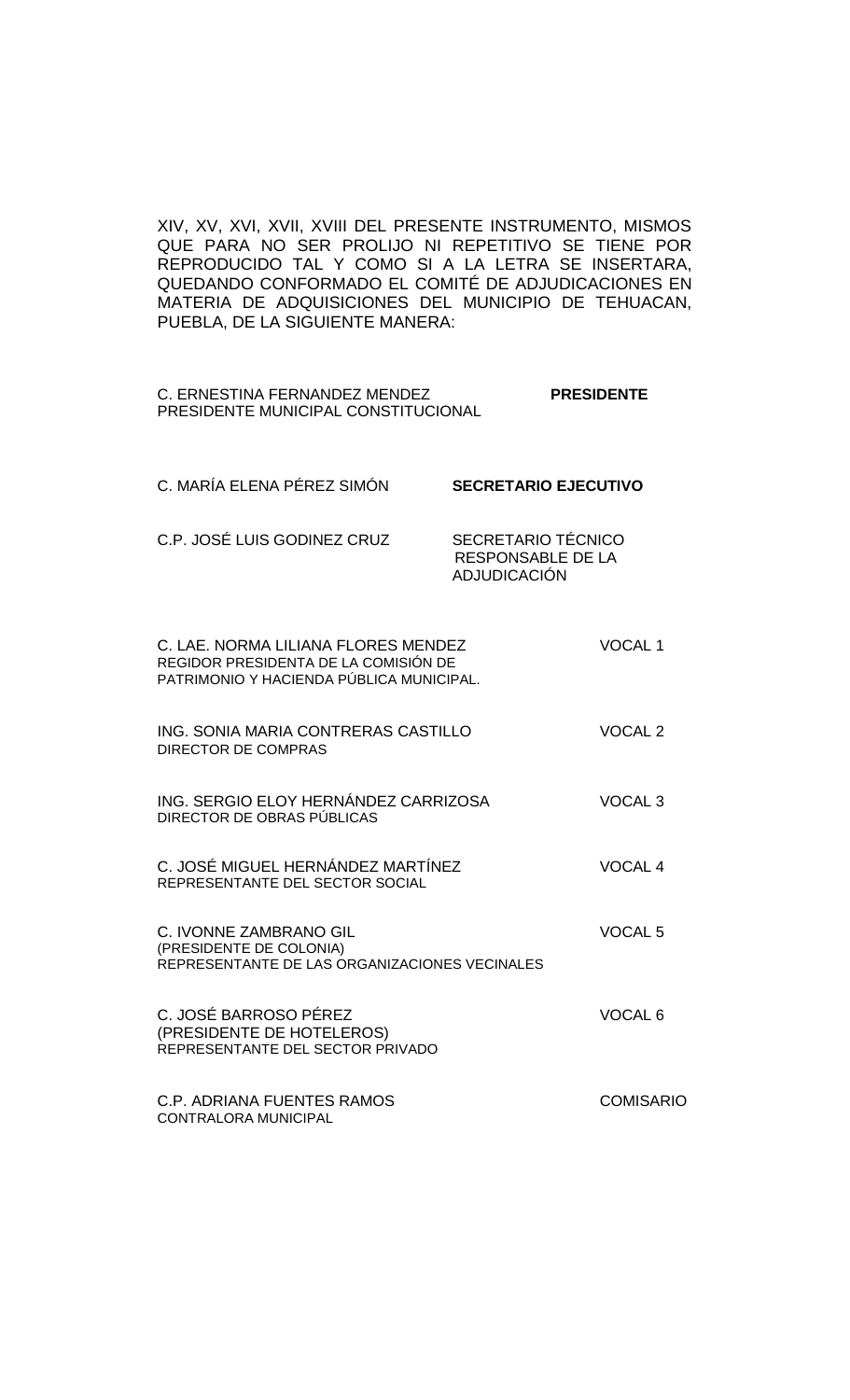XIV, XV, XVI, XVII, XVIII DEL PRESENTE INSTRUMENTO, MISMOS QUE PARA NO SER PROLIJO NI REPETITIVO SE TIENE POR REPRODUCIDO TAL Y COMO SI A LA LETRA SE INSERTARA, QUEDANDO CONFORMADO EL COMITÉ DE ADJUDICACIONES EN MATERIA DE ADQUISICIONES DEL MUNICIPIO DE TEHUACAN, PUEBLA, DE LA SIGUIENTE MANERA:

| C. ERNESTINA FERNANDEZ MENDEZ       | <b>PRESIDENTE</b> |
|-------------------------------------|-------------------|
| PRESIDENTE MUNICIPAL CONSTITUCIONAL |                   |

| C. MARÍA ELENA PÉREZ SIMÓN  | <b>SECRETARIO EJECUTIVO</b>                             |
|-----------------------------|---------------------------------------------------------|
| C.P. JOSÉ LUIS GODINEZ CRUZ | SECRETARIO TÉCNICO<br>RESPONSABLE DE LA<br>ADJUDICACIÓN |

| C. LAE. NORMA LILIANA FLORES MENDEZ<br>REGIDOR PRESIDENTA DE LA COMISIÓN DE<br>PATRIMONIO Y HACIENDA PÚBLICA MUNICIPAL. | <b>VOCAL1</b>      |
|-------------------------------------------------------------------------------------------------------------------------|--------------------|
| ING. SONIA MARIA CONTRERAS CASTILLO<br><b>DIRECTOR DE COMPRAS</b>                                                       | VOCAL <sub>2</sub> |
| ING. SERGIO ELOY HERNÁNDEZ CARRIZOSA<br>DIRECTOR DE OBRAS PÚBLICAS                                                      | VOCAL <sub>3</sub> |
| C. JOSÉ MIGUEL HERNÁNDEZ MARTÍNEZ<br>REPRESENTANTE DEL SECTOR SOCIAL                                                    | <b>VOCAL 4</b>     |
| C. IVONNE ZAMBRANO GIL<br>(PRESIDENTE DE COLONIA)<br>REPRESENTANTE DE LAS ORGANIZACIONES VECINALES                      | VOCAL <sub>5</sub> |
| C. JOSÉ BARROSO PÉREZ<br>(PRESIDENTE DE HOTELEROS)<br>REPRESENTANTE DEL SECTOR PRIVADO                                  | VOCAL <sub>6</sub> |
| C.P. ADRIANA FUENTES RAMOS<br><b>CONTRALORA MUNICIPAL</b>                                                               | <b>COMISARIO</b>   |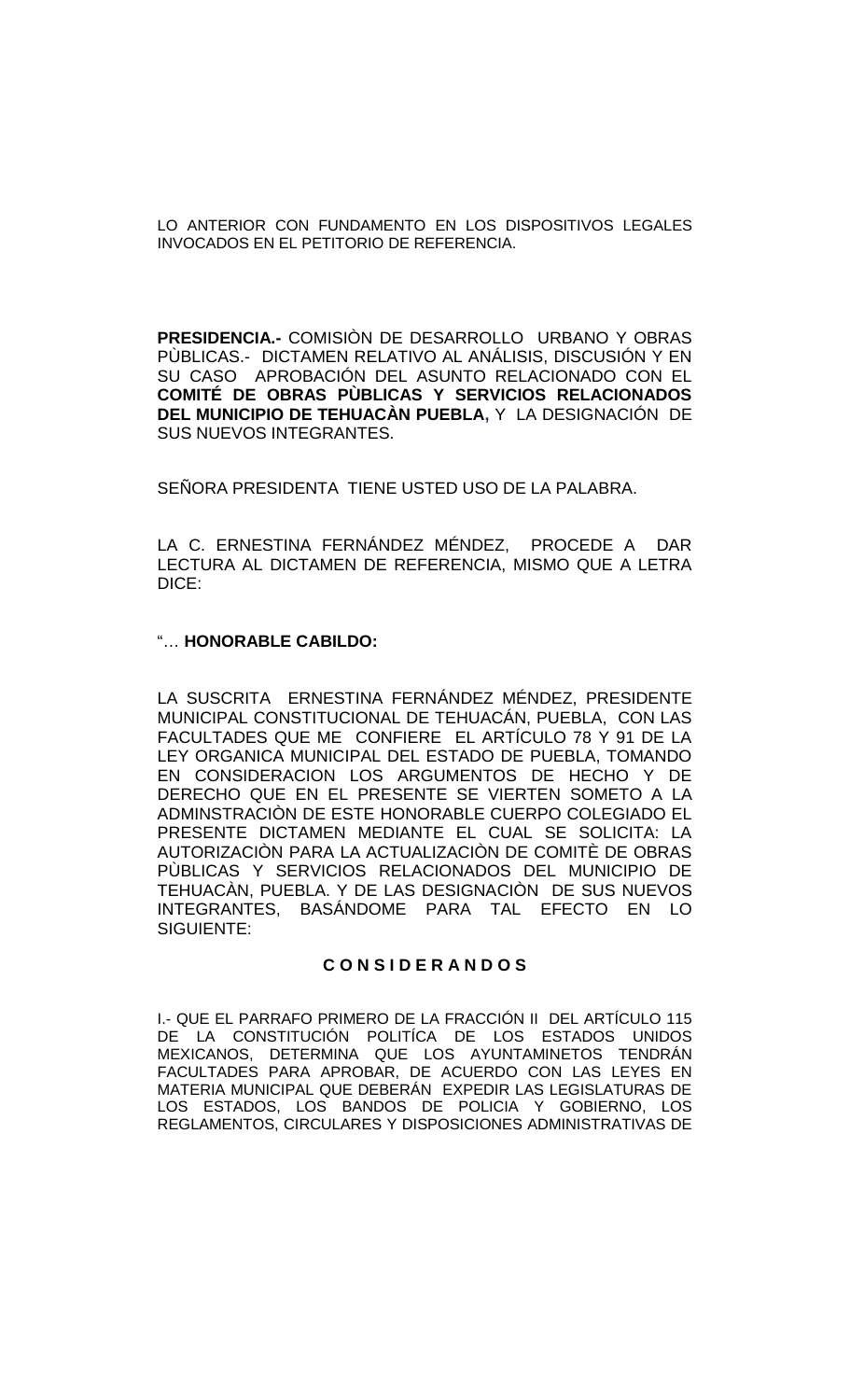LO ANTERIOR CON FUNDAMENTO EN LOS DISPOSITIVOS LEGALES INVOCADOS EN EL PETITORIO DE REFERENCIA.

**PRESIDENCIA.-** COMISIÒN DE DESARROLLO URBANO Y OBRAS PÙBLICAS.- DICTAMEN RELATIVO AL ANÁLISIS, DISCUSIÓN Y EN SU CASO APROBACIÓN DEL ASUNTO RELACIONADO CON EL **COMITÉ DE OBRAS PÙBLICAS Y SERVICIOS RELACIONADOS DEL MUNICIPIO DE TEHUACÀN PUEBLA,** Y LA DESIGNACIÓN DE SUS NUEVOS INTEGRANTES.

SEÑORA PRESIDENTA TIENE USTED USO DE LA PALABRA.

LA C. ERNESTINA FERNÁNDEZ MÉNDEZ, PROCEDE A DAR LECTURA AL DICTAMEN DE REFERENCIA, MISMO QUE A LETRA DICE:

### "… **HONORABLE CABILDO:**

LA SUSCRITA ERNESTINA FERNÁNDEZ MÉNDEZ, PRESIDENTE MUNICIPAL CONSTITUCIONAL DE TEHUACÁN, PUEBLA, CON LAS FACULTADES QUE ME CONFIERE EL ARTÍCULO 78 Y 91 DE LA LEY ORGANICA MUNICIPAL DEL ESTADO DE PUEBLA, TOMANDO EN CONSIDERACION LOS ARGUMENTOS DE HECHO Y DE DERECHO QUE EN EL PRESENTE SE VIERTEN SOMETO A LA ADMINSTRACIÒN DE ESTE HONORABLE CUERPO COLEGIADO EL PRESENTE DICTAMEN MEDIANTE EL CUAL SE SOLICITA: LA AUTORIZACIÓN PARA LA ACTUALIZACIÓN DE COMITÉ DE OBRAS PÙBLICAS Y SERVICIOS RELACIONADOS DEL MUNICIPIO DE TEHUACÀN, PUEBLA. Y DE LAS DESIGNACIÒN DE SUS NUEVOS INTEGRANTES, BASÁNDOME PARA TAL EFECTO EN LO SIGUIENTE:

# **C O N S I D E R A N D O S**

I.- QUE EL PARRAFO PRIMERO DE LA FRACCIÓN II DEL ARTÍCULO 115 DE LA CONSTITUCIÓN POLITÍCA DE LOS ESTADOS UNIDOS MEXICANOS, DETERMINA QUE LOS AYUNTAMINETOS TENDRÁN FACULTADES PARA APROBAR, DE ACUERDO CON LAS LEYES EN MATERIA MUNICIPAL QUE DEBERÁN EXPEDIR LAS LEGISLATURAS DE LOS ESTADOS, LOS BANDOS DE POLICIA Y GOBIERNO, LOS REGLAMENTOS, CIRCULARES Y DISPOSICIONES ADMINISTRATIVAS DE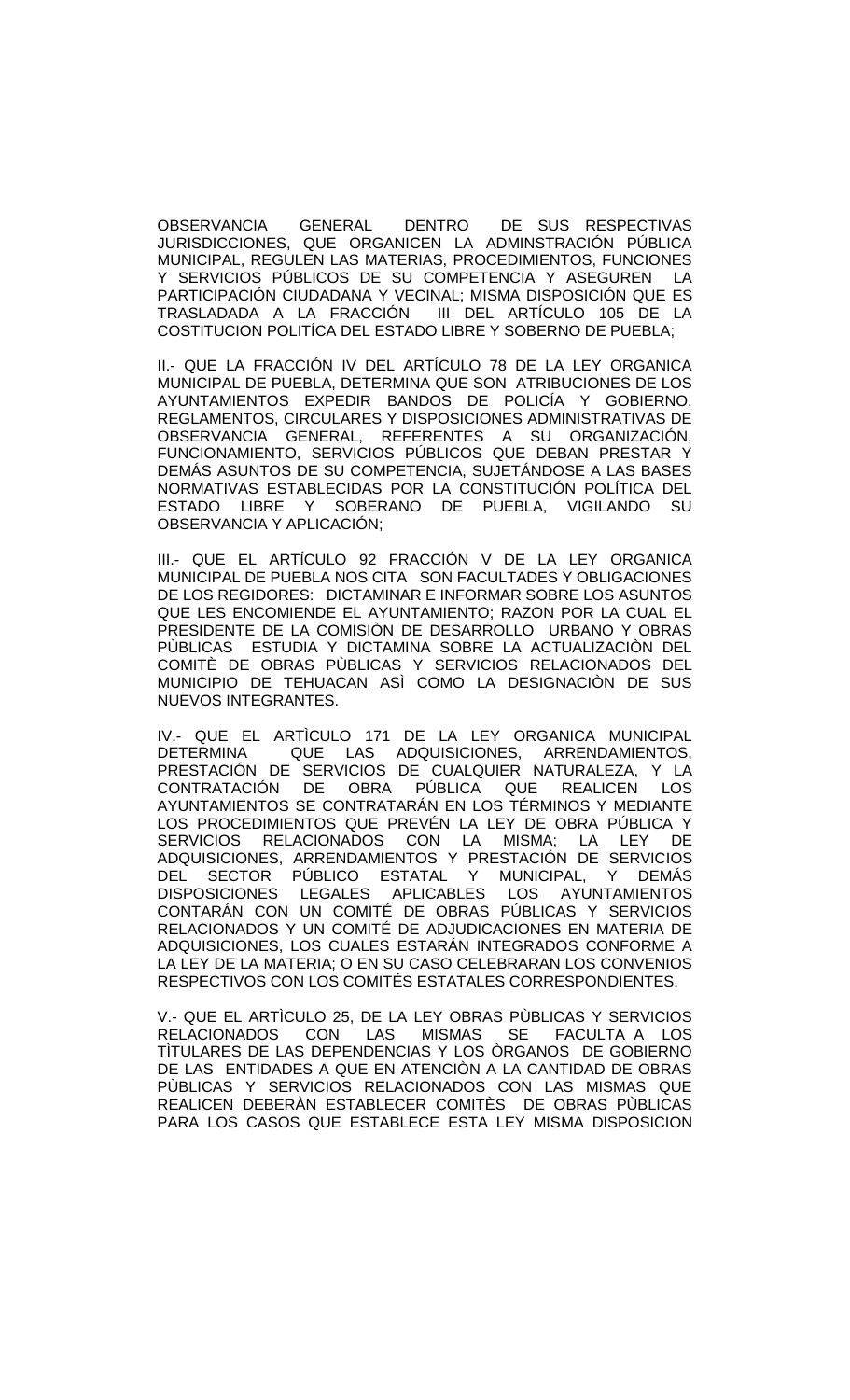OBSERVANCIA GENERAL DENTRO DE SUS RESPECTIVAS JURISDICCIONES, QUE ORGANICEN LA ADMINSTRACIÓN PÚBLICA MUNICIPAL, REGULEN LAS MATERIAS, PROCEDIMIENTOS, FUNCIONES Y SERVICIOS PÚBLICOS DE SU COMPETENCIA Y ASEGUREN LA PARTICIPACIÓN CIUDADANA Y VECINAL; MISMA DISPOSICIÓN QUE ES TRASLADADA A LA FRACCIÓN III DEL ARTÍCULO 105 DE LA COSTITUCION POLITÍCA DEL ESTADO LIBRE Y SOBERNO DE PUEBLA;

II.- QUE LA FRACCIÓN IV DEL ARTÍCULO 78 DE LA LEY ORGANICA MUNICIPAL DE PUEBLA, DETERMINA QUE SON ATRIBUCIONES DE LOS AYUNTAMIENTOS EXPEDIR BANDOS DE POLICÍA Y GOBIERNO, REGLAMENTOS, CIRCULARES Y DISPOSICIONES ADMINISTRATIVAS DE OBSERVANCIA GENERAL, REFERENTES A SU ORGANIZACIÓN, FUNCIONAMIENTO, SERVICIOS PÚBLICOS QUE DEBAN PRESTAR Y DEMÁS ASUNTOS DE SU COMPETENCIA, SUJETÁNDOSE A LAS BASES NORMATIVAS ESTABLECIDAS POR LA CONSTITUCIÓN POLÍTICA DEL ESTADO LIBRE Y SOBERANO DE PUEBLA, VIGILANDO SU OBSERVANCIA Y APLICACIÓN;

III.- QUE EL ARTÍCULO 92 FRACCIÓN V DE LA LEY ORGANICA MUNICIPAL DE PUEBLA NOS CITA SON FACULTADES Y OBLIGACIONES DE LOS REGIDORES: DICTAMINAR E INFORMAR SOBRE LOS ASUNTOS QUE LES ENCOMIENDE EL AYUNTAMIENTO; RAZON POR LA CUAL EL PRESIDENTE DE LA COMISIÒN DE DESARROLLO URBANO Y OBRAS PÙBLICAS ESTUDIA Y DICTAMINA SOBRE LA ACTUALIZACIÒN DEL COMITÈ DE OBRAS PÙBLICAS Y SERVICIOS RELACIONADOS DEL MUNICIPIO DE TEHUACAN ASÌ COMO LA DESIGNACIÒN DE SUS NUEVOS INTEGRANTES.

IV.- QUE EL ARTÌCULO 171 DE LA LEY ORGANICA MUNICIPAL<br>DETERMINA - QUE LAS ADQUISICIONES, ARRENDAMIENTOS, QUE LAS ADQUISICIONES, ARRENDAMIENTOS, PRESTACIÓN DE SERVICIOS DE CUALQUIER NATURALEZA, Y LA CONTRATACIÓN DE OBRA PÚBLICA QUE REALICEN LOS AYUNTAMIENTOS SE CONTRATARÁN EN LOS TÉRMINOS Y MEDIANTE LOS PROCEDIMIENTOS QUE PREVÉN LA LEY DE OBRA PÚBLICA Y SERVICIOS RELACIONADOS CON LA MISMA; LA LEY DE ADQUISICIONES, ARRENDAMIENTOS Y PRESTACION DE SERVICIOS DEL SECTOR PÚBLICO ESTATAL Y MUNICIPAL, Y DEMÁS DISPOSICIONES LEGALES APLICABLES LOS AYUNTAMIENTOS CONTARÁN CON UN COMITÉ DE OBRAS PÚBLICAS Y SERVICIOS RELACIONADOS Y UN COMITÉ DE ADJUDICACIONES EN MATERIA DE ADQUISICIONES, LOS CUALES ESTARÁN INTEGRADOS CONFORME A LA LEY DE LA MATERIA; O EN SU CASO CELEBRARAN LOS CONVENIOS RESPECTIVOS CON LOS COMITÉS ESTATALES CORRESPONDIENTES.

V.- QUE EL ARTÌCULO 25, DE LA LEY OBRAS PÙBLICAS Y SERVICIOS<br>RELACIONADOS CON LAS MISMAS SE FACULTA A LOS RELACIONADOS CON LAS MISMAS SE FACULTA A LOS TÌTULARES DE LAS DEPENDENCIAS Y LOS ÒRGANOS DE GOBIERNO DE LAS ENTIDADES A QUE EN ATENCIÒN A LA CANTIDAD DE OBRAS PÙBLICAS Y SERVICIOS RELACIONADOS CON LAS MISMAS QUE REALICEN DEBERÀN ESTABLECER COMITÈS DE OBRAS PÙBLICAS PARA LOS CASOS QUE ESTABLECE ESTA LEY MISMA DISPOSICION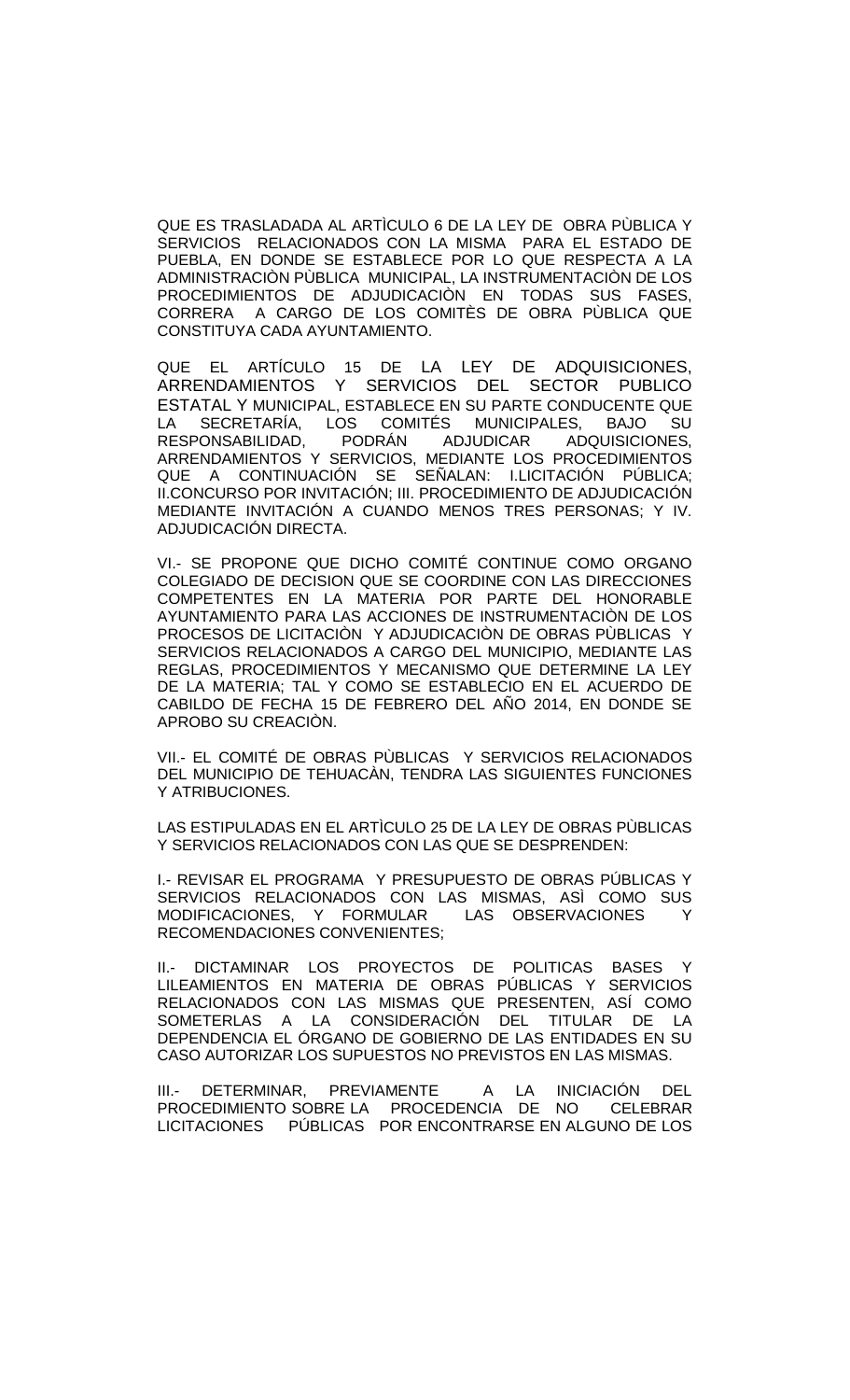QUE ES TRASLADADA AL ARTÌCULO 6 DE LA LEY DE OBRA PÙBLICA Y SERVICIOS RELACIONADOS CON LA MISMA PARA EL ESTADO DE PUEBLA, EN DONDE SE ESTABLECE POR LO QUE RESPECTA A LA ADMINISTRACIÒN PÙBLICA MUNICIPAL, LA INSTRUMENTACIÒN DE LOS PROCEDIMIENTOS DE ADJUDICACIÒN EN TODAS SUS FASES, CORRERA A CARGO DE LOS COMITÈS DE OBRA PÙBLICA QUE CONSTITUYA CADA AYUNTAMIENTO.

QUE EL ARTÍCULO 15 DE LA LEY DE ADQUISICIONES, ARRENDAMIENTOS Y SERVICIOS DEL SECTOR PUBLICO ESTATAL Y MUNICIPAL, ESTABLECE EN SU PARTE CONDUCENTE QUE LA SECRETARÍA, LOS COMITÉS MUNICIPALES, BAJO SU<br>RESPONSABILIDAD. PODRÁN ADJUDICAR ADQUISICIONES, RESPONSABILIDAD, PODRÁN ADJUDICAR ADQUISICIONES, ARRENDAMIENTOS Y SERVICIOS, MEDIANTE LOS PROCEDIMIENTOS QUE A CONTINUACIÓN SE SEÑALAN: I.LICITACIÓN PÚBLICA; II.CONCURSO POR INVITACIÓN; III. PROCEDIMIENTO DE ADJUDICACIÓN MEDIANTE INVITACIÓN A CUANDO MENOS TRES PERSONAS; Y IV. ADJUDICACIÓN DIRECTA.

VI.- SE PROPONE QUE DICHO COMITÉ CONTINUE COMO ORGANO COLEGIADO DE DECISION QUE SE COORDINE CON LAS DIRECCIONES COMPETENTES EN LA MATERIA POR PARTE DEL HONORABLE AYUNTAMIENTO PARA LAS ACCIONES DE INSTRUMENTACIÒN DE LOS PROCESOS DE LICITACIÒN Y ADJUDICACIÒN DE OBRAS PÙBLICAS Y SERVICIOS RELACIONADOS A CARGO DEL MUNICIPIO, MEDIANTE LAS REGLAS, PROCEDIMIENTOS Y MECANISMO QUE DETERMINE LA LEY DE LA MATERIA; TAL Y COMO SE ESTABLECIO EN EL ACUERDO DE CABILDO DE FECHA 15 DE FEBRERO DEL AÑO 2014, EN DONDE SE APROBO SU CREACIÒN.

VII.- EL COMITÉ DE OBRAS PÙBLICAS Y SERVICIOS RELACIONADOS DEL MUNICIPIO DE TEHUACÀN, TENDRA LAS SIGUIENTES FUNCIONES Y ATRIBUCIONES.

LAS ESTIPULADAS EN EL ARTÌCULO 25 DE LA LEY DE OBRAS PÙBLICAS Y SERVICIOS RELACIONADOS CON LAS QUE SE DESPRENDEN:

I.- REVISAR EL PROGRAMA Y PRESUPUESTO DE OBRAS PÚBLICAS Y SERVICIOS RELACIONADOS CON LAS MISMAS, ASÌ COMO SUS MODIFICACIONES, Y FORMULAR LAS OBSERVACIONES Y RECOMENDACIONES CONVENIENTES;

II.- DICTAMINAR LOS PROYECTOS DE POLITICAS BASES Y LILEAMIENTOS EN MATERIA DE OBRAS PÚBLICAS Y SERVICIOS RELACIONADOS CON LAS MISMAS QUE PRESENTEN, ASÍ COMO SOMETERLAS A LA CONSIDERACIÓN DEL TITULAR DE LA DEPENDENCIA EL ÓRGANO DE GOBIERNO DE LAS ENTIDADES EN SU CASO AUTORIZAR LOS SUPUESTOS NO PREVISTOS EN LAS MISMAS.

III.- DETERMINAR, PREVIAMENTE A LA INICIACIÓN DEL PROCEDIMIENTO SOBRE LA PROCEDENCIA DE NO CELEBRAR LICITACIONES PÚBLICAS POR ENCONTRARSE EN ALGUNO DE LOS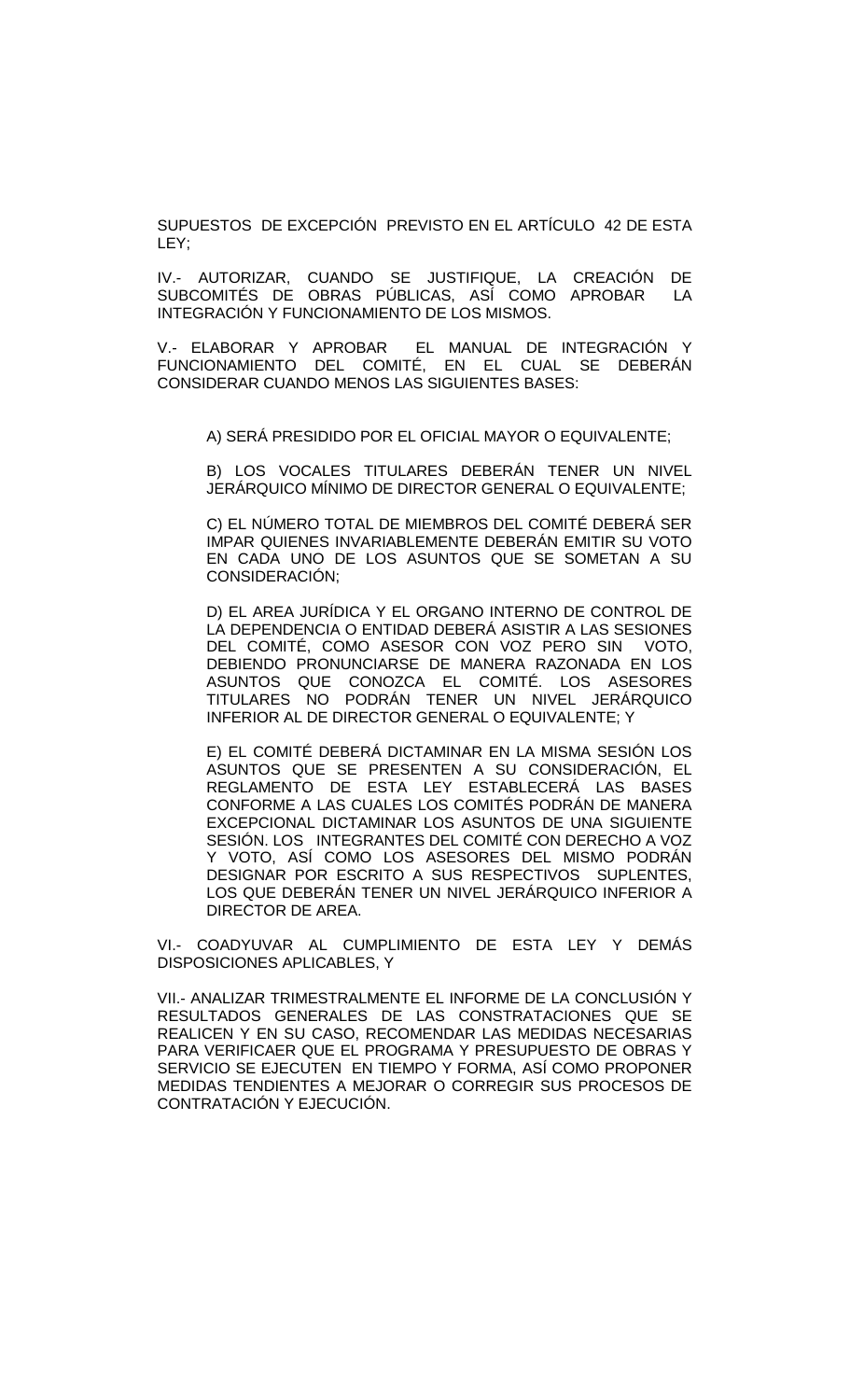SUPUESTOS DE EXCEPCIÓN PREVISTO EN EL ARTÍCULO 42 DE ESTA LEY;

IV.- AUTORIZAR, CUANDO SE JUSTIFIQUE, LA CREACIÓN DE SUBCOMITÉS DE OBRAS PÚBLICAS, ASÍ COMO APROBAR LA INTEGRACIÓN Y FUNCIONAMIENTO DE LOS MISMOS.

V.- ELABORAR Y APROBAR EL MANUAL DE INTEGRACIÓN Y FUNCIONAMIENTO DEL COMITÉ, EN EL CUAL SE DEBERÁN CONSIDERAR CUANDO MENOS LAS SIGUIENTES BASES:

A) SERÁ PRESIDIDO POR EL OFICIAL MAYOR O EQUIVALENTE;

B) LOS VOCALES TITULARES DEBERÁN TENER UN NIVEL JERÁRQUICO MÍNIMO DE DIRECTOR GENERAL O EQUIVALENTE;

C) EL NÚMERO TOTAL DE MIEMBROS DEL COMITÉ DEBERÁ SER IMPAR QUIENES INVARIABLEMENTE DEBERÁN EMITIR SU VOTO EN CADA UNO DE LOS ASUNTOS QUE SE SOMETAN A SU CONSIDERACIÓN;

D) EL AREA JURÍDICA Y EL ORGANO INTERNO DE CONTROL DE LA DEPENDENCIA O ENTIDAD DEBERÁ ASISTIR A LAS SESIONES DEL COMITÉ, COMO ASESOR CON VOZ PERO SIN VOTO, DEBIENDO PRONUNCIARSE DE MANERA RAZONADA EN LOS ASUNTOS QUE CONOZCA EL COMITÉ. LOS ASESORES TITULARES NO PODRÁN TENER UN NIVEL JERÁRQUICO INFERIOR AL DE DIRECTOR GENERAL O EQUIVALENTE; Y

E) EL COMITÉ DEBERÁ DICTAMINAR EN LA MISMA SESIÓN LOS ASUNTOS QUE SE PRESENTEN A SU CONSIDERACIÓN, EL REGLAMENTO DE ESTA LEY ESTABLECERÁ LAS BASES CONFORME A LAS CUALES LOS COMITÉS PODRÁN DE MANERA EXCEPCIONAL DICTAMINAR LOS ASUNTOS DE UNA SIGUIENTE SESIÓN. LOS INTEGRANTES DEL COMITÉ CON DERECHO A VOZ Y VOTO, ASÍ COMO LOS ASESORES DEL MISMO PODRÁN DESIGNAR POR ESCRITO A SUS RESPECTIVOS SUPLENTES, LOS QUE DEBERÁN TENER UN NIVEL JERÁRQUICO INFERIOR A DIRECTOR DE AREA.

VI.- COADYUVAR AL CUMPLIMIENTO DE ESTA LEY Y DEMÁS DISPOSICIONES APLICABLES, Y

VII.- ANALIZAR TRIMESTRALMENTE EL INFORME DE LA CONCLUSIÓN Y RESULTADOS GENERALES DE LAS CONSTRATACIONES QUE SE REALICEN Y EN SU CASO, RECOMENDAR LAS MEDIDAS NECESARIAS PARA VERIFICAER QUE EL PROGRAMA Y PRESUPUESTO DE OBRAS Y SERVICIO SE EJECUTEN EN TIEMPO Y FORMA, ASÍ COMO PROPONER MEDIDAS TENDIENTES A MEJORAR O CORREGIR SUS PROCESOS DE CONTRATACIÓN Y EJECUCIÓN.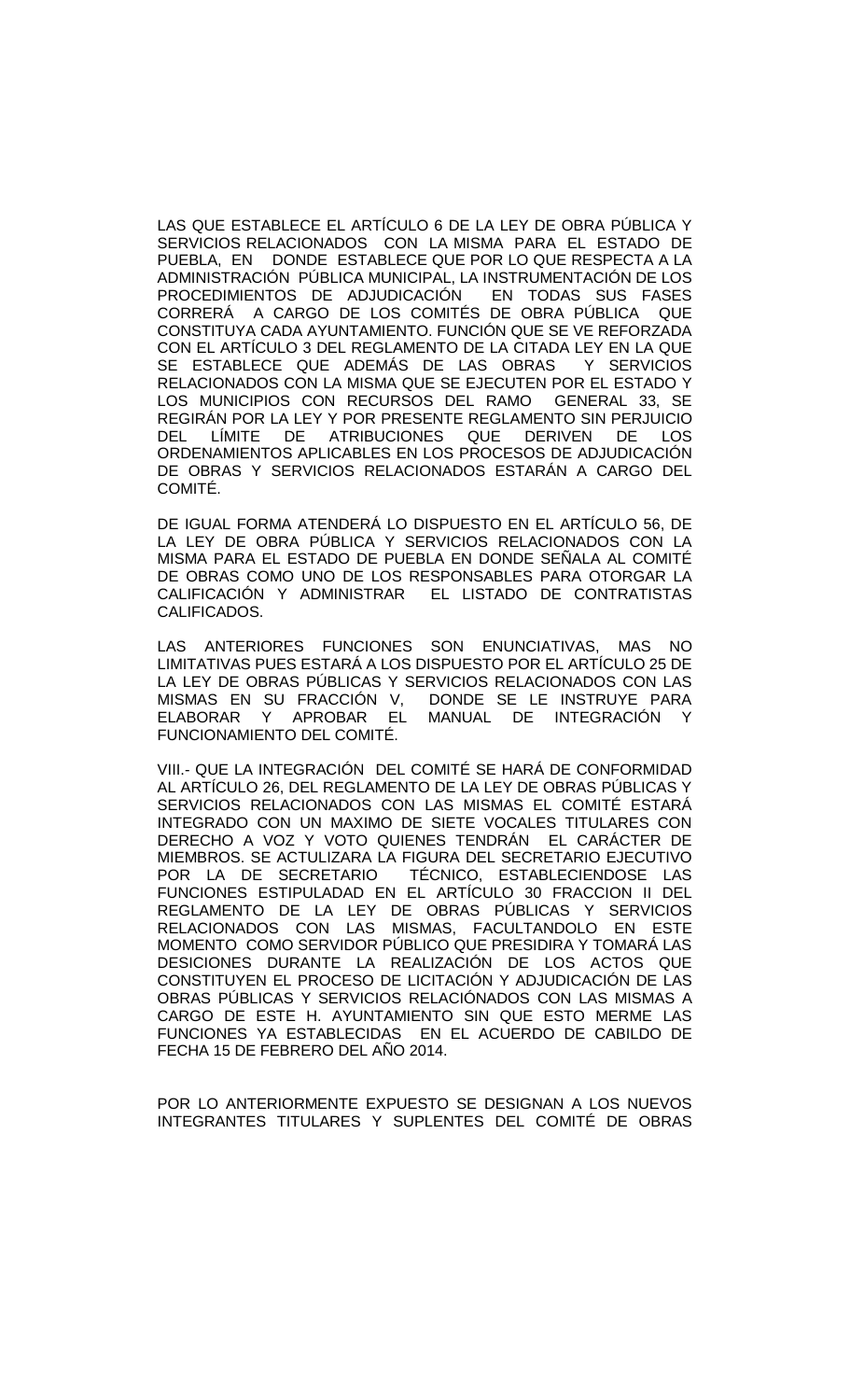LAS QUE ESTABLECE EL ARTÍCULO 6 DE LA LEY DE OBRA PÚBLICA Y SERVICIOS RELACIONADOS CON LA MISMA PARA EL ESTADO DE PUEBLA, EN DONDE ESTABLECE QUE POR LO QUE RESPECTA A LA ADMINISTRACIÓN PÚBLICA MUNICIPAL, LA INSTRUMENTACIÓN DE LOS PROCEDIMIENTOS DE ADJUDICACIÓN EN TODAS SUS FASES CORRERÁ A CARGO DE LOS COMITÉS DE OBRA PÚBLICA QUE CONSTITUYA CADA AYUNTAMIENTO. FUNCIÓN QUE SE VE REFORZADA CON EL ARTÍCULO 3 DEL REGLAMENTO DE LA CITADA LEY EN LA QUE SE ESTABLECE QUE ADEMÁS DE LAS OBRAS RELACIONADOS CON LA MISMA QUE SE EJECUTEN POR EL ESTADO Y LOS MUNICIPIOS CON RECURSOS DEL RAMO GENERAL 33, SE REGIRÁN POR LA LEY Y POR PRESENTE REGLAMENTO SIN PERJUICIO DEL LÍMITE DE ATRIBUCIONES QUE DERIVEN DE LOS ORDENAMIENTOS APLICABLES EN LOS PROCESOS DE ADJUDICACIÓN DE OBRAS Y SERVICIOS RELACIONADOS ESTARÁN A CARGO DEL COMITÉ.

DE IGUAL FORMA ATENDERÁ LO DISPUESTO EN EL ARTÍCULO 56, DE LA LEY DE OBRA PÚBLICA Y SERVICIOS RELACIONADOS CON LA MISMA PARA EL ESTADO DE PUEBLA EN DONDE SEÑALA AL COMITÉ DE OBRAS COMO UNO DE LOS RESPONSABLES PARA OTORGAR LA CALIFICACIÓN Y ADMINISTRAR EL LISTADO DE CONTRATISTAS CALIFICADOS.

LAS ANTERIORES FUNCIONES SON ENUNCIATIVAS, MAS NO LIMITATIVAS PUES ESTARÁ A LOS DISPUESTO POR EL ARTÍCULO 25 DE LA LEY DE OBRAS PÚBLICAS Y SERVICIOS RELACIONADOS CON LAS<br>MISMAS EN SU FRACCIÓN V, DONDE SE LE INSTRUYE PARA DONDE SE LE INSTRUYE PARA ELABORAR Y APROBAR EL MANUAL DE INTEGRACIÓN Y FUNCIONAMIENTO DEL COMITÉ.

VIII.- QUE LA INTEGRACIÓN DEL COMITÉ SE HARÁ DE CONFORMIDAD AL ARTÍCULO 26, DEL REGLAMENTO DE LA LEY DE OBRAS PÚBLICAS Y SERVICIOS RELACIONADOS CON LAS MISMAS EL COMITÉ ESTARÁ INTEGRADO CON UN MAXIMO DE SIETE VOCALES TITULARES CON DERECHO A VOZ Y VOTO QUIENES TENDRÁN EL CARÁCTER DE MIEMBROS. SE ACTULIZARA LA FIGURA DEL SECRETARIO EJECUTIVO POR LA DE SECRETARIO TÉCNICO, ESTABLECIENDOSE LAS FUNCIONES ESTIPULADAD EN EL ARTÍCULO 30 FRACCION II DEL REGLAMENTO DE LA LEY DE OBRAS PÚBLICAS Y SERVICIOS RELACIONADOS CON LAS MISMAS, FACULTANDOLO EN ESTE MOMENTO COMO SERVIDOR PÚBLICO QUE PRESIDIRA Y TOMARÁ LAS DESICIONES DURANTE LA REALIZACIÓN DE LOS ACTOS QUE CONSTITUYEN EL PROCESO DE LICITACIÓN Y ADJUDICACIÓN DE LAS OBRAS PÚBLICAS Y SERVICIOS RELACIÓNADOS CON LAS MISMAS A CARGO DE ESTE H. AYUNTAMIENTO SIN QUE ESTO MERME LAS FUNCIONES YA ESTABLECIDAS EN EL ACUERDO DE CABILDO DE FECHA 15 DE FEBRERO DEL AÑO 2014.

POR LO ANTERIORMENTE EXPUESTO SE DESIGNAN A LOS NUEVOS INTEGRANTES TITULARES Y SUPLENTES DEL COMITÉ DE OBRAS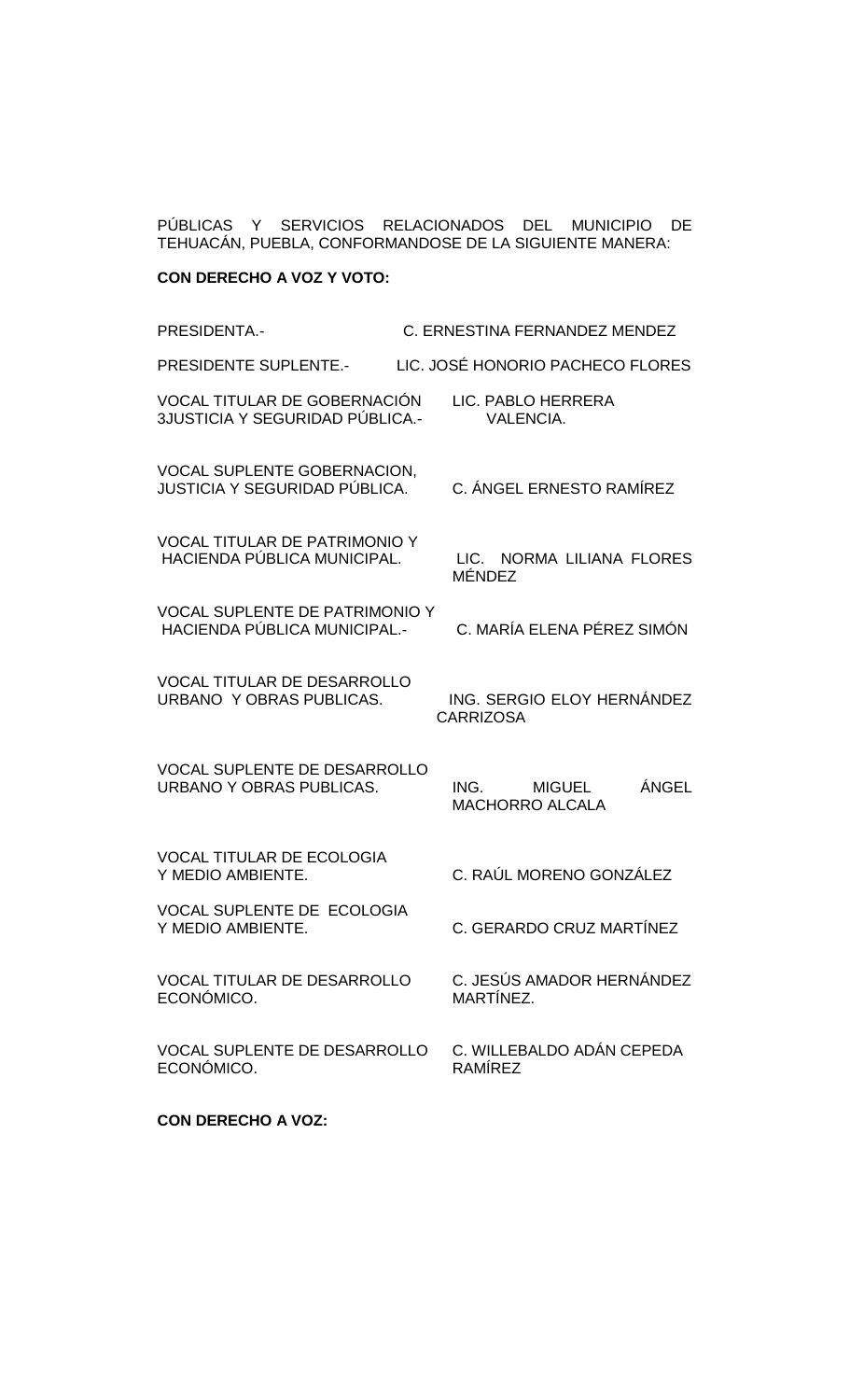PÚBLICAS Y SERVICIOS RELACIONADOS DEL MUNICIPIO DE TEHUACÁN, PUEBLA, CONFORMANDOSE DE LA SIGUIENTE MANERA:

# **CON DERECHO A VOZ Y VOTO:**

| PRESIDENTA.-                                                                 | C. ERNESTINA FERNANDEZ MENDEZ                            |
|------------------------------------------------------------------------------|----------------------------------------------------------|
| PRESIDENTE SUPLENTE.-                                                        | LIC. JOSÉ HONORIO PACHECO FLORES                         |
| VOCAL TITULAR DE GOBERNACIÓN<br>3JUSTICIA Y SEGURIDAD PÚBLICA.-              | LIC. PABLO HERRERA<br><b>VALENCIA.</b>                   |
| <b>VOCAL SUPLENTE GOBERNACION,</b><br>JUSTICIA Y SEGURIDAD PÚBLICA.          | C. ÁNGEL ERNESTO RAMÍREZ                                 |
| <b>VOCAL TITULAR DE PATRIMONIO Y</b><br>HACIENDA PÚBLICA MUNICIPAL.          | LIC. NORMA LILIANA FLORES<br><b>MÉNDEZ</b>               |
| <b>VOCAL SUPLENTE DE PATRIMONIO Y</b><br><b>HACIENDA PÚBLICA MUNICIPAL.-</b> | C. MARÍA ELENA PÉREZ SIMÓN                               |
| <b>VOCAL TITULAR DE DESARROLLO</b><br>URBANO Y OBRAS PUBLICAS.               | ING. SERGIO ELOY HERNÁNDEZ<br><b>CARRIZOSA</b>           |
| <b>VOCAL SUPLENTE DE DESARROLLO</b><br>URBANO Y OBRAS PUBLICAS.              | ÁNGEL<br>ING.<br><b>MIGUEL</b><br><b>MACHORRO ALCALA</b> |
| <b>VOCAL TITULAR DE ECOLOGIA</b><br>Y MEDIO AMBIENTE.                        | C. RAÚL MORENO GONZÁLEZ                                  |
| <b>VOCAL SUPLENTE DE ECOLOGIA</b><br>Y MEDIO AMBIENTE.                       | C. GERARDO CRUZ MARTÍNEZ                                 |
| <b>VOCAL TITULAR DE DESARROLLO</b><br>ECONÓMICO.                             | C. JESÚS AMADOR HERNÁNDEZ<br>MARTÍNEZ.                   |
| <b>VOCAL SUPLENTE DE DESARROLLO</b><br>ECONÓMICO.                            | C. WILLEBALDO ADÁN CEPEDA<br><b>RAMÍREZ</b>              |
| <b>CON DERECHO A VOZ:</b>                                                    |                                                          |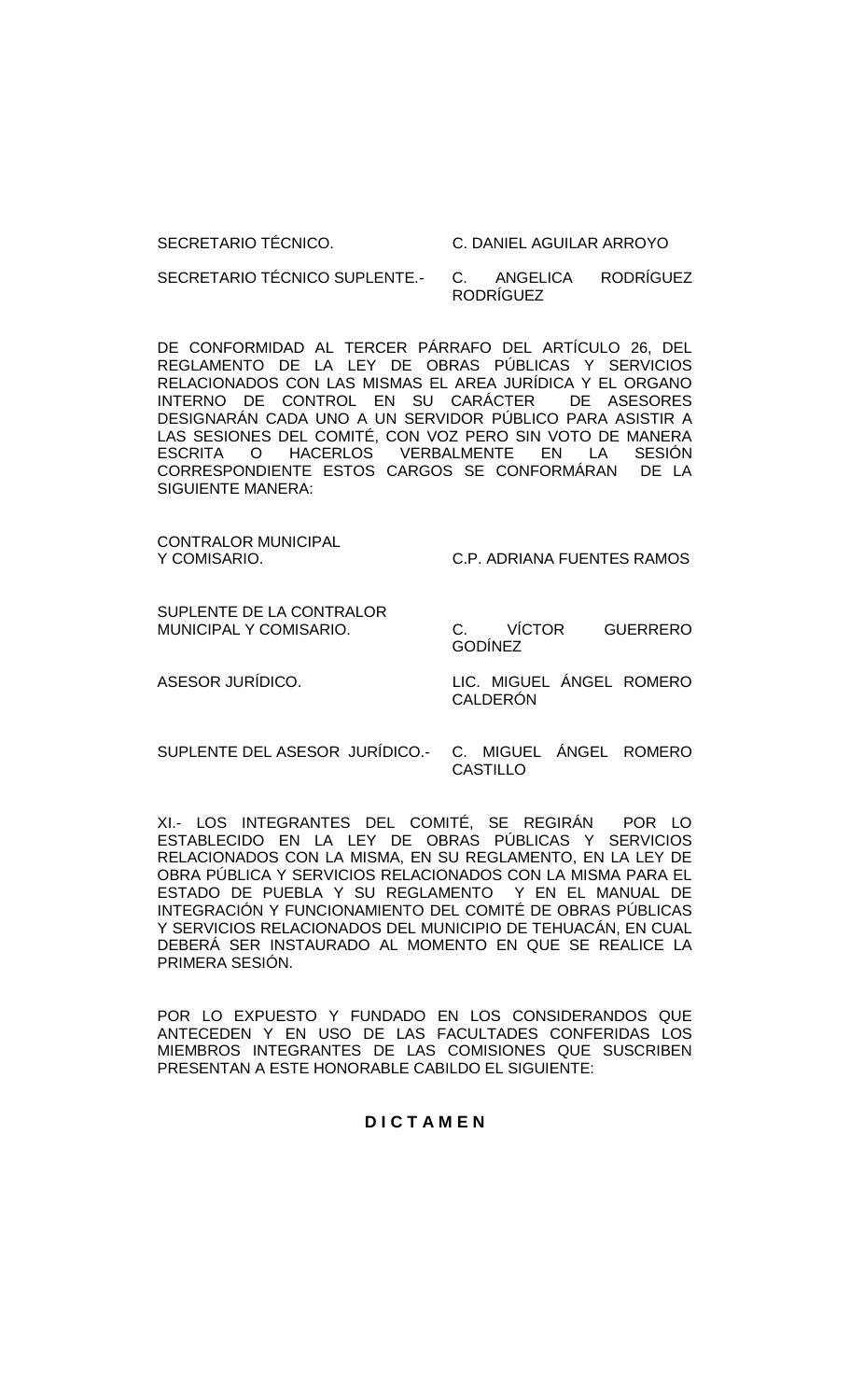#### SECRETARIO TÉCNICO. C. DANIEL AGUILAR ARROYO

SECRETARIO TÉCNICO SUPLENTE.- C. ANGELICA RODRÍGUEZ RODRÍGUEZ

DE CONFORMIDAD AL TERCER PÁRRAFO DEL ARTÍCULO 26, DEL REGLAMENTO DE LA LEY DE OBRAS PÚBLICAS Y SERVICIOS RELACIONADOS CON LAS MISMAS EL AREA JURÍDICA Y EL ORGANO<br>INTERNO DE CONTROL EN SU CARÁCTER DE ASESORES INTERNO DE CONTROL EN SU CARÁCTER DESIGNARÁN CADA UNO A UN SERVIDOR PÚBLICO PARA ASISTIR A LAS SESIONES DEL COMITÉ, CON VOZ PERO SIN VOTO DE MANERA ESCRITA O HACERLOS VERBALMENTE EN LA SESIÓN CORRESPONDIENTE ESTOS CARGOS SE CONFORMÁRAN DE LA SIGUIENTE MANERA:

CONTRALOR MUNICIPAL

Y COMISARIO. C.P. ADRIANA FUENTES RAMOS

SUPLENTE DE LA CONTRALOR

MUNICIPAL Y COMISARIO. C. VÍCTOR GUERRERO GODÍNEZ

ASESOR JURÍDICO. LIC. MIGUEL ÁNGEL ROMERO CALDERÓN

SUPLENTE DEL ASESOR JURÍDICO.- C. MIGUEL ÁNGEL ROMERO **CASTILLO** 

XI.- LOS INTEGRANTES DEL COMITÉ, SE REGIRÁN POR LO ESTABLECIDO EN LA LEY DE OBRAS PÚBLICAS Y SERVICIOS RELACIONADOS CON LA MISMA, EN SU REGLAMENTO, EN LA LEY DE OBRA PÚBLICA Y SERVICIOS RELACIONADOS CON LA MISMA PARA EL ESTADO DE PUEBLA Y SU REGLAMENTO Y EN EL MANUAL DE INTEGRACIÓN Y FUNCIONAMIENTO DEL COMITÉ DE OBRAS PÚBLICAS Y SERVICIOS RELACIONADOS DEL MUNICIPIO DE TEHUACÁN, EN CUAL DEBERÁ SER INSTAURADO AL MOMENTO EN QUE SE REALICE LA PRIMERA SESIÓN.

POR LO EXPUESTO Y FUNDADO EN LOS CONSIDERANDOS QUE ANTECEDEN Y EN USO DE LAS FACULTADES CONFERIDAS LOS MIEMBROS INTEGRANTES DE LAS COMISIONES QUE SUSCRIBEN PRESENTAN A ESTE HONORABLE CABILDO EL SIGUIENTE:

## **D I C T A M E N**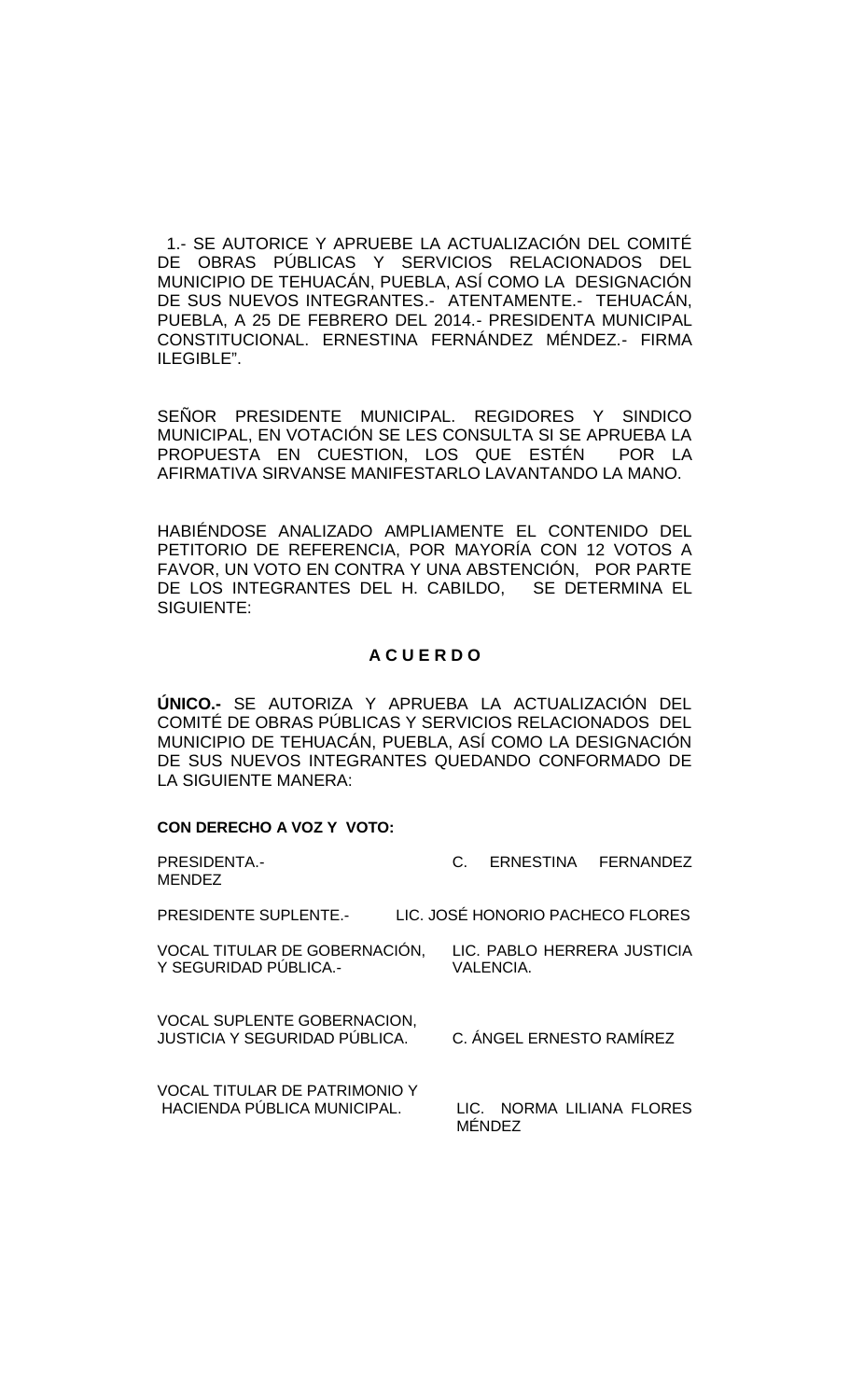1.- SE AUTORICE Y APRUEBE LA ACTUALIZACIÓN DEL COMITÉ DE OBRAS PÚBLICAS Y SERVICIOS RELACIONADOS DEL MUNICIPIO DE TEHUACÁN, PUEBLA, ASÍ COMO LA DESIGNACIÓN DE SUS NUEVOS INTEGRANTES.- ATENTAMENTE.- TEHUACÁN, PUEBLA, A 25 DE FEBRERO DEL 2014.- PRESIDENTA MUNICIPAL CONSTITUCIONAL. ERNESTINA FERNÁNDEZ MÉNDEZ.- FIRMA ILEGIBLE".

SEÑOR PRESIDENTE MUNICIPAL. REGIDORES Y SINDICO MUNICIPAL, EN VOTACIÓN SE LES CONSULTA SI SE APRUEBA LA PROPUESTA EN CUESTION, LOS QUE ESTÉN AFIRMATIVA SIRVANSE MANIFESTARLO LAVANTANDO LA MANO.

HABIÉNDOSE ANALIZADO AMPLIAMENTE EL CONTENIDO DEL PETITORIO DE REFERENCIA, POR MAYORÍA CON 12 VOTOS A FAVOR, UN VOTO EN CONTRA Y UNA ABSTENCIÓN, POR PARTE DE LOS INTEGRANTES DEL H. CABILDO, SE DETERMINA EL SIGUIENTE:

## **A C U E R D O**

**ÚNICO.-** SE AUTORIZA Y APRUEBA LA ACTUALIZACIÓN DEL COMITÉ DE OBRAS PÚBLICAS Y SERVICIOS RELACIONADOS DEL MUNICIPIO DE TEHUACÁN, PUEBLA, ASÍ COMO LA DESIGNACIÓN DE SUS NUEVOS INTEGRANTES QUEDANDO CONFORMADO DE LA SIGUIENTE MANERA:

#### **CON DERECHO A VOZ Y VOTO:**

| <b>PRESIDENTA.-</b>                                                        | $C_{\cdot}$                      |
|----------------------------------------------------------------------------|----------------------------------|
| <b>MENDEZ</b>                                                              | ERNESTINA FERNANDEZ              |
| <b>PRESIDENTE SUPLENTE.-</b>                                               | LIC. JOSÉ HONORIO PACHECO FLORES |
| VOCAL TITULAR DE GOBERNACIÓN,                                              | LIC. PABLO HERRERA JUSTICIA      |
| Y SEGURIDAD PÚBLICA.-                                                      | <b>VALENCIA.</b>                 |
| <b>VOCAL SUPLENTE GOBERNACION,</b><br><b>JUSTICIA Y SEGURIDAD PÚBLICA.</b> | C. ÁNGEL ERNESTO RAMÍREZ         |
| <b>VOCAL TITULAR DE PATRIMONIO Y</b>                                       | LIC. NORMA LILIANA FLORES        |
| HACIENDA PÚBLICA MUNICIPAL.                                                | <b>MÉNDEZ</b>                    |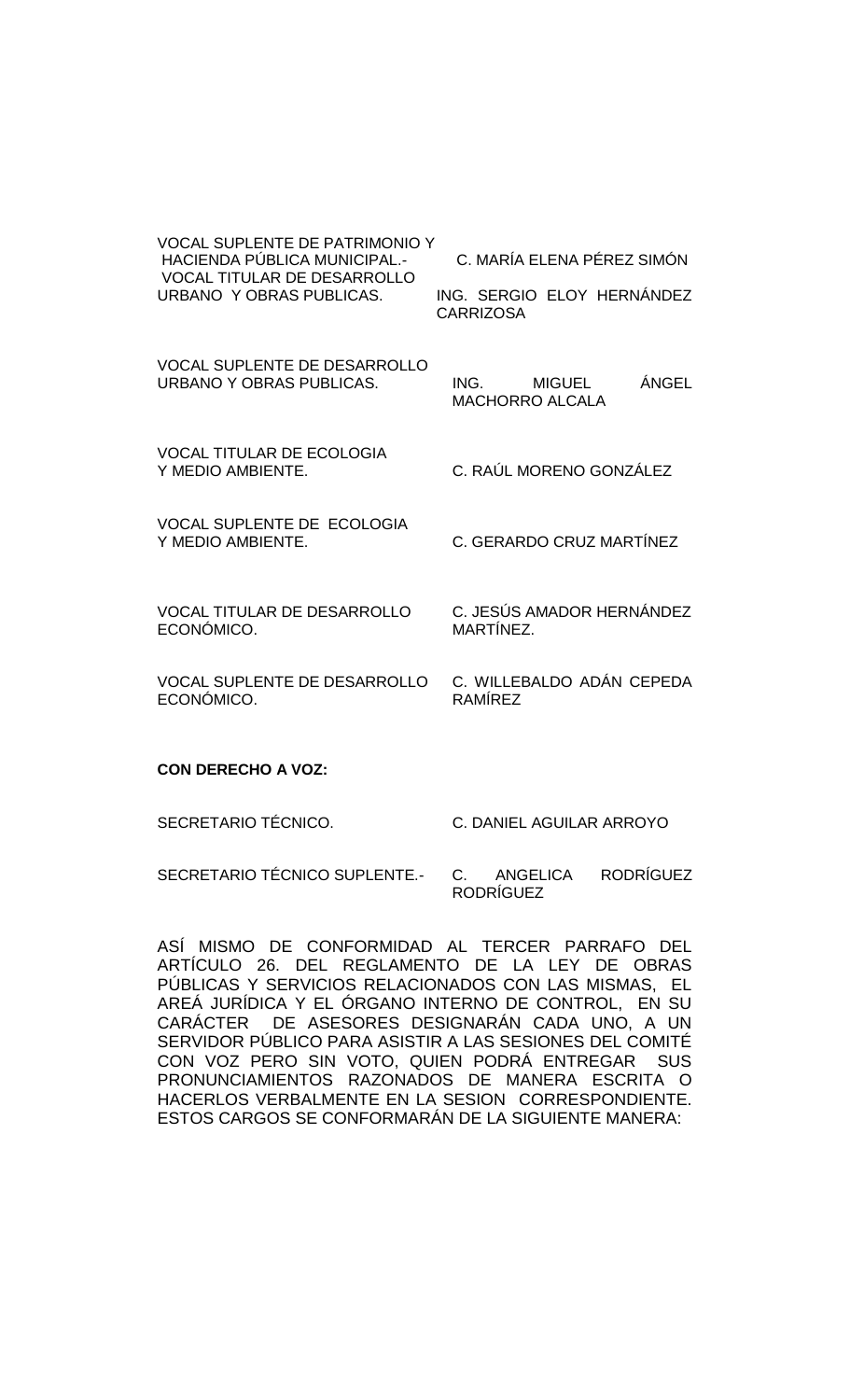| <b>VOCAL SUPLENTE DE PATRIMONIO Y</b><br><b>HACIENDA PÚBLICA MUNICIPAL.-</b><br><b>VOCAL TITULAR DE DESARROLLO</b><br>URBANO Y OBRAS PUBLICAS. | C. MARÍA ELENA PÉREZ SIMÓN<br>ING. SERGIO ELOY HERNÁNDEZ<br><b>CARRIZOSA</b> |
|------------------------------------------------------------------------------------------------------------------------------------------------|------------------------------------------------------------------------------|
| <b>VOCAL SUPLENTE DE DESARROLLO</b><br>URBANO Y OBRAS PUBLICAS.                                                                                | ÁNGEL<br><b>MIGUEL</b><br>ING.<br><b>MACHORRO ALCALA</b>                     |
| <b>VOCAL TITULAR DE ECOLOGIA</b><br>Y MEDIO AMBIENTE.                                                                                          | C. RAÚL MORENO GONZÁLEZ                                                      |
| VOCAL SUPLENTE DE ECOLOGIA<br>Y MEDIO AMBIENTE.                                                                                                | C. GERARDO CRUZ MARTÍNEZ                                                     |
| <b>VOCAL TITULAR DE DESARROLLO</b><br>ECONÓMICO.                                                                                               | C. JESÚS AMADOR HERNÁNDEZ<br>MARTÍNEZ.                                       |
| <b>VOCAL SUPLENTE DE DESARROLLO</b><br>ECONÓMICO.                                                                                              | C. WILLEBALDO ADÁN CEPEDA<br>RAMÍREZ                                         |

#### **CON DERECHO A VOZ:**

SECRETARIO TÉCNICO. C. DANIEL AGUILAR ARROYO

SECRETARIO TÉCNICO SUPLENTE.- C. ANGELICA RODRÍGUEZ RODRÍGUEZ

ASÍ MISMO DE CONFORMIDAD AL TERCER PARRAFO DEL ARTÍCULO 26. DEL REGLAMENTO DE LA LEY DE OBRAS PÚBLICAS Y SERVICIOS RELACIONADOS CON LAS MISMAS, EL AREÁ JURÍDICA Y EL ÓRGANO INTERNO DE CONTROL, EN SU CARÁCTER DE ASESORES DESIGNARÁN CADA UNO, A UN SERVIDOR PÚBLICO PARA ASISTIR A LAS SESIONES DEL COMITÉ CON VOZ PERO SIN VOTO, QUIEN PODRÁ ENTREGAR SUS PRONUNCIAMIENTOS RAZONADOS DE MANERA ESCRITA O HACERLOS VERBALMENTE EN LA SESION CORRESPONDIENTE. ESTOS CARGOS SE CONFORMARÁN DE LA SIGUIENTE MANERA: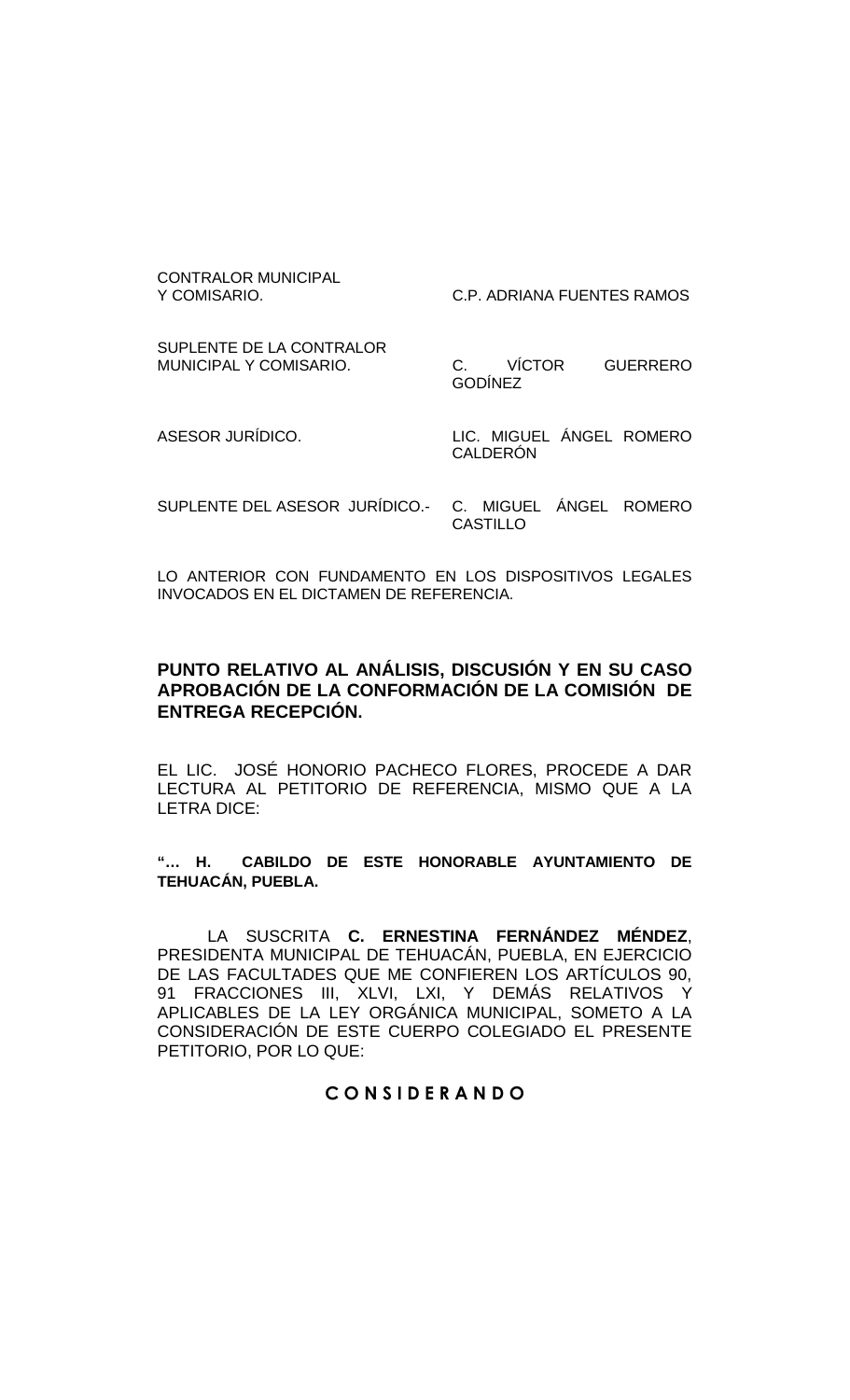CONTRALOR MUNICIPAL<br>Y COMISARIO.

C.P. ADRIANA FUENTES RAMOS

SUPLENTE DE LA CONTRALOR<br>MUNICIPAL Y COMISARIO.

C. VÍCTOR GUERRERO GODÍNEZ

ASESOR JURÍDICO. LIC. MIGUEL ÁNGEL ROMERO CALDERÓN

SUPLENTE DEL ASESOR JURÍDICO.- C. MIGUEL ÁNGEL ROMERO CASTILLO

LO ANTERIOR CON FUNDAMENTO EN LOS DISPOSITIVOS LEGALES INVOCADOS EN EL DICTAMEN DE REFERENCIA.

# **PUNTO RELATIVO AL ANÁLISIS, DISCUSIÓN Y EN SU CASO APROBACIÓN DE LA CONFORMACIÓN DE LA COMISIÓN DE ENTREGA RECEPCIÓN.**

EL LIC. JOSÉ HONORIO PACHECO FLORES, PROCEDE A DAR LECTURA AL PETITORIO DE REFERENCIA, MISMO QUE A LA LETRA DICE:

**"… H. CABILDO DE ESTE HONORABLE AYUNTAMIENTO DE TEHUACÁN, PUEBLA.**

LA SUSCRITA **C. ERNESTINA FERNÁNDEZ MÉNDEZ**, PRESIDENTA MUNICIPAL DE TEHUACÁN, PUEBLA, EN EJERCICIO DE LAS FACULTADES QUE ME CONFIEREN LOS ARTÍCULOS 90, 91 FRACCIONES III, XLVI, LXI, Y DEMÁS RELATIVOS Y APLICABLES DE LA LEY ORGÁNICA MUNICIPAL, SOMETO A LA CONSIDERACIÓN DE ESTE CUERPO COLEGIADO EL PRESENTE PETITORIO, POR LO QUE:

# **C O N S I D E R A N D O**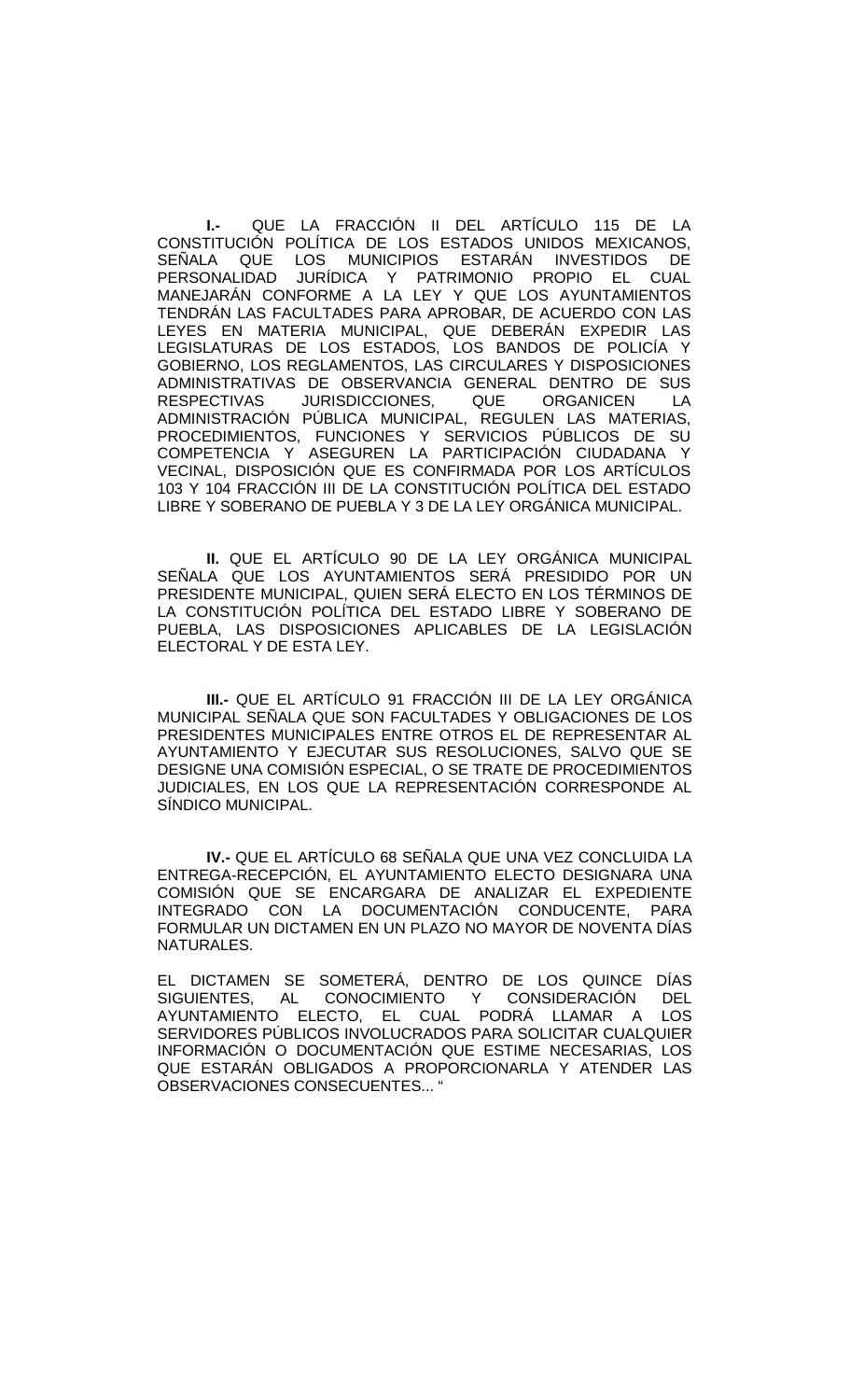**I.-** QUE LA FRACCIÓN II DEL ARTÍCULO 115 DE LA CONSTITUCIÓN POLÍTICA DE LOS ESTADOS UNIDOS MEXICANOS, SEÑALA QUE LOS MUNICIPIOS ESTARÁN INVESTIDOS DE<br>PERSONALIDAD JURÍDICA Y PATRIMONIO PROPIO EL CUAL JURÍDICA Y PATRIMONIO PROPIO EL CUAL MANEJARÁN CONFORME A LA LEY Y QUE LOS AYUNTAMIENTOS TENDRÁN LAS FACULTADES PARA APROBAR, DE ACUERDO CON LAS LEYES EN MATERIA MUNICIPAL, QUE DEBERÁN EXPEDIR LAS LEGISLATURAS DE LOS ESTADOS, LOS BANDOS DE POLICÍA Y GOBIERNO, LOS REGLAMENTOS, LAS CIRCULARES Y DISPOSICIONES ADMINISTRATIVAS DE OBSERVANCIA GENERAL DENTRO DE SUS RESPECTIVAS JURISDICCIONES, QUE ORGANICEN LA ADMINISTRACIÓN PÚBLICA MUNICIPAL, REGULEN LAS MATERIAS, PROCEDIMIENTOS, FUNCIONES Y SERVICIOS PÚBLICOS DE SU COMPETENCIA Y ASEGUREN LA PARTICIPACIÓN CIUDADANA Y VECINAL, DISPOSICIÓN QUE ES CONFIRMADA POR LOS ARTÍCULOS 103 Y 104 FRACCIÓN III DE LA CONSTITUCIÓN POLÍTICA DEL ESTADO LIBRE Y SOBERANO DE PUEBLA Y 3 DE LA LEY ORGÁNICA MUNICIPAL.

**II.** QUE EL ARTÍCULO 90 DE LA LEY ORGÁNICA MUNICIPAL SEÑALA QUE LOS AYUNTAMIENTOS SERÁ PRESIDIDO POR UN PRESIDENTE MUNICIPAL, QUIEN SERÁ ELECTO EN LOS TÉRMINOS DE LA CONSTITUCIÓN POLÍTICA DEL ESTADO LIBRE Y SOBERANO DE PUEBLA, LAS DISPOSICIONES APLICABLES DE LA LEGISLACIÓN ELECTORAL Y DE ESTA LEY.

**III.-** QUE EL ARTÍCULO 91 FRACCIÓN III DE LA LEY ORGÁNICA MUNICIPAL SEÑALA QUE SON FACULTADES Y OBLIGACIONES DE LOS PRESIDENTES MUNICIPALES ENTRE OTROS EL DE REPRESENTAR AL AYUNTAMIENTO Y EJECUTAR SUS RESOLUCIONES, SALVO QUE SE DESIGNE UNA COMISIÓN ESPECIAL, O SE TRATE DE PROCEDIMIENTOS JUDICIALES, EN LOS QUE LA REPRESENTACIÓN CORRESPONDE AL SÍNDICO MUNICIPAL.

**IV.-** QUE EL ARTÍCULO 68 SEÑALA QUE UNA VEZ CONCLUIDA LA ENTREGA-RECEPCIÓN, EL AYUNTAMIENTO ELECTO DESIGNARA UNA COMISIÓN QUE SE ENCARGARA DE ANALIZAR EL EXPEDIENTE INTEGRADO CON LA DOCUMENTACIÓN CONDUCENTE, PARA FORMULAR UN DICTAMEN EN UN PLAZO NO MAYOR DE NOVENTA DÍAS NATURALES.

EL DICTAMEN SE SOMETERÁ, DENTRO DE LOS QUINCE DÍAS SIGUIENTES, AL CONOCIMIENTO Y CONSIDERACIÓN DEL AYUNTAMIENTO ELECTO, EL CUAL PODRÁ LLAMAR A LOS SERVIDORES PÚBLICOS INVOLUCRADOS PARA SOLICITAR CUALQUIER INFORMACIÓN O DOCUMENTACIÓN QUE ESTIME NECESARIAS, LOS QUE ESTARÁN OBLIGADOS A PROPORCIONARLA Y ATENDER LAS OBSERVACIONES CONSECUENTES... "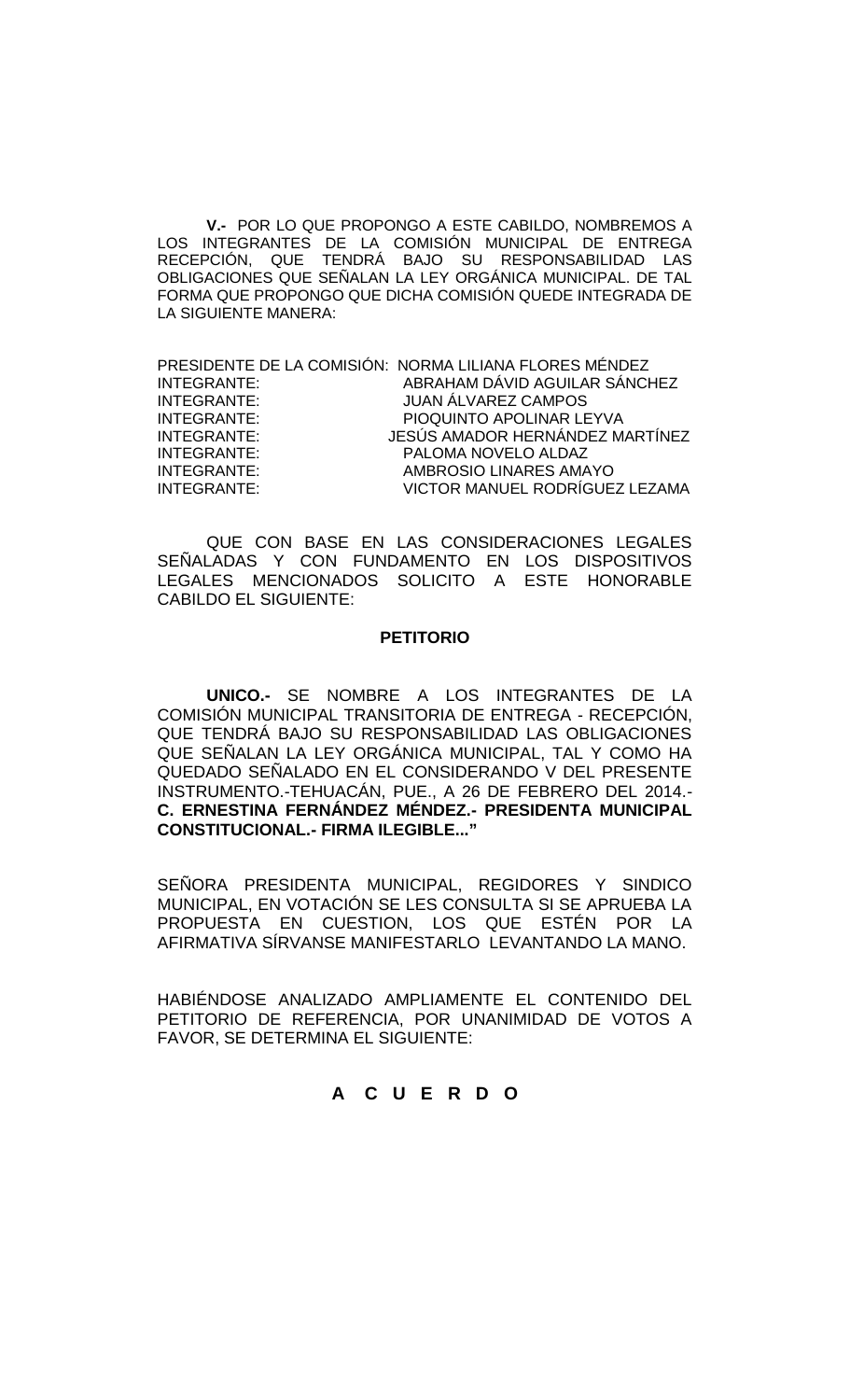**V.-** POR LO QUE PROPONGO A ESTE CABILDO, NOMBREMOS A LOS INTEGRANTES DE LA COMISION MUNICIPAL DE ENTREGA RECEPCIÓN, QUE TENDRÁ BAJO SU RESPONSABILIDAD LAS OBLIGACIONES QUE SEÑALAN LA LEY ORGÁNICA MUNICIPAL. DE TAL FORMA QUE PROPONGO QUE DICHA COMISIÓN QUEDE INTEGRADA DE LA SIGUIENTE MANERA:

| PRESIDENTE DE LA COMISIÓN: NORMA LILIANA FLORES MÉNDEZ |
|--------------------------------------------------------|
| ABRAHAM DÁVID AGUILAR SÁNCHEZ                          |
| <b>JUAN ÁLVAREZ CAMPOS</b>                             |
| PIOQUINTO APOLINAR LEYVA                               |
| JESÚS AMADOR HERNÁNDEZ MARTÍNEZ                        |
| PALOMA NOVELO ALDAZ                                    |
| AMBROSIO LINARES AMAYO                                 |
| VICTOR MANUEL RODRÍGUEZ LEZAMA                         |
|                                                        |

QUE CON BASE EN LAS CONSIDERACIONES LEGALES SEÑALADAS Y CON FUNDAMENTO EN LOS DISPOSITIVOS LEGALES MENCIONADOS SOLICITO A ESTE HONORABLE CABILDO EL SIGUIENTE:

#### **PETITORIO**

**UNICO.-** SE NOMBRE A LOS INTEGRANTES DE LA COMISIÓN MUNICIPAL TRANSITORIA DE ENTREGA - RECEPCIÓN, QUE TENDRÁ BAJO SU RESPONSABILIDAD LAS OBLIGACIONES QUE SEÑALAN LA LEY ORGÁNICA MUNICIPAL, TAL Y COMO HA QUEDADO SEÑALADO EN EL CONSIDERANDO V DEL PRESENTE INSTRUMENTO.-TEHUACÁN, PUE., A 26 DE FEBRERO DEL 2014.- **C. ERNESTINA FERNÁNDEZ MÉNDEZ.- PRESIDENTA MUNICIPAL CONSTITUCIONAL.- FIRMA ILEGIBLE..."**

SEÑORA PRESIDENTA MUNICIPAL, REGIDORES Y SINDICO MUNICIPAL, EN VOTACIÓN SE LES CONSULTA SI SE APRUEBA LA PROPUESTA EN CUESTION, LOS QUE ESTÉN POR LA AFIRMATIVA SÍRVANSE MANIFESTARLO LEVANTANDO LA MANO.

HABIÉNDOSE ANALIZADO AMPLIAMENTE EL CONTENIDO DEL PETITORIO DE REFERENCIA, POR UNANIMIDAD DE VOTOS A FAVOR, SE DETERMINA EL SIGUIENTE:

# **A C U E R D O**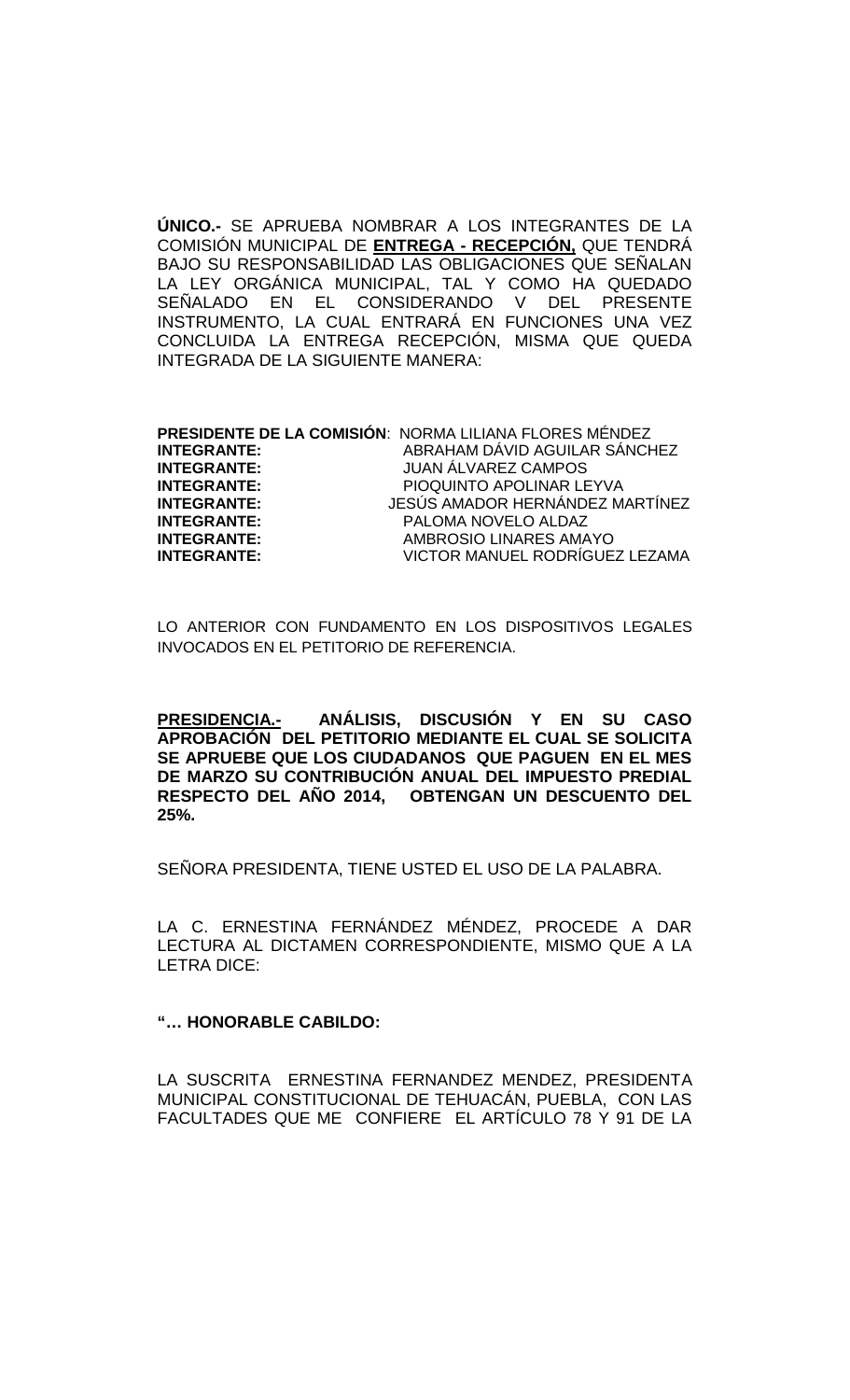**ÚNICO.-** SE APRUEBA NOMBRAR A LOS INTEGRANTES DE LA COMISIÓN MUNICIPAL DE **ENTREGA - RECEPCIÓN,** QUE TENDRÁ BAJO SU RESPONSABILIDAD LAS OBLIGACIONES QUE SEÑALAN LA LEY ORGÁNICA MUNICIPAL, TAL Y COMO HA QUEDADO SEÑALADO EN EL CONSIDERANDO V DEL PRESENTE INSTRUMENTO, LA CUAL ENTRARÁ EN FUNCIONES UNA VEZ CONCLUIDA LA ENTREGA RECEPCIÓN, MISMA QUE QUEDA INTEGRADA DE LA SIGUIENTE MANERA:

|                    | PRESIDENTE DE LA COMISIÓN: NORMA LILIANA FLORES MÉNDEZ |
|--------------------|--------------------------------------------------------|
| <b>INTEGRANTE:</b> | ABRAHAM DÁVID AGUILAR SÁNCHEZ                          |
| <b>INTEGRANTE:</b> | <b>JUAN ÁLVAREZ CAMPOS</b>                             |
| <b>INTEGRANTE:</b> | PIOQUINTO APOLINAR LEYVA                               |
| <b>INTEGRANTE:</b> | JESÚS AMADOR HERNÁNDEZ MARTÍNEZ                        |
| <b>INTEGRANTE:</b> | PALOMA NOVELO ALDAZ                                    |
| <b>INTEGRANTE:</b> | AMBROSIO LINARES AMAYO                                 |
| <b>INTEGRANTE:</b> | VICTOR MANUEL RODRÍGUEZ LEZAMA                         |

LO ANTERIOR CON FUNDAMENTO EN LOS DISPOSITIVOS LEGALES INVOCADOS EN EL PETITORIO DE REFERENCIA.

**PRESIDENCIA.- ANÁLISIS, DISCUSIÓN Y EN SU CASO APROBACIÓN DEL PETITORIO MEDIANTE EL CUAL SE SOLICITA SE APRUEBE QUE LOS CIUDADANOS QUE PAGUEN EN EL MES DE MARZO SU CONTRIBUCIÓN ANUAL DEL IMPUESTO PREDIAL RESPECTO DEL AÑO 2014, OBTENGAN UN DESCUENTO DEL 25%.**

SEÑORA PRESIDENTA, TIENE USTED EL USO DE LA PALABRA.

LA C. ERNESTINA FERNÁNDEZ MÉNDEZ, PROCEDE A DAR LECTURA AL DICTAMEN CORRESPONDIENTE, MISMO QUE A LA LETRA DICE:

### **"… HONORABLE CABILDO:**

LA SUSCRITA ERNESTINA FERNANDEZ MENDEZ, PRESIDENTA MUNICIPAL CONSTITUCIONAL DE TEHUACÁN, PUEBLA, CON LAS FACULTADES QUE ME CONFIERE EL ARTÍCULO 78 Y 91 DE LA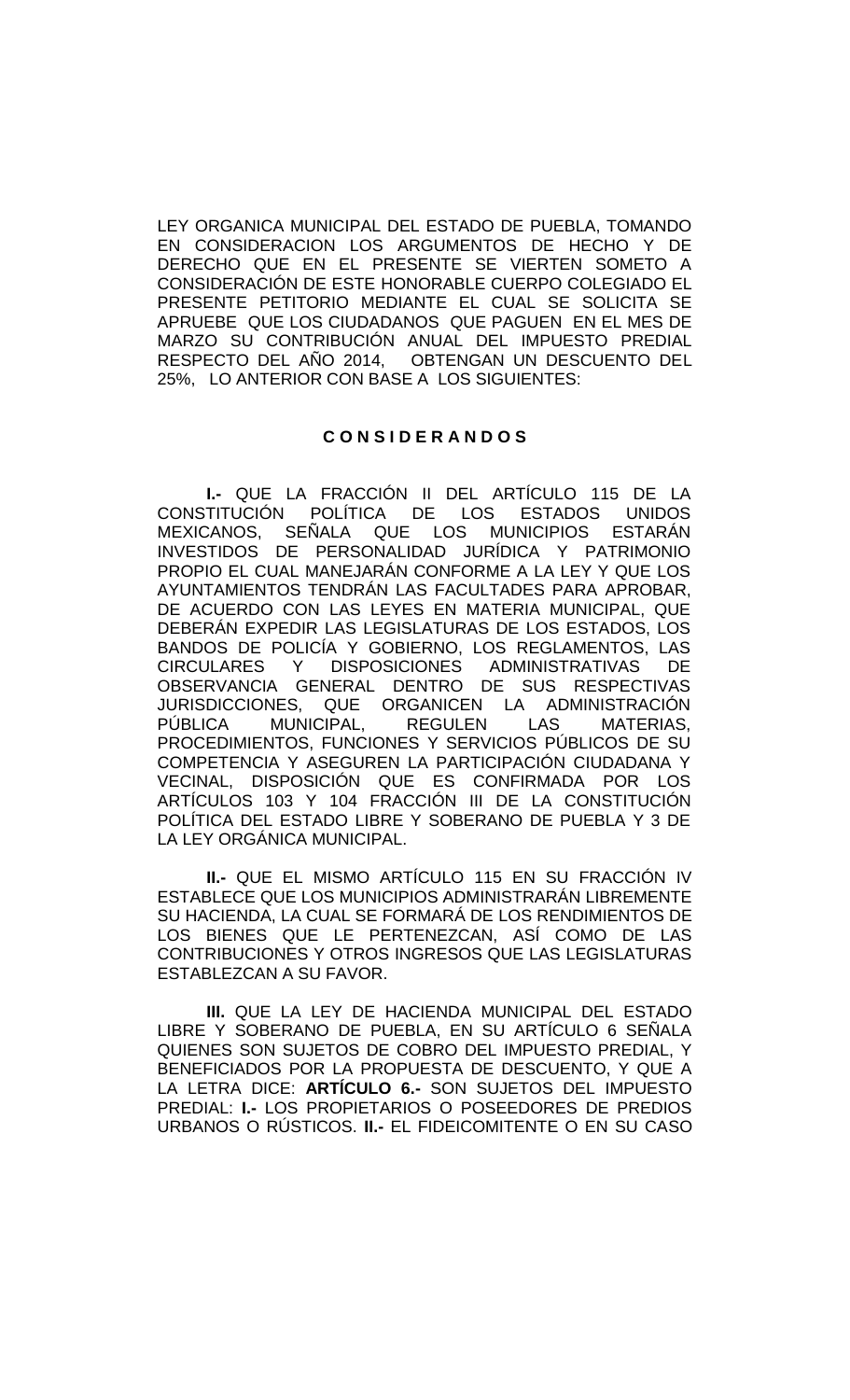LEY ORGANICA MUNICIPAL DEL ESTADO DE PUEBLA, TOMANDO EN CONSIDERACION LOS ARGUMENTOS DE HECHO Y DE DERECHO QUE EN EL PRESENTE SE VIERTEN SOMETO A CONSIDERACIÓN DE ESTE HONORABLE CUERPO COLEGIADO EL PRESENTE PETITORIO MEDIANTE EL CUAL SE SOLICITA SE APRUEBE QUE LOS CIUDADANOS QUE PAGUEN EN EL MES DE MARZO SU CONTRIBUCIÓN ANUAL DEL IMPUESTO PREDIAL RESPECTO DEL AÑO 2014, OBTENGAN UN DESCUENTO DEL 25%, LO ANTERIOR CON BASE A LOS SIGUIENTES:

# **C O N S I D E R A N D O S**

**I.-** QUE LA FRACCIÓN II DEL ARTÍCULO 115 DE LA CONSTITUCIÓN POLÍTICA DE LOS ESTADOS UNIDOS MEXICANOS, SEÑALA QUE LOS MUNICIPIOS ESTARÁN INVESTIDOS DE PERSONALIDAD JURÍDICA Y PATRIMONIO PROPIO EL CUAL MANEJARÁN CONFORME A LA LEY Y QUE LOS AYUNTAMIENTOS TENDRÁN LAS FACULTADES PARA APROBAR, DE ACUERDO CON LAS LEYES EN MATERIA MUNICIPAL, QUE DEBERÁN EXPEDIR LAS LEGISLATURAS DE LOS ESTADOS, LOS BANDOS DE POLICÍA Y GOBIERNO, LOS REGLAMENTOS, LAS CIRCULARES Y DISPOSICIONES ADMINISTRATIVAS DE OBSERVANCIA GENERAL DENTRO DE SUS RESPECTIVAS JURISDICCIONES, QUE ORGANICEN LA ADMINISTRACIÓN PÚBLICA MUNICIPAL, REGULEN LAS MATERIAS, PROCEDIMIENTOS, FUNCIONES Y SERVICIOS PÚBLICOS DE SU COMPETENCIA Y ASEGUREN LA PARTICIPACIÓN CIUDADANA Y VECINAL, DISPOSICIÓN QUE ES CONFIRMADA POR LOS ARTÍCULOS 103 Y 104 FRACCIÓN III DE LA CONSTITUCIÓN POLÍTICA DEL ESTADO LIBRE Y SOBERANO DE PUEBLA Y 3 DE LA LEY ORGÁNICA MUNICIPAL.

**II.-** QUE EL MISMO ARTÍCULO 115 EN SU FRACCIÓN IV ESTABLECE QUE LOS MUNICIPIOS ADMINISTRARÁN LIBREMENTE SU HACIENDA, LA CUAL SE FORMARÁ DE LOS RENDIMIENTOS DE LOS BIENES QUE LE PERTENEZCAN, ASÍ COMO DE LAS CONTRIBUCIONES Y OTROS INGRESOS QUE LAS LEGISLATURAS ESTABLEZCAN A SU FAVOR.

**III.** QUE LA LEY DE HACIENDA MUNICIPAL DEL ESTADO LIBRE Y SOBERANO DE PUEBLA, EN SU ARTÍCULO 6 SEÑALA QUIENES SON SUJETOS DE COBRO DEL IMPUESTO PREDIAL, Y BENEFICIADOS POR LA PROPUESTA DE DESCUENTO, Y QUE A LA LETRA DICE: **ARTÍCULO 6.-** SON SUJETOS DEL IMPUESTO PREDIAL: **I.-** LOS PROPIETARIOS O POSEEDORES DE PREDIOS URBANOS O RÚSTICOS. **II.-** EL FIDEICOMITENTE O EN SU CASO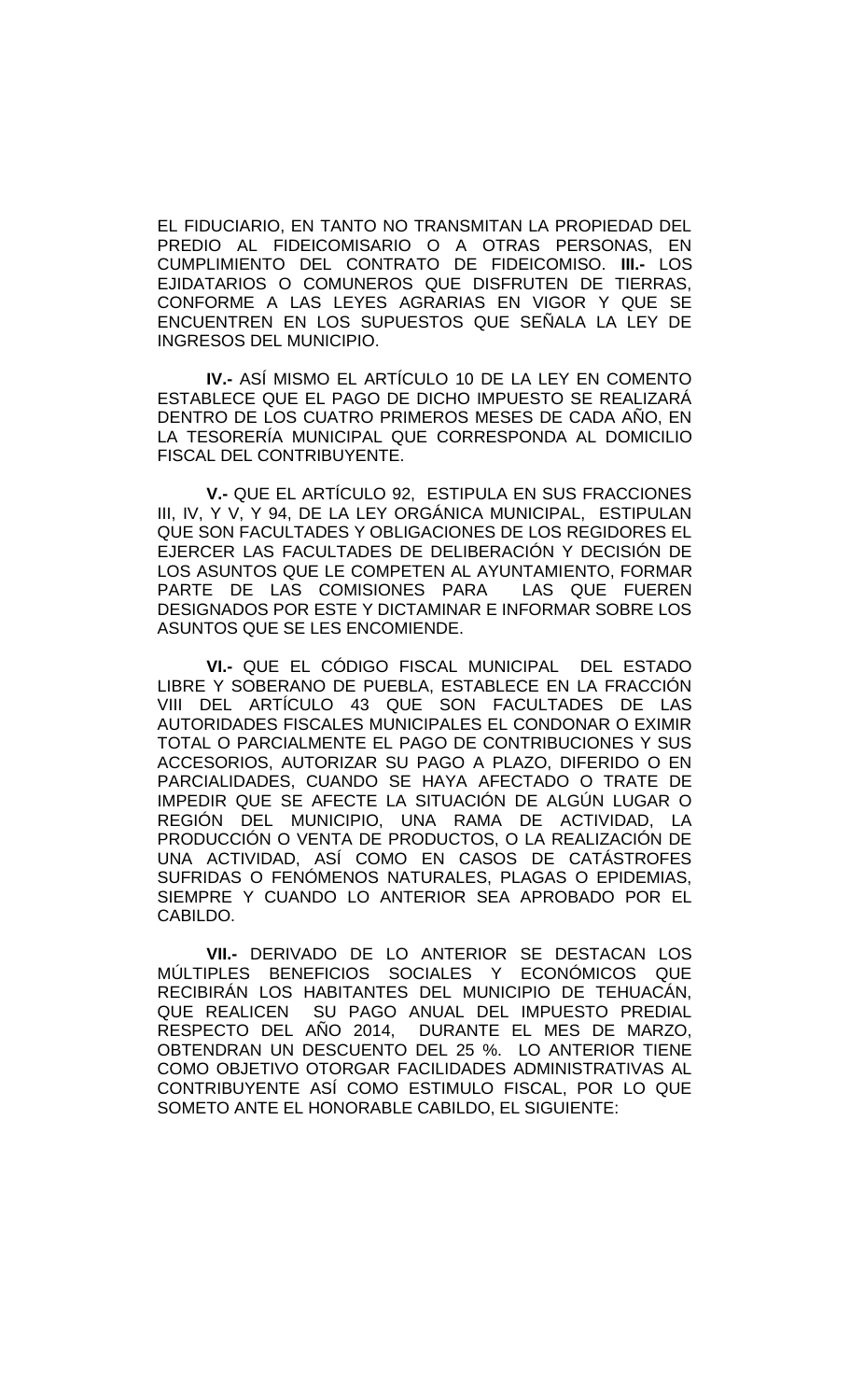EL FIDUCIARIO, EN TANTO NO TRANSMITAN LA PROPIEDAD DEL PREDIO AL FIDEICOMISARIO O A OTRAS PERSONAS, EN CUMPLIMIENTO DEL CONTRATO DE FIDEICOMISO. **III.-** LOS EJIDATARIOS O COMUNEROS QUE DISFRUTEN DE TIERRAS, CONFORME A LAS LEYES AGRARIAS EN VIGOR Y QUE SE ENCUENTREN EN LOS SUPUESTOS QUE SEÑALA LA LEY DE INGRESOS DEL MUNICIPIO.

**IV.-** ASÍ MISMO EL ARTÍCULO 10 DE LA LEY EN COMENTO ESTABLECE QUE EL PAGO DE DICHO IMPUESTO SE REALIZARÁ DENTRO DE LOS CUATRO PRIMEROS MESES DE CADA AÑO, EN LA TESORERÍA MUNICIPAL QUE CORRESPONDA AL DOMICILIO FISCAL DEL CONTRIBUYENTE.

**V.-** QUE EL ARTÍCULO 92, ESTIPULA EN SUS FRACCIONES III, IV, Y V, Y 94, DE LA LEY ORGÁNICA MUNICIPAL, ESTIPULAN QUE SON FACULTADES Y OBLIGACIONES DE LOS REGIDORES EL EJERCER LAS FACULTADES DE DELIBERACIÓN Y DECISIÓN DE LOS ASUNTOS QUE LE COMPETEN AL AYUNTAMIENTO, FORMAR PARTE DE LAS COMISIONES PARA LAS QUE FUEREN DESIGNADOS POR ESTE Y DICTAMINAR E INFORMAR SOBRE LOS ASUNTOS QUE SE LES ENCOMIENDE.

**VI.-** QUE EL CÓDIGO FISCAL MUNICIPAL DEL ESTADO LIBRE Y SOBERANO DE PUEBLA, ESTABLECE EN LA FRACCIÓN VIII DEL ARTÍCULO 43 QUE SON FACULTADES DE LAS AUTORIDADES FISCALES MUNICIPALES EL CONDONAR O EXIMIR TOTAL O PARCIALMENTE EL PAGO DE CONTRIBUCIONES Y SUS ACCESORIOS, AUTORIZAR SU PAGO A PLAZO, DIFERIDO O EN PARCIALIDADES, CUANDO SE HAYA AFECTADO O TRATE DE IMPEDIR QUE SE AFECTE LA SITUACIÓN DE ALGÚN LUGAR O REGIÓN DEL MUNICIPIO, UNA RAMA DE ACTIVIDAD, LA PRODUCCIÓN O VENTA DE PRODUCTOS, O LA REALIZACIÓN DE UNA ACTIVIDAD, ASÍ COMO EN CASOS DE CATÁSTROFES SUFRIDAS O FENÓMENOS NATURALES, PLAGAS O EPIDEMIAS, SIEMPRE Y CUANDO LO ANTERIOR SEA APROBADO POR EL CABILDO.

**VII.-** DERIVADO DE LO ANTERIOR SE DESTACAN LOS MÚLTIPLES BENEFICIOS SOCIALES Y ECONÓMICOS QUE RECIBIRÁN LOS HABITANTES DEL MUNICIPIO DE TEHUACÁN, QUE REALICEN SU PAGO ANUAL DEL IMPUESTO PREDIAL RESPECTO DEL AÑO 2014, DURANTE EL MES DE MARZO, OBTENDRAN UN DESCUENTO DEL 25 %. LO ANTERIOR TIENE COMO OBJETIVO OTORGAR FACILIDADES ADMINISTRATIVAS AL CONTRIBUYENTE ASÍ COMO ESTIMULO FISCAL, POR LO QUE SOMETO ANTE EL HONORABLE CABILDO, EL SIGUIENTE: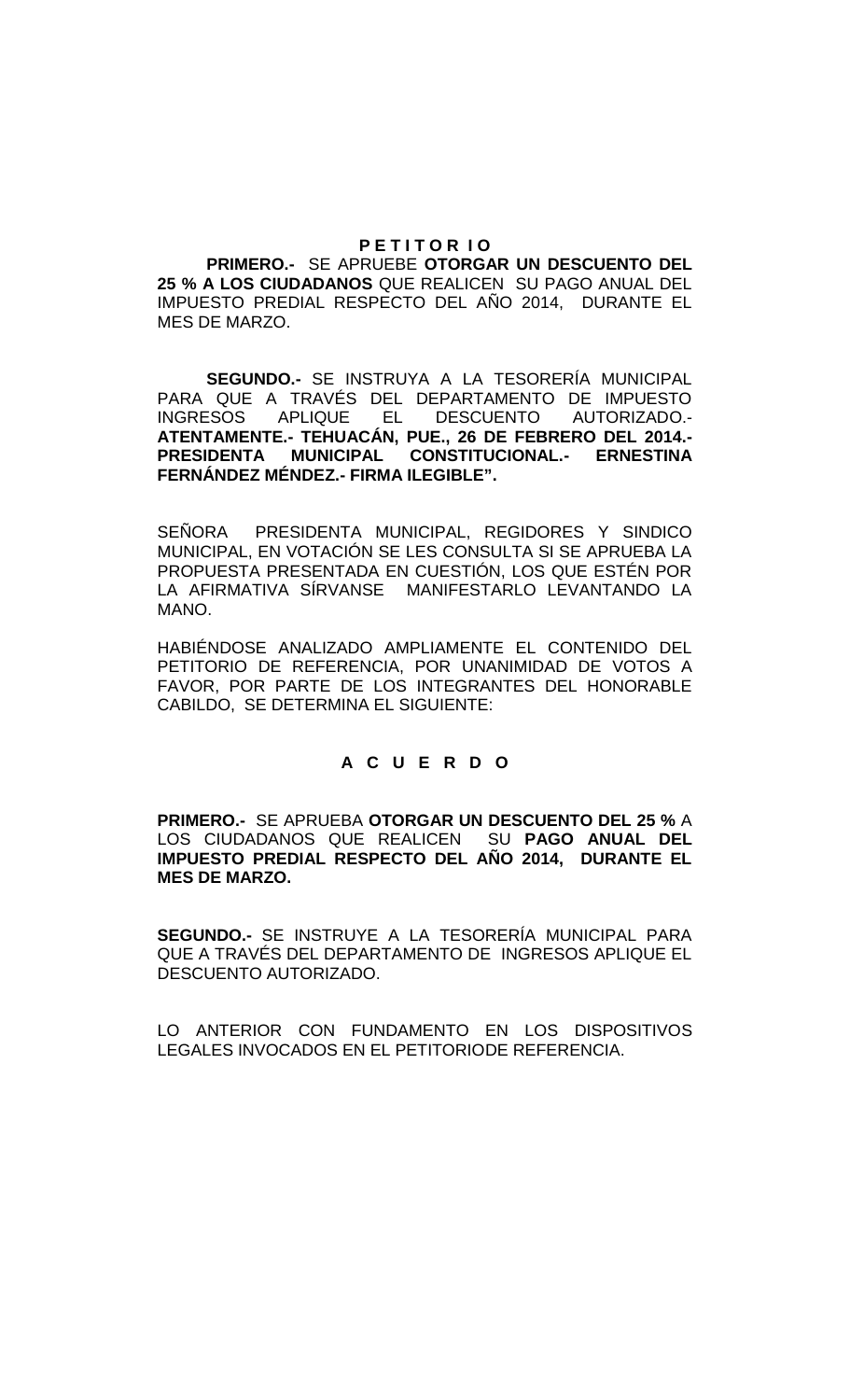### **P E T I T O R I O**

**PRIMERO.-** SE APRUEBE **OTORGAR UN DESCUENTO DEL 25 % A LOS CIUDADANOS** QUE REALICEN SU PAGO ANUAL DEL IMPUESTO PREDIAL RESPECTO DEL AÑO 2014, DURANTE EL MES DE MARZO.

**SEGUNDO.-** SE INSTRUYA A LA TESORERÍA MUNICIPAL PARA QUE A TRAVÉS DEL DEPARTAMENTO DE IMPUESTO INGRESOS APLIQUE EL DESCUENTO AUTORIZADO.- **ATENTAMENTE.- TEHUACÁN, PUE., 26 DE FEBRERO DEL 2014.- PRESIDENTA MUNICIPAL CONSTITUCIONAL.- ERNESTINA FERNÁNDEZ MÉNDEZ.- FIRMA ILEGIBLE".**

SEÑORA PRESIDENTA MUNICIPAL, REGIDORES Y SINDICO MUNICIPAL, EN VOTACIÓN SE LES CONSULTA SI SE APRUEBA LA PROPUESTA PRESENTADA EN CUESTIÓN, LOS QUE ESTÉN POR LA AFIRMATIVA SÍRVANSE MANIFESTARLO LEVANTANDO LA MANO.

HABIÉNDOSE ANALIZADO AMPLIAMENTE EL CONTENIDO DEL PETITORIO DE REFERENCIA, POR UNANIMIDAD DE VOTOS A FAVOR, POR PARTE DE LOS INTEGRANTES DEL HONORABLE CABILDO, SE DETERMINA EL SIGUIENTE:

# **A C U E R D O**

**PRIMERO.-** SE APRUEBA **OTORGAR UN DESCUENTO DEL 25 %** A LOS CIUDADANOS QUE REALICEN SU **PAGO ANUAL DEL IMPUESTO PREDIAL RESPECTO DEL AÑO 2014, DURANTE EL MES DE MARZO.**

**SEGUNDO.-** SE INSTRUYE A LA TESORERÍA MUNICIPAL PARA QUE A TRAVÉS DEL DEPARTAMENTO DE INGRESOS APLIQUE EL DESCUENTO AUTORIZADO.

LO ANTERIOR CON FUNDAMENTO EN LOS DISPOSITIVOS LEGALES INVOCADOS EN EL PETITORIODE REFERENCIA.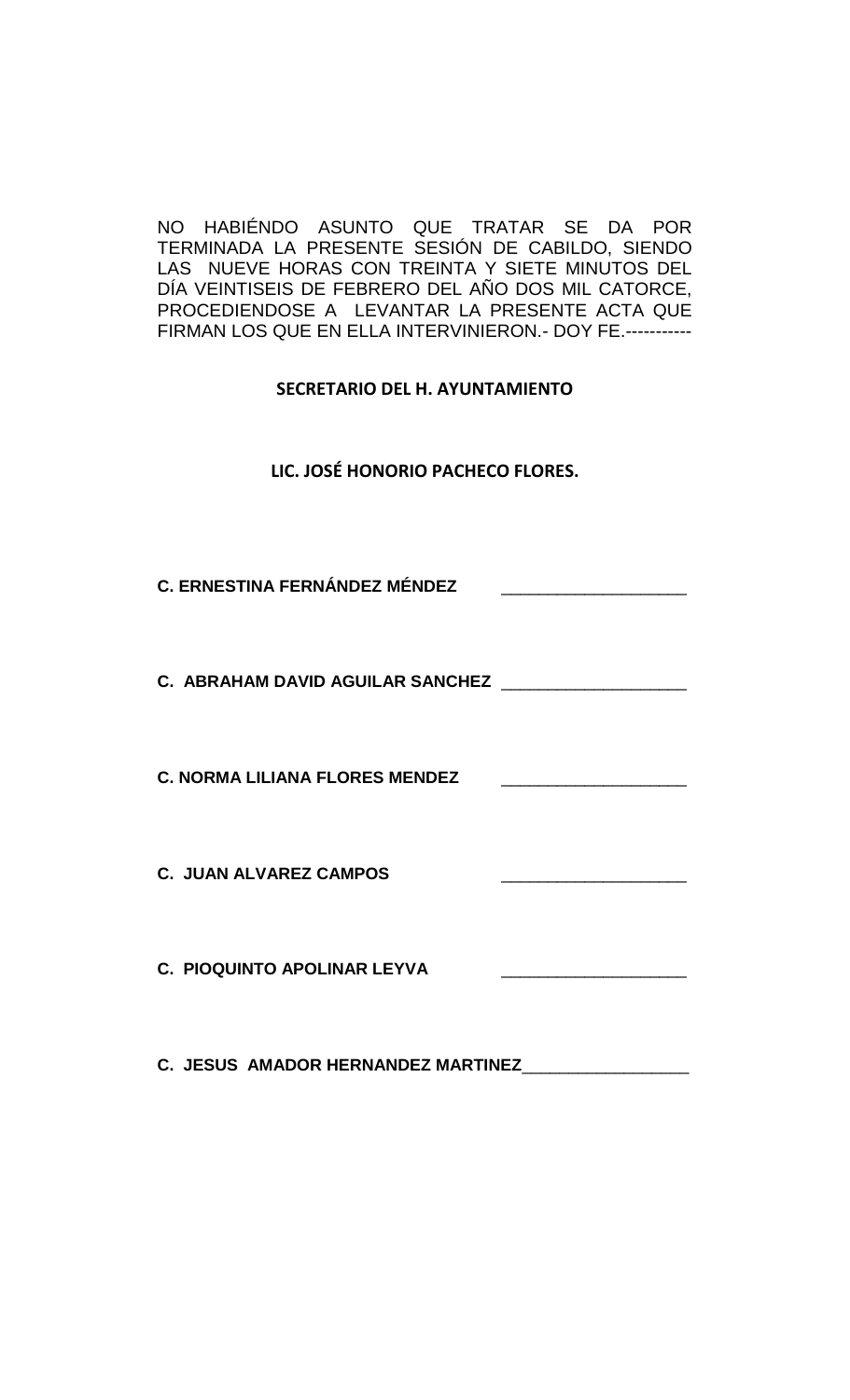NO HABIÉNDO ASUNTO QUE TRATAR SE DA POR TERMINADA LA PRESENTE SESIÓN DE CABILDO, SIENDO LAS NUEVE HORAS CON TREINTA Y SIETE MINUTOS DEL DÍA VEINTISEIS DE FEBRERO DEL AÑO DOS MIL CATORCE, PROCEDIENDOSE A LEVANTAR LA PRESENTE ACTA QUE FIRMAN LOS QUE EN ELLA INTERVINIERON.- DOY FE.-----------

**SECRETARIO DEL H. AYUNTAMIENTO**

**LIC. JOSÉ HONORIO PACHECO FLORES.**

**C. ERNESTINA FERNÁNDEZ MÉNDEZ** \_\_\_\_\_\_\_\_\_\_\_\_\_\_\_\_\_\_\_\_

**C. ABRAHAM DAVID AGUILAR SANCHEZ** \_\_\_\_\_\_\_\_\_\_\_\_\_\_\_\_\_\_\_\_

**C. NORMA LILIANA FLORES MENDEZ** 

**C. JUAN ALVAREZ CAMPOS** 

**C. PIOQUINTO APOLINAR LEYVA** 

**C. JESUS AMADOR HERNANDEZ MARTINEZ**\_\_\_\_\_\_\_\_\_\_\_\_\_\_\_\_\_\_